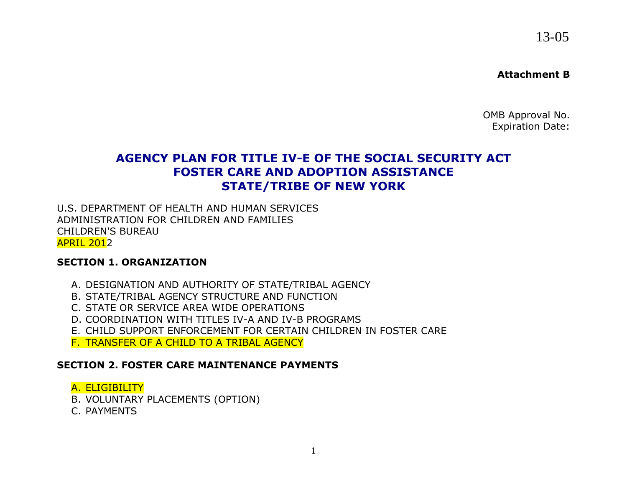13-05

#### **Attachment B**

OMB Approval No. Expiration Date:

# **AGENCY PLAN FOR TITLE IV-E OF THE SOCIAL SECURITY ACT FOSTER CARE AND ADOPTION ASSISTANCE STATE/TRIBE OF NEW YORK**

U.S. DEPARTMENT OF HEALTH AND HUMAN SERVICES ADMINISTRATION FOR CHILDREN AND FAMILIES CHILDREN'S BUREAU APRIL 2012

#### **SECTION 1. ORGANIZATION**

- A. DESIGNATION AND AUTHORITY OF STATE/TRIBAL AGENCY
- B. STATE/TRIBAL AGENCY STRUCTURE AND FUNCTION
- C. STATE OR SERVICE AREA WIDE OPERATIONS
- D. COORDINATION WITH TITLES IV-A AND IV-B PROGRAMS
- E. CHILD SUPPORT ENFORCEMENT FOR CERTAIN CHILDREN IN FOSTER CARE
- F. TRANSFER OF A CHILD TO A TRIBAL AGENCY

### **SECTION 2. FOSTER CARE MAINTENANCE PAYMENTS**

### A. ELIGIBILITY

- B. VOLUNTARY PLACEMENTS (OPTION)
- C. PAYMENTS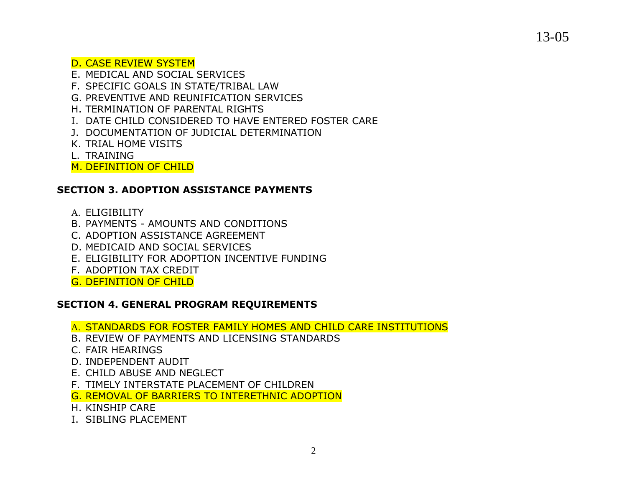D. CASE REVIEW SYSTEM

- E. MEDICAL AND SOCIAL SERVICES
- F. SPECIFIC GOALS IN STATE/TRIBAL LAW
- G. PREVENTIVE AND REUNIFICATION SERVICES
- H. TERMINATION OF PARENTAL RIGHTS
- I. DATE CHILD CONSIDERED TO HAVE ENTERED FOSTER CARE
- J. DOCUMENTATION OF JUDICIAL DETERMINATION
- K. TRIAL HOME VISITS
- L. TRAINING
- M. DEFINITION OF CHILD

### **SECTION 3. ADOPTION ASSISTANCE PAYMENTS**

- A. ELIGIBILITY
- B. PAYMENTS AMOUNTS AND CONDITIONS
- C. ADOPTION ASSISTANCE AGREEMENT
- D. MEDICAID AND SOCIAL SERVICES
- E. ELIGIBILITY FOR ADOPTION INCENTIVE FUNDING
- F. ADOPTION TAX CREDIT
- G. DEFINITION OF CHILD

## **SECTION 4. GENERAL PROGRAM REQUIREMENTS**

- A. STANDARDS FOR FOSTER FAMILY HOMES AND CHILD CARE INSTITUTIONS
- B. REVIEW OF PAYMENTS AND LICENSING STANDARDS
- C. FAIR HEARINGS
- D. INDEPENDENT AUDIT
- E. CHILD ABUSE AND NEGLECT
- F. TIMELY INTERSTATE PLACEMENT OF CHILDREN
- G. REMOVAL OF BARRIERS TO INTERETHNIC ADOPTION
- H. KINSHIP CARE
- I. SIBLING PLACEMENT

13-05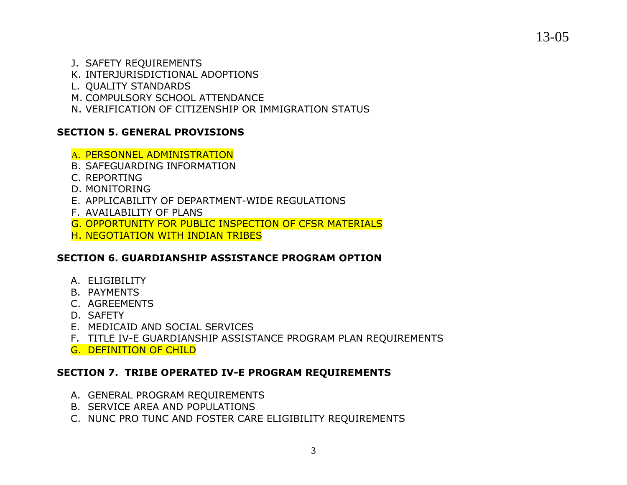13-05

- J. SAFETY REQUIREMENTS
- K. INTERJURISDICTIONAL ADOPTIONS
- L. QUALITY STANDARDS
- M. COMPULSORY SCHOOL ATTENDANCE
- N. VERIFICATION OF CITIZENSHIP OR IMMIGRATION STATUS

## **SECTION 5. GENERAL PROVISIONS**

- A. PERSONNEL ADMINISTRATION
- B. SAFEGUARDING INFORMATION
- C. REPORTING
- D. MONITORING
- E. APPLICABILITY OF DEPARTMENT-WIDE REGULATIONS
- F. AVAILABILITY OF PLANS
- G. OPPORTUNITY FOR PUBLIC INSPECTION OF CFSR MATERIALS
- H. NEGOTIATION WITH INDIAN TRIBES

## **SECTION 6. GUARDIANSHIP ASSISTANCE PROGRAM OPTION**

- A. ELIGIBILITY
- B. PAYMENTS
- C. AGREEMENTS
- D. SAFETY
- E. MEDICAID AND SOCIAL SERVICES
- F. TITLE IV-E GUARDIANSHIP ASSISTANCE PROGRAM PLAN REQUIREMENTS
- G. DEFINITION OF CHILD

## **SECTION 7. TRIBE OPERATED IV-E PROGRAM REQUIREMENTS**

- A. GENERAL PROGRAM REQUIREMENTS
- B. SERVICE AREA AND POPULATIONS
- C. NUNC PRO TUNC AND FOSTER CARE ELIGIBILITY REQUIREMENTS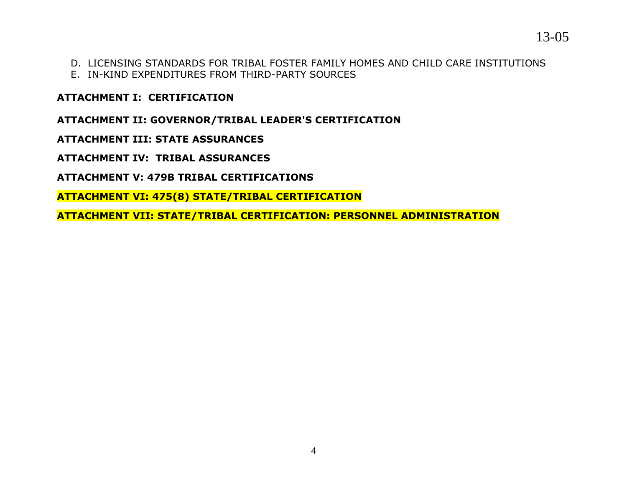- D. LICENSING STANDARDS FOR TRIBAL FOSTER FAMILY HOMES AND CHILD CARE INSTITUTIONS
- E. IN-KIND EXPENDITURES FROM THIRD-PARTY SOURCES

**ATTACHMENT I: CERTIFICATION**

**ATTACHMENT II: GOVERNOR/TRIBAL LEADER'S CERTIFICATION**

**ATTACHMENT III: STATE ASSURANCES**

**ATTACHMENT IV: TRIBAL ASSURANCES**

**ATTACHMENT V: 479B TRIBAL CERTIFICATIONS**

**ATTACHMENT VI: 475(8) STATE/TRIBAL CERTIFICATION**

**ATTACHMENT VII: STATE/TRIBAL CERTIFICATION: PERSONNEL ADMINISTRATION**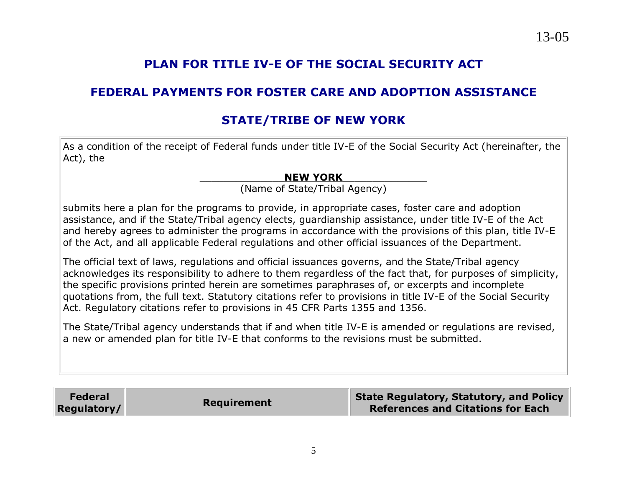# **PLAN FOR TITLE IV-E OF THE SOCIAL SECURITY ACT**

# **FEDERAL PAYMENTS FOR FOSTER CARE AND ADOPTION ASSISTANCE**

# **STATE/TRIBE OF NEW YORK**

As a condition of the receipt of Federal funds under title IV-E of the Social Security Act (hereinafter, the Act), the

#### \_\_\_\_\_\_\_\_\_\_\_\_\_\_**NEW YORK**\_\_\_\_\_\_\_\_\_\_\_\_\_\_

(Name of State/Tribal Agency)

submits here a plan for the programs to provide, in appropriate cases, foster care and adoption assistance, and if the State/Tribal agency elects, guardianship assistance, under title IV-E of the Act and hereby agrees to administer the programs in accordance with the provisions of this plan, title IV-E of the Act, and all applicable Federal regulations and other official issuances of the Department.

The official text of laws, regulations and official issuances governs, and the State/Tribal agency acknowledges its responsibility to adhere to them regardless of the fact that, for purposes of simplicity, the specific provisions printed herein are sometimes paraphrases of, or excerpts and incomplete quotations from, the full text. Statutory citations refer to provisions in title IV-E of the Social Security Act. Regulatory citations refer to provisions in 45 CFR Parts 1355 and 1356.

The State/Tribal agency understands that if and when title IV-E is amended or regulations are revised, a new or amended plan for title IV-E that conforms to the revisions must be submitted.

| <b>Federal</b><br>Regulatory/ | <b>Requirement</b> | <b>State Regulatory, Statutory, and Policy</b><br><b>References and Citations for Each</b> |
|-------------------------------|--------------------|--------------------------------------------------------------------------------------------|
|-------------------------------|--------------------|--------------------------------------------------------------------------------------------|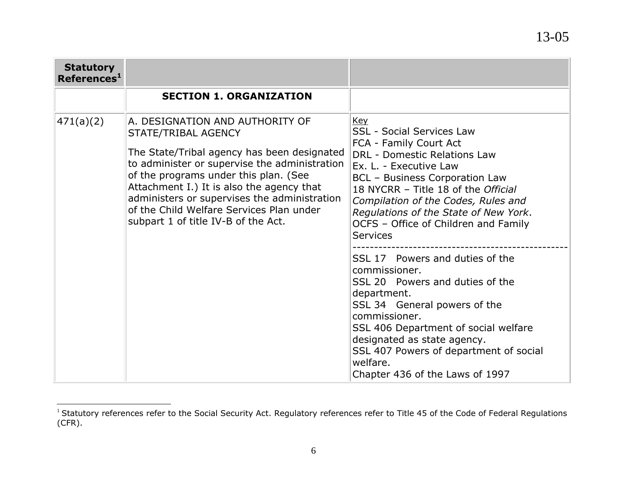| <b>Statutory</b><br>References <sup>1</sup> |                                                                                                                                                                                                                                                                                                                                                                                 |                                                                                                                                                                                                                                                                                                                                                                      |
|---------------------------------------------|---------------------------------------------------------------------------------------------------------------------------------------------------------------------------------------------------------------------------------------------------------------------------------------------------------------------------------------------------------------------------------|----------------------------------------------------------------------------------------------------------------------------------------------------------------------------------------------------------------------------------------------------------------------------------------------------------------------------------------------------------------------|
|                                             | <b>SECTION 1. ORGANIZATION</b>                                                                                                                                                                                                                                                                                                                                                  |                                                                                                                                                                                                                                                                                                                                                                      |
| 471(a)(2)                                   | A. DESIGNATION AND AUTHORITY OF<br>STATE/TRIBAL AGENCY<br>The State/Tribal agency has been designated<br>to administer or supervise the administration<br>of the programs under this plan. (See<br>Attachment I.) It is also the agency that<br>administers or supervises the administration<br>of the Child Welfare Services Plan under<br>subpart 1 of title IV-B of the Act. | <b>Key</b><br><b>SSL - Social Services Law</b><br>FCA - Family Court Act<br><b>DRL - Domestic Relations Law</b><br>Ex. L. - Executive Law<br><b>BCL - Business Corporation Law</b><br>18 NYCRR - Title 18 of the Official<br>Compilation of the Codes, Rules and<br>Regulations of the State of New York.<br>OCFS - Office of Children and Family<br><b>Services</b> |
|                                             |                                                                                                                                                                                                                                                                                                                                                                                 | SSL 17 Powers and duties of the<br>commissioner.<br>SSL 20 Powers and duties of the<br>department.<br>SSL 34 General powers of the<br>commissioner.<br>SSL 406 Department of social welfare<br>designated as state agency.<br>SSL 407 Powers of department of social<br>welfare.<br>Chapter 436 of the Laws of 1997                                                  |

 $\overline{a}$ 

 $1$  Statutory references refer to the Social Security Act. Regulatory references refer to Title 45 of the Code of Federal Regulations (CFR).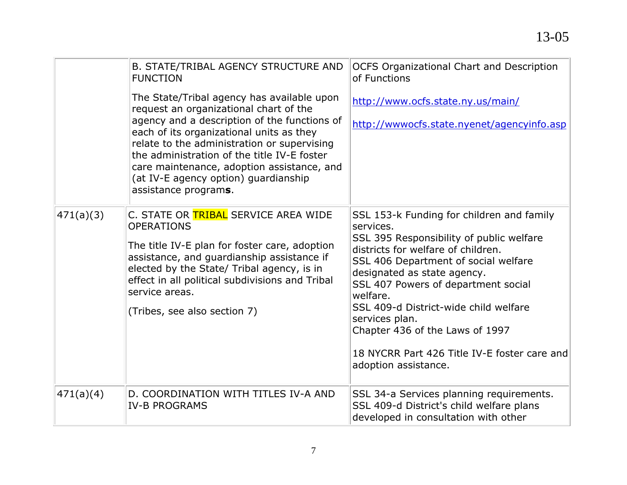|           | B. STATE/TRIBAL AGENCY STRUCTURE AND<br><b>FUNCTION</b>                                                                                                                                                                                                                                                                                                                                      | <b>OCFS Organizational Chart and Description</b><br>of Functions                                                                                                                                                                                                                                                                                                                                                                         |
|-----------|----------------------------------------------------------------------------------------------------------------------------------------------------------------------------------------------------------------------------------------------------------------------------------------------------------------------------------------------------------------------------------------------|------------------------------------------------------------------------------------------------------------------------------------------------------------------------------------------------------------------------------------------------------------------------------------------------------------------------------------------------------------------------------------------------------------------------------------------|
|           | The State/Tribal agency has available upon<br>request an organizational chart of the<br>agency and a description of the functions of<br>each of its organizational units as they<br>relate to the administration or supervising<br>the administration of the title IV-E foster<br>care maintenance, adoption assistance, and<br>(at IV-E agency option) guardianship<br>assistance programs. | http://www.ocfs.state.ny.us/main/<br>http://wwwocfs.state.nyenet/agencyinfo.asp                                                                                                                                                                                                                                                                                                                                                          |
| 471(a)(3) | C. STATE OR TRIBAL SERVICE AREA WIDE<br><b>OPERATIONS</b><br>The title IV-E plan for foster care, adoption<br>assistance, and guardianship assistance if<br>elected by the State/ Tribal agency, is in<br>effect in all political subdivisions and Tribal<br>service areas.<br>(Tribes, see also section 7)                                                                                  | SSL 153-k Funding for children and family<br>services.<br>SSL 395 Responsibility of public welfare<br>districts for welfare of children.<br>SSL 406 Department of social welfare<br>designated as state agency.<br>SSL 407 Powers of department social<br>welfare.<br>SSL 409-d District-wide child welfare<br>services plan.<br>Chapter 436 of the Laws of 1997<br>18 NYCRR Part 426 Title IV-E foster care and<br>adoption assistance. |
| 471(a)(4) | D. COORDINATION WITH TITLES IV-A AND<br><b>IV-B PROGRAMS</b>                                                                                                                                                                                                                                                                                                                                 | SSL 34-a Services planning requirements.<br>SSL 409-d District's child welfare plans<br>developed in consultation with other                                                                                                                                                                                                                                                                                                             |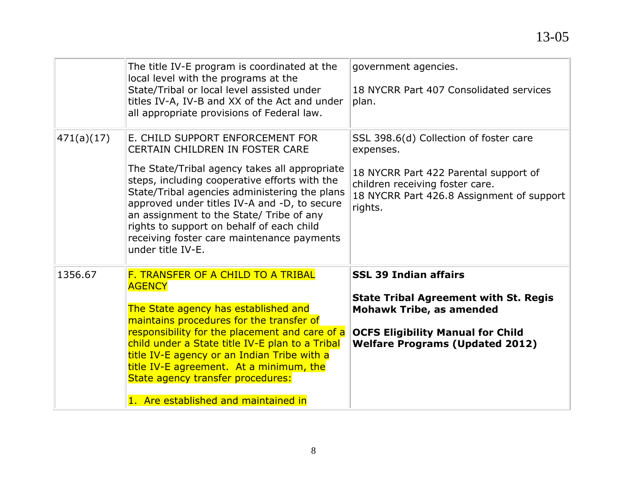|            | The title IV-E program is coordinated at the<br>local level with the programs at the<br>State/Tribal or local level assisted under<br>titles IV-A, IV-B and XX of the Act and under<br>all appropriate provisions of Federal law.                                                                                                                                                                                                         | government agencies.<br>18 NYCRR Part 407 Consolidated services<br>plan.                                                                                                                              |
|------------|-------------------------------------------------------------------------------------------------------------------------------------------------------------------------------------------------------------------------------------------------------------------------------------------------------------------------------------------------------------------------------------------------------------------------------------------|-------------------------------------------------------------------------------------------------------------------------------------------------------------------------------------------------------|
| 471(a)(17) | E. CHILD SUPPORT ENFORCEMENT FOR<br><b>CERTAIN CHILDREN IN FOSTER CARE</b><br>The State/Tribal agency takes all appropriate<br>steps, including cooperative efforts with the<br>State/Tribal agencies administering the plans<br>approved under titles IV-A and -D, to secure<br>an assignment to the State/ Tribe of any<br>rights to support on behalf of each child<br>receiving foster care maintenance payments<br>under title IV-E. | SSL 398.6(d) Collection of foster care<br>expenses.<br>18 NYCRR Part 422 Parental support of<br>children receiving foster care.<br>18 NYCRR Part 426.8 Assignment of support<br>rights.               |
| 1356.67    | F. TRANSFER OF A CHILD TO A TRIBAL<br><b>AGENCY</b><br>The State agency has established and<br>maintains procedures for the transfer of<br>responsibility for the placement and care of a<br>child under a State title IV-E plan to a Tribal<br>title IV-E agency or an Indian Tribe with a<br>title IV-E agreement. At a minimum, the<br>State agency transfer procedures:<br>1. Are established and maintained in                       | <b>SSL 39 Indian affairs</b><br><b>State Tribal Agreement with St. Regis</b><br><b>Mohawk Tribe, as amended</b><br><b>OCFS Eligibility Manual for Child</b><br><b>Welfare Programs (Updated 2012)</b> |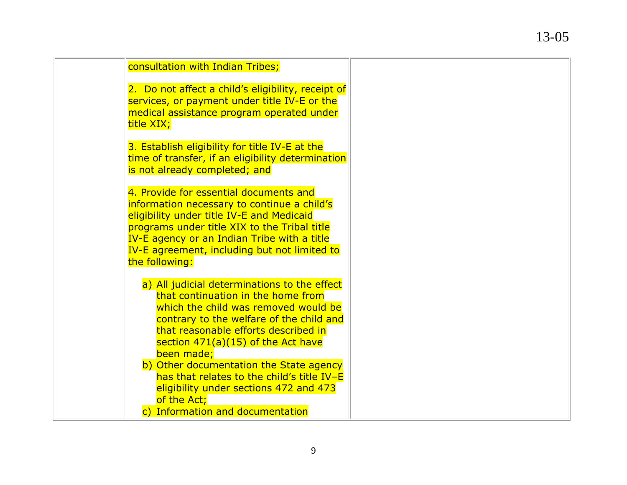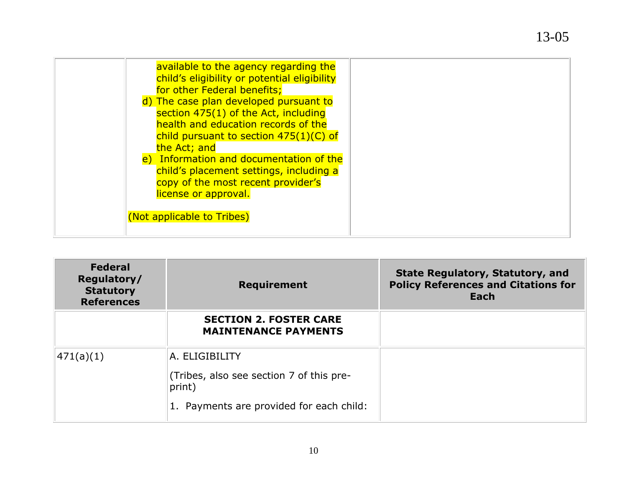| available to the agency regarding the<br>child's eligibility or potential eligibility<br>for other Federal benefits;<br>d) The case plan developed pursuant to<br>section 475(1) of the Act, including<br>health and education records of the<br>child pursuant to section $475(1)(C)$ of<br>the Act; and<br>e) Information and documentation of the<br>child's placement settings, including a<br>copy of the most recent provider's<br>license or approval. |
|---------------------------------------------------------------------------------------------------------------------------------------------------------------------------------------------------------------------------------------------------------------------------------------------------------------------------------------------------------------------------------------------------------------------------------------------------------------|
| (Not applicable to Tribes)                                                                                                                                                                                                                                                                                                                                                                                                                                    |

| <b>Federal</b><br>Regulatory/<br><b>Statutory</b><br><b>References</b> | <b>Requirement</b>                                                                                               | <b>State Regulatory, Statutory, and</b><br><b>Policy References and Citations for</b><br>Each |
|------------------------------------------------------------------------|------------------------------------------------------------------------------------------------------------------|-----------------------------------------------------------------------------------------------|
|                                                                        | <b>SECTION 2. FOSTER CARE</b><br><b>MAINTENANCE PAYMENTS</b>                                                     |                                                                                               |
| 471(a)(1)                                                              | A. ELIGIBILITY<br>(Tribes, also see section 7 of this pre-<br>print)<br>1. Payments are provided for each child: |                                                                                               |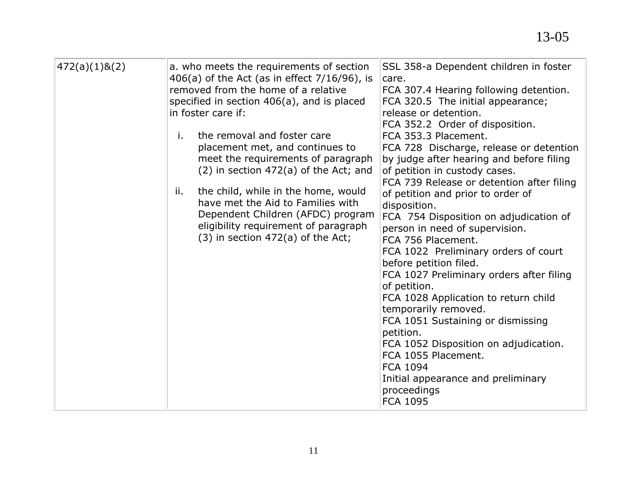| 472(a)(1)8(2) | a. who meets the requirements of section        | SSL 358-a Dependent children in foster                                   |
|---------------|-------------------------------------------------|--------------------------------------------------------------------------|
|               | 406(a) of the Act (as in effect $7/16/96$ ), is | care.                                                                    |
|               | removed from the home of a relative             | FCA 307.4 Hearing following detention.                                   |
|               | specified in section 406(a), and is placed      | FCA 320.5 The initial appearance;                                        |
|               | in foster care if:                              | release or detention.                                                    |
|               |                                                 | FCA 352.2 Order of disposition.                                          |
|               | the removal and foster care<br>i.               | FCA 353.3 Placement.                                                     |
|               | placement met, and continues to                 | FCA 728 Discharge, release or detention                                  |
|               | meet the requirements of paragraph              | by judge after hearing and before filing                                 |
|               | $(2)$ in section 472 $(a)$ of the Act; and      | of petition in custody cases.                                            |
|               | the child, while in the home, would<br>ii.      | FCA 739 Release or detention after filing                                |
|               | have met the Aid to Families with               | of petition and prior to order of                                        |
|               | Dependent Children (AFDC) program               | disposition.                                                             |
|               | eligibility requirement of paragraph            | FCA 754 Disposition on adjudication of<br>person in need of supervision. |
|               | $(3)$ in section 472 $(a)$ of the Act;          | FCA 756 Placement.                                                       |
|               |                                                 | FCA 1022 Preliminary orders of court                                     |
|               |                                                 | before petition filed.                                                   |
|               |                                                 | FCA 1027 Preliminary orders after filing                                 |
|               |                                                 | of petition.                                                             |
|               |                                                 | FCA 1028 Application to return child                                     |
|               |                                                 | temporarily removed.                                                     |
|               |                                                 | FCA 1051 Sustaining or dismissing                                        |
|               |                                                 | petition.                                                                |
|               |                                                 | FCA 1052 Disposition on adjudication.                                    |
|               |                                                 | FCA 1055 Placement.                                                      |
|               |                                                 | FCA 1094                                                                 |
|               |                                                 | Initial appearance and preliminary                                       |
|               |                                                 | proceedings<br>FCA 1095                                                  |
|               |                                                 |                                                                          |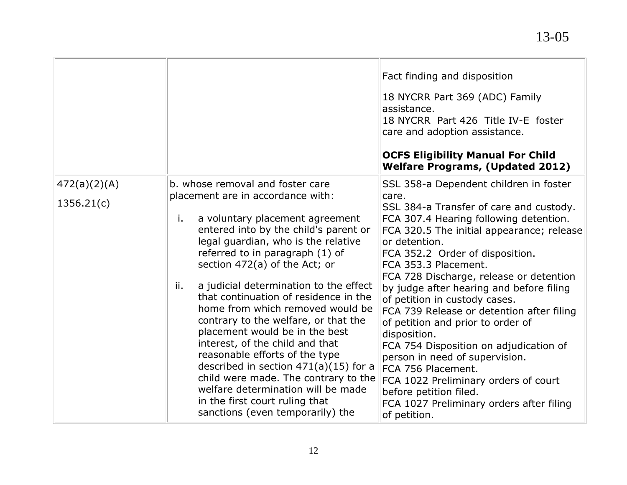|              |                                                                                                                                                                                                                                                                                                                                                                                                                                                                                                                                                                                                                                                                                                            | Fact finding and disposition<br>18 NYCRR Part 369 (ADC) Family<br>assistance.<br>18 NYCRR Part 426 Title IV-E foster<br>care and adoption assistance.<br><b>OCFS Eligibility Manual For Child</b><br><b>Welfare Programs, (Updated 2012)</b>                                                                                                                                                                                                                                                                                                                                                                                                                                  |
|--------------|------------------------------------------------------------------------------------------------------------------------------------------------------------------------------------------------------------------------------------------------------------------------------------------------------------------------------------------------------------------------------------------------------------------------------------------------------------------------------------------------------------------------------------------------------------------------------------------------------------------------------------------------------------------------------------------------------------|-------------------------------------------------------------------------------------------------------------------------------------------------------------------------------------------------------------------------------------------------------------------------------------------------------------------------------------------------------------------------------------------------------------------------------------------------------------------------------------------------------------------------------------------------------------------------------------------------------------------------------------------------------------------------------|
| 472(a)(2)(A) | b. whose removal and foster care                                                                                                                                                                                                                                                                                                                                                                                                                                                                                                                                                                                                                                                                           | SSL 358-a Dependent children in foster                                                                                                                                                                                                                                                                                                                                                                                                                                                                                                                                                                                                                                        |
| 1356.21(c)   | placement are in accordance with:<br>a voluntary placement agreement<br>i.<br>entered into by the child's parent or<br>legal guardian, who is the relative<br>referred to in paragraph (1) of<br>section 472(a) of the Act; or<br>a judicial determination to the effect<br>ii.<br>that continuation of residence in the<br>home from which removed would be<br>contrary to the welfare, or that the<br>placement would be in the best<br>interest, of the child and that<br>reasonable efforts of the type<br>described in section $471(a)(15)$ for a<br>child were made. The contrary to the<br>welfare determination will be made<br>in the first court ruling that<br>sanctions (even temporarily) the | care.<br>SSL 384-a Transfer of care and custody.<br>FCA 307.4 Hearing following detention.<br>FCA 320.5 The initial appearance; release<br>or detention.<br>FCA 352.2 Order of disposition.<br>FCA 353.3 Placement.<br>FCA 728 Discharge, release or detention<br>by judge after hearing and before filing<br>of petition in custody cases.<br>FCA 739 Release or detention after filing<br>of petition and prior to order of<br>disposition.<br>FCA 754 Disposition on adjudication of<br>person in need of supervision.<br>FCA 756 Placement.<br>FCA 1022 Preliminary orders of court<br>before petition filed.<br>FCA 1027 Preliminary orders after filing<br>of petition. |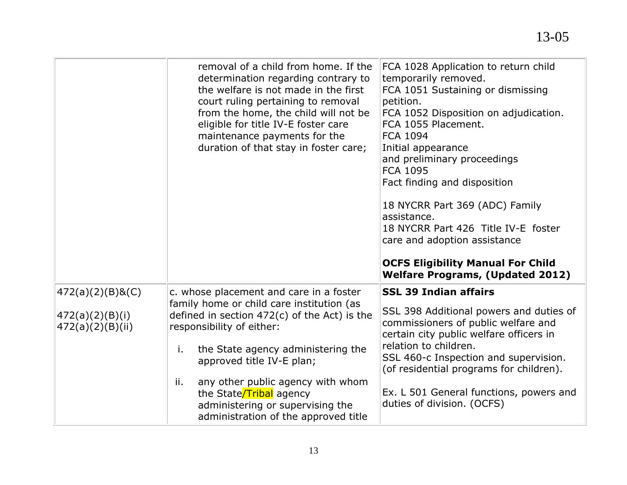|                                                         | removal of a child from home. If the<br>determination regarding contrary to<br>the welfare is not made in the first<br>court ruling pertaining to removal<br>from the home, the child will not be<br>eligible for title IV-E foster care<br>maintenance payments for the<br>duration of that stay in foster care; | FCA 1028 Application to return child<br>temporarily removed.<br>FCA 1051 Sustaining or dismissing<br>petition.<br>FCA 1052 Disposition on adjudication.<br>FCA 1055 Placement.<br>FCA 1094<br>Initial appearance<br>and preliminary proceedings<br><b>FCA 1095</b><br>Fact finding and disposition<br>18 NYCRR Part 369 (ADC) Family<br>assistance.<br>18 NYCRR Part 426 Title IV-E foster<br>care and adoption assistance<br><b>OCFS Eligibility Manual For Child</b><br><b>Welfare Programs, (Updated 2012)</b> |
|---------------------------------------------------------|-------------------------------------------------------------------------------------------------------------------------------------------------------------------------------------------------------------------------------------------------------------------------------------------------------------------|-------------------------------------------------------------------------------------------------------------------------------------------------------------------------------------------------------------------------------------------------------------------------------------------------------------------------------------------------------------------------------------------------------------------------------------------------------------------------------------------------------------------|
| 472(a)(2)(B)8(C)<br>472(a)(2)(B)(i)<br>472(a)(2)(B)(ii) | c. whose placement and care in a foster<br>family home or child care institution (as<br>defined in section $472(c)$ of the Act) is the<br>responsibility of either:<br>the State agency administering the<br>i.<br>approved title IV-E plan;                                                                      | <b>SSL 39 Indian affairs</b><br>SSL 398 Additional powers and duties of<br>commissioners of public welfare and<br>certain city public welfare officers in<br>relation to children.<br>SSL 460-c Inspection and supervision.<br>(of residential programs for children).                                                                                                                                                                                                                                            |
|                                                         | any other public agency with whom<br>ii.<br>the State/Tribal agency<br>administering or supervising the<br>administration of the approved title                                                                                                                                                                   | Ex. L 501 General functions, powers and<br>duties of division. (OCFS)                                                                                                                                                                                                                                                                                                                                                                                                                                             |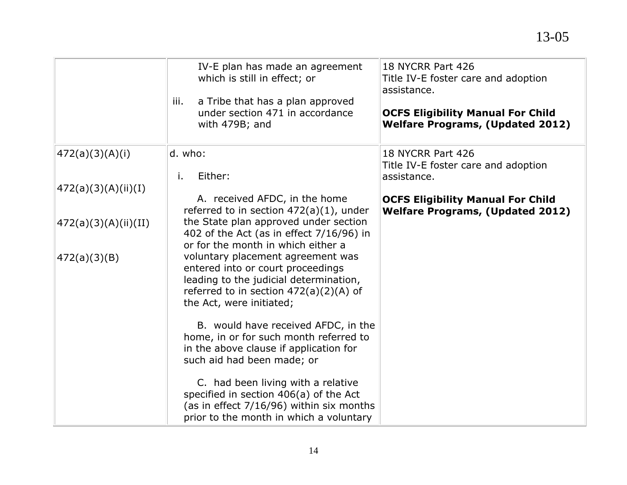|                        | IV-E plan has made an agreement<br>which is still in effect; or<br>a Tribe that has a plan approved<br>iii.<br>under section 471 in accordance<br>with 479B; and                         | 18 NYCRR Part 426<br>Title IV-E foster care and adoption<br>assistance.<br><b>OCFS Eligibility Manual For Child</b><br><b>Welfare Programs, (Updated 2012)</b> |
|------------------------|------------------------------------------------------------------------------------------------------------------------------------------------------------------------------------------|----------------------------------------------------------------------------------------------------------------------------------------------------------------|
| (472(a)(3)(A)(i))      | d. who:<br>Either:<br>i.                                                                                                                                                                 | 18 NYCRR Part 426<br>Title IV-E foster care and adoption<br>assistance.                                                                                        |
| (472(a)(3)(A)(ii)(I))  |                                                                                                                                                                                          |                                                                                                                                                                |
|                        | A. received AFDC, in the home<br>referred to in section $472(a)(1)$ , under                                                                                                              | <b>OCFS Eligibility Manual For Child</b><br><b>Welfare Programs, (Updated 2012)</b>                                                                            |
| (472(a)(3)(A)(ii)(II)) | the State plan approved under section<br>402 of the Act (as in effect 7/16/96) in<br>or for the month in which either a                                                                  |                                                                                                                                                                |
| (472(a)(3)(B))         | voluntary placement agreement was<br>entered into or court proceedings<br>leading to the judicial determination,<br>referred to in section $472(a)(2)(A)$ of<br>the Act, were initiated; |                                                                                                                                                                |
|                        | B. would have received AFDC, in the<br>home, in or for such month referred to<br>in the above clause if application for<br>such aid had been made; or                                    |                                                                                                                                                                |
|                        | C. had been living with a relative<br>specified in section 406(a) of the Act<br>(as in effect 7/16/96) within six months<br>prior to the month in which a voluntary                      |                                                                                                                                                                |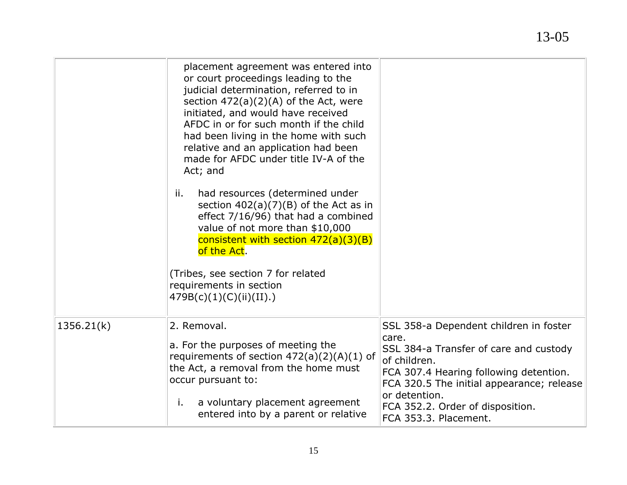|            | placement agreement was entered into<br>or court proceedings leading to the<br>judicial determination, referred to in<br>section $472(a)(2)(A)$ of the Act, were<br>initiated, and would have received<br>AFDC in or for such month if the child<br>had been living in the home with such<br>relative and an application had been<br>made for AFDC under title IV-A of the<br>Act; and<br>had resources (determined under<br>ii.<br>section $402(a)(7)(B)$ of the Act as in<br>effect 7/16/96) that had a combined<br>value of not more than \$10,000<br>consistent with section $472(a)(3)(B)$<br>of the Act.<br>(Tribes, see section 7 for related<br>requirements in section<br>479B(c)(1)(C)(ii)(II). |                                                                                                                                                                                                                                                                                |
|------------|-----------------------------------------------------------------------------------------------------------------------------------------------------------------------------------------------------------------------------------------------------------------------------------------------------------------------------------------------------------------------------------------------------------------------------------------------------------------------------------------------------------------------------------------------------------------------------------------------------------------------------------------------------------------------------------------------------------|--------------------------------------------------------------------------------------------------------------------------------------------------------------------------------------------------------------------------------------------------------------------------------|
| 1356.21(k) | 2. Removal.<br>a. For the purposes of meeting the<br>requirements of section $472(a)(2)(A)(1)$ of<br>the Act, a removal from the home must<br>occur pursuant to:<br>a voluntary placement agreement<br>i.<br>entered into by a parent or relative                                                                                                                                                                                                                                                                                                                                                                                                                                                         | SSL 358-a Dependent children in foster<br>care.<br>SSL 384-a Transfer of care and custody<br>of children.<br>FCA 307.4 Hearing following detention.<br>FCA 320.5 The initial appearance; release<br>or detention.<br>FCA 352.2. Order of disposition.<br>FCA 353.3. Placement. |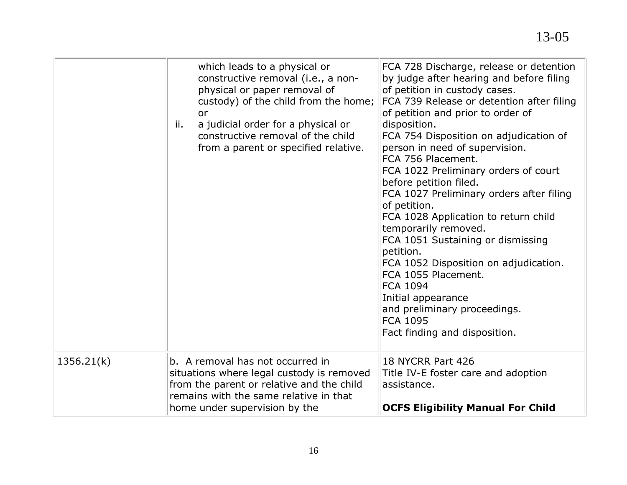|            | which leads to a physical or<br>constructive removal (i.e., a non-<br>physical or paper removal of<br>custody) of the child from the home;<br>or<br>a judicial order for a physical or<br>ii.<br>constructive removal of the child<br>from a parent or specified relative. | FCA 728 Discharge, release or detention<br>by judge after hearing and before filing<br>of petition in custody cases.<br>FCA 739 Release or detention after filing<br>of petition and prior to order of<br>disposition.<br>FCA 754 Disposition on adjudication of<br>person in need of supervision.<br>FCA 756 Placement.<br>FCA 1022 Preliminary orders of court<br>before petition filed.<br>FCA 1027 Preliminary orders after filing<br>of petition.<br>FCA 1028 Application to return child<br>temporarily removed.<br>FCA 1051 Sustaining or dismissing<br>petition.<br>FCA 1052 Disposition on adjudication.<br>FCA 1055 Placement.<br><b>FCA 1094</b><br>Initial appearance<br>and preliminary proceedings.<br><b>FCA 1095</b><br>Fact finding and disposition. |
|------------|----------------------------------------------------------------------------------------------------------------------------------------------------------------------------------------------------------------------------------------------------------------------------|-----------------------------------------------------------------------------------------------------------------------------------------------------------------------------------------------------------------------------------------------------------------------------------------------------------------------------------------------------------------------------------------------------------------------------------------------------------------------------------------------------------------------------------------------------------------------------------------------------------------------------------------------------------------------------------------------------------------------------------------------------------------------|
| 1356.21(k) | b. A removal has not occurred in<br>situations where legal custody is removed<br>from the parent or relative and the child<br>remains with the same relative in that<br>home under supervision by the                                                                      | 18 NYCRR Part 426<br>Title IV-E foster care and adoption<br>assistance.<br><b>OCFS Eligibility Manual For Child</b>                                                                                                                                                                                                                                                                                                                                                                                                                                                                                                                                                                                                                                                   |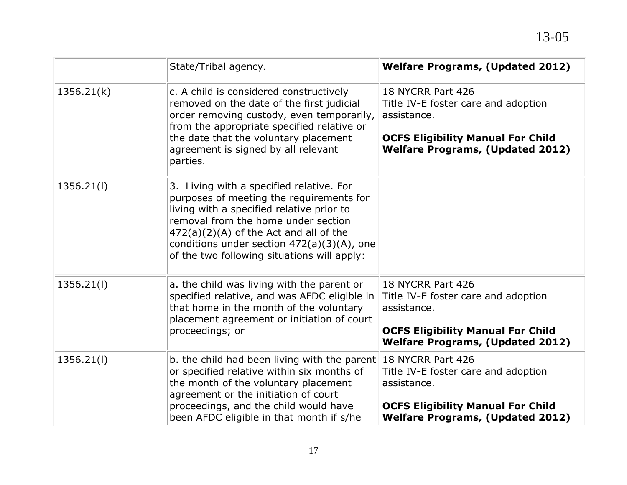|            | State/Tribal agency.                                                                                                                                                                                                                                                                                                 | <b>Welfare Programs, (Updated 2012)</b>                                                                                                                        |
|------------|----------------------------------------------------------------------------------------------------------------------------------------------------------------------------------------------------------------------------------------------------------------------------------------------------------------------|----------------------------------------------------------------------------------------------------------------------------------------------------------------|
| 1356.21(k) | c. A child is considered constructively<br>removed on the date of the first judicial<br>order removing custody, even temporarily,<br>from the appropriate specified relative or<br>the date that the voluntary placement<br>agreement is signed by all relevant<br>parties.                                          | 18 NYCRR Part 426<br>Title IV-E foster care and adoption<br>assistance.<br><b>OCFS Eligibility Manual For Child</b><br><b>Welfare Programs, (Updated 2012)</b> |
| 1356.21(l) | 3. Living with a specified relative. For<br>purposes of meeting the requirements for<br>living with a specified relative prior to<br>removal from the home under section<br>$472(a)(2)(A)$ of the Act and all of the<br>conditions under section $472(a)(3)(A)$ , one<br>of the two following situations will apply: |                                                                                                                                                                |
| 1356.21(l) | a. the child was living with the parent or<br>specified relative, and was AFDC eligible in<br>that home in the month of the voluntary<br>placement agreement or initiation of court<br>proceedings; or                                                                                                               | 18 NYCRR Part 426<br>Title IV-E foster care and adoption<br>assistance.<br><b>OCFS Eligibility Manual For Child</b><br><b>Welfare Programs, (Updated 2012)</b> |
| 1356.21(l) | b. the child had been living with the parent 18 NYCRR Part 426<br>or specified relative within six months of<br>the month of the voluntary placement<br>agreement or the initiation of court<br>proceedings, and the child would have<br>been AFDC eligible in that month if s/he                                    | Title IV-E foster care and adoption<br>assistance.<br><b>OCFS Eligibility Manual For Child</b><br><b>Welfare Programs, (Updated 2012)</b>                      |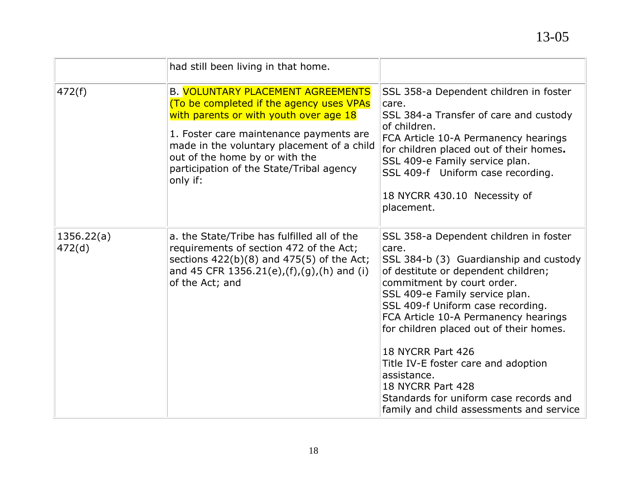|                      | had still been living in that home.                                                                                                                                                                                                                                                                               |                                                                                                                                                                                                                                                                                                                                                                                                                                                                                                                |
|----------------------|-------------------------------------------------------------------------------------------------------------------------------------------------------------------------------------------------------------------------------------------------------------------------------------------------------------------|----------------------------------------------------------------------------------------------------------------------------------------------------------------------------------------------------------------------------------------------------------------------------------------------------------------------------------------------------------------------------------------------------------------------------------------------------------------------------------------------------------------|
| 472(f)               | <b>B. VOLUNTARY PLACEMENT AGREEMENTS</b><br>(To be completed if the agency uses VPAs<br>with parents or with youth over age 18<br>1. Foster care maintenance payments are<br>made in the voluntary placement of a child<br>out of the home by or with the<br>participation of the State/Tribal agency<br>only if: | SSL 358-a Dependent children in foster<br>care.<br>SSL 384-a Transfer of care and custody<br>of children.<br>FCA Article 10-A Permanency hearings<br>for children placed out of their homes.<br>SSL 409-e Family service plan.<br>SSL 409-f Uniform case recording.<br>18 NYCRR 430.10 Necessity of<br>placement.                                                                                                                                                                                              |
| 1356.22(a)<br>472(d) | a. the State/Tribe has fulfilled all of the<br>requirements of section 472 of the Act;<br>sections $422(b)(8)$ and $475(5)$ of the Act;<br>and 45 CFR 1356.21(e),(f),(g),(h) and (i)<br>of the Act; and                                                                                                           | SSL 358-a Dependent children in foster<br>care.<br>SSL 384-b (3) Guardianship and custody<br>of destitute or dependent children;<br>commitment by court order.<br>SSL 409-e Family service plan.<br>SSL 409-f Uniform case recording.<br>FCA Article 10-A Permanency hearings<br>for children placed out of their homes.<br>18 NYCRR Part 426<br>Title IV-E foster care and adoption<br>assistance.<br>18 NYCRR Part 428<br>Standards for uniform case records and<br>family and child assessments and service |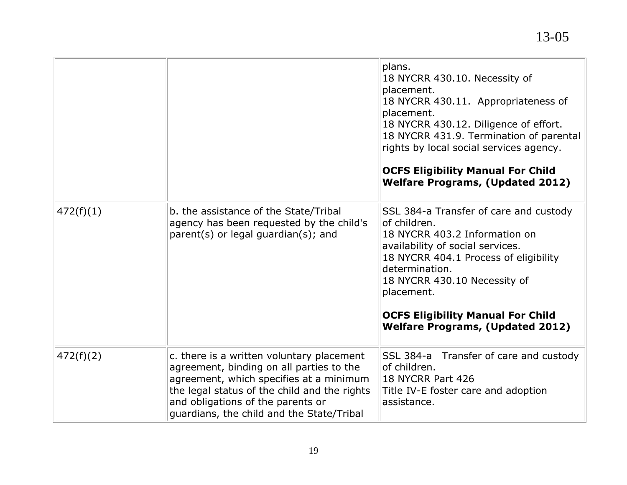|           |                                                                                                                                                                                                                                                                    | plans.<br>18 NYCRR 430.10. Necessity of<br>placement.<br>18 NYCRR 430.11. Appropriateness of<br>placement.<br>18 NYCRR 430.12. Diligence of effort.<br>18 NYCRR 431.9. Termination of parental<br>rights by local social services agency.<br><b>OCFS Eligibility Manual For Child</b><br><b>Welfare Programs, (Updated 2012)</b> |
|-----------|--------------------------------------------------------------------------------------------------------------------------------------------------------------------------------------------------------------------------------------------------------------------|----------------------------------------------------------------------------------------------------------------------------------------------------------------------------------------------------------------------------------------------------------------------------------------------------------------------------------|
| 472(f)(1) | b. the assistance of the State/Tribal<br>agency has been requested by the child's<br>parent(s) or legal guardian(s); and                                                                                                                                           | SSL 384-a Transfer of care and custody<br>of children.<br>18 NYCRR 403.2 Information on<br>availability of social services.<br>18 NYCRR 404.1 Process of eligibility<br>determination.<br>18 NYCRR 430.10 Necessity of<br>placement.<br><b>OCFS Eligibility Manual For Child</b><br><b>Welfare Programs, (Updated 2012)</b>      |
| 472(f)(2) | c. there is a written voluntary placement<br>agreement, binding on all parties to the<br>agreement, which specifies at a minimum<br>the legal status of the child and the rights<br>and obligations of the parents or<br>guardians, the child and the State/Tribal | SSL 384-a Transfer of care and custody<br>of children.<br>18 NYCRR Part 426<br>Title IV-E foster care and adoption<br>assistance.                                                                                                                                                                                                |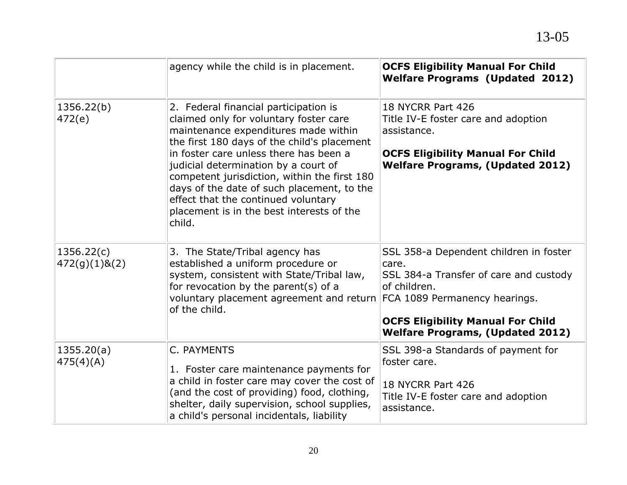|                             | agency while the child is in placement.                                                                                                                                                                                                                                                                                                                                                                                                              | <b>OCFS Eligibility Manual For Child</b><br><b>Welfare Programs (Updated 2012)</b>                                                                                                                                                |
|-----------------------------|------------------------------------------------------------------------------------------------------------------------------------------------------------------------------------------------------------------------------------------------------------------------------------------------------------------------------------------------------------------------------------------------------------------------------------------------------|-----------------------------------------------------------------------------------------------------------------------------------------------------------------------------------------------------------------------------------|
| 1356.22(b)<br>472(e)        | 2. Federal financial participation is<br>claimed only for voluntary foster care<br>maintenance expenditures made within<br>the first 180 days of the child's placement<br>in foster care unless there has been a<br>judicial determination by a court of<br>competent jurisdiction, within the first 180<br>days of the date of such placement, to the<br>effect that the continued voluntary<br>placement is in the best interests of the<br>child. | 18 NYCRR Part 426<br>Title IV-E foster care and adoption<br>assistance.<br><b>OCFS Eligibility Manual For Child</b><br><b>Welfare Programs, (Updated 2012)</b>                                                                    |
| 1356.22(c)<br>472(g)(1)8(2) | 3. The State/Tribal agency has<br>established a uniform procedure or<br>system, consistent with State/Tribal law,<br>for revocation by the parent(s) of a<br>voluntary placement agreement and return<br>of the child.                                                                                                                                                                                                                               | SSL 358-a Dependent children in foster<br>care.<br>SSL 384-a Transfer of care and custody<br>of children.<br>FCA 1089 Permanency hearings.<br><b>OCFS Eligibility Manual For Child</b><br><b>Welfare Programs, (Updated 2012)</b> |
| 1355.20(a)<br>475(4)(A)     | C. PAYMENTS<br>1. Foster care maintenance payments for<br>a child in foster care may cover the cost of<br>(and the cost of providing) food, clothing,<br>shelter, daily supervision, school supplies,<br>a child's personal incidentals, liability                                                                                                                                                                                                   | SSL 398-a Standards of payment for<br>foster care.<br>18 NYCRR Part 426<br>Title IV-E foster care and adoption<br>assistance.                                                                                                     |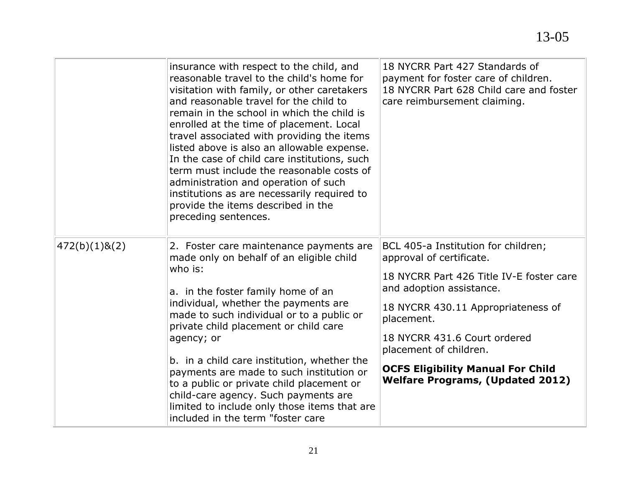|               | insurance with respect to the child, and<br>reasonable travel to the child's home for<br>visitation with family, or other caretakers<br>and reasonable travel for the child to<br>remain in the school in which the child is<br>enrolled at the time of placement. Local<br>travel associated with providing the items<br>listed above is also an allowable expense.<br>In the case of child care institutions, such<br>term must include the reasonable costs of<br>administration and operation of such<br>institutions as are necessarily required to<br>provide the items described in the<br>preceding sentences. | 18 NYCRR Part 427 Standards of<br>payment for foster care of children.<br>18 NYCRR Part 628 Child care and foster<br>care reimbursement claiming.                                                                                                                                                                                            |
|---------------|------------------------------------------------------------------------------------------------------------------------------------------------------------------------------------------------------------------------------------------------------------------------------------------------------------------------------------------------------------------------------------------------------------------------------------------------------------------------------------------------------------------------------------------------------------------------------------------------------------------------|----------------------------------------------------------------------------------------------------------------------------------------------------------------------------------------------------------------------------------------------------------------------------------------------------------------------------------------------|
| 472(b)(1)8(2) | 2. Foster care maintenance payments are<br>made only on behalf of an eligible child<br>who is:<br>a. in the foster family home of an<br>individual, whether the payments are<br>made to such individual or to a public or<br>private child placement or child care<br>agency; or<br>b. in a child care institution, whether the<br>payments are made to such institution or<br>to a public or private child placement or<br>child-care agency. Such payments are<br>limited to include only those items that are<br>included in the term "foster care                                                                  | BCL 405-a Institution for children;<br>approval of certificate.<br>18 NYCRR Part 426 Title IV-E foster care<br>and adoption assistance.<br>18 NYCRR 430.11 Appropriateness of<br>placement.<br>18 NYCRR 431.6 Court ordered<br>placement of children.<br><b>OCFS Eligibility Manual For Child</b><br><b>Welfare Programs, (Updated 2012)</b> |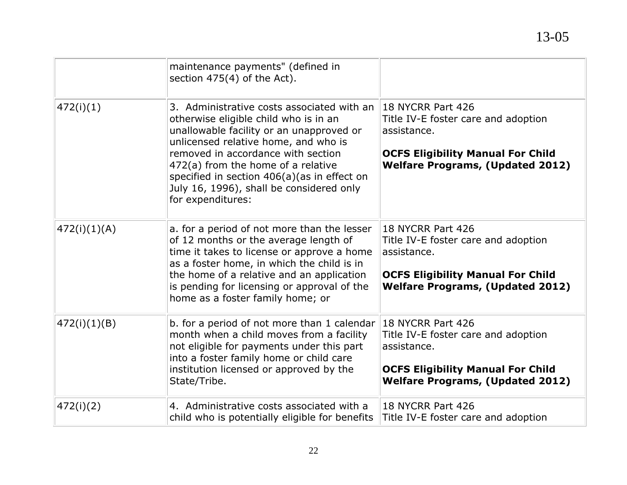|              | maintenance payments" (defined in<br>section $475(4)$ of the Act).                                                                                                                                                                                                                                                                                                     |                                                                                                                                                                |
|--------------|------------------------------------------------------------------------------------------------------------------------------------------------------------------------------------------------------------------------------------------------------------------------------------------------------------------------------------------------------------------------|----------------------------------------------------------------------------------------------------------------------------------------------------------------|
| 472(i)(1)    | 3. Administrative costs associated with an<br>otherwise eligible child who is in an<br>unallowable facility or an unapproved or<br>unlicensed relative home, and who is<br>removed in accordance with section<br>472(a) from the home of a relative<br>specified in section $406(a)(as)$ in effect on<br>July 16, 1996), shall be considered only<br>for expenditures: | 18 NYCRR Part 426<br>Title IV-E foster care and adoption<br>assistance.<br><b>OCFS Eligibility Manual For Child</b><br><b>Welfare Programs, (Updated 2012)</b> |
| 472(i)(1)(A) | a. for a period of not more than the lesser<br>of 12 months or the average length of<br>time it takes to license or approve a home<br>as a foster home, in which the child is in<br>the home of a relative and an application<br>is pending for licensing or approval of the<br>home as a foster family home; or                                                       | 18 NYCRR Part 426<br>Title IV-E foster care and adoption<br>assistance.<br><b>OCFS Eligibility Manual For Child</b><br><b>Welfare Programs, (Updated 2012)</b> |
| 472(i)(1)(B) | b. for a period of not more than 1 calendar 18 NYCRR Part 426<br>month when a child moves from a facility<br>not eligible for payments under this part<br>into a foster family home or child care<br>institution licensed or approved by the<br>State/Tribe.                                                                                                           | Title IV-E foster care and adoption<br>assistance.<br><b>OCFS Eligibility Manual For Child</b><br><b>Welfare Programs, (Updated 2012)</b>                      |
| 472(i)(2)    | 4. Administrative costs associated with a<br>child who is potentially eligible for benefits                                                                                                                                                                                                                                                                            | 18 NYCRR Part 426<br>Title IV-E foster care and adoption                                                                                                       |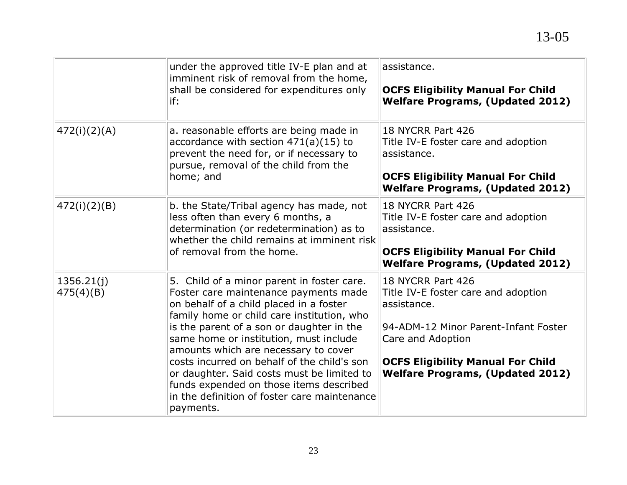|                         | under the approved title IV-E plan and at<br>imminent risk of removal from the home,<br>shall be considered for expenditures only<br>if:                                                                                                                                                                                                                                                                                                                                                                         | assistance.<br><b>OCFS Eligibility Manual For Child</b><br><b>Welfare Programs, (Updated 2012)</b>                                                                                                                          |
|-------------------------|------------------------------------------------------------------------------------------------------------------------------------------------------------------------------------------------------------------------------------------------------------------------------------------------------------------------------------------------------------------------------------------------------------------------------------------------------------------------------------------------------------------|-----------------------------------------------------------------------------------------------------------------------------------------------------------------------------------------------------------------------------|
| 472(i)(2)(A)            | a. reasonable efforts are being made in<br>accordance with section $471(a)(15)$ to<br>prevent the need for, or if necessary to<br>pursue, removal of the child from the<br>home; and                                                                                                                                                                                                                                                                                                                             | 18 NYCRR Part 426<br>Title IV-E foster care and adoption<br>assistance.<br><b>OCFS Eligibility Manual For Child</b><br><b>Welfare Programs, (Updated 2012)</b>                                                              |
| 472(i)(2)(B)            | b. the State/Tribal agency has made, not<br>less often than every 6 months, a<br>determination (or redetermination) as to<br>whether the child remains at imminent risk<br>of removal from the home.                                                                                                                                                                                                                                                                                                             | 18 NYCRR Part 426<br>Title IV-E foster care and adoption<br>assistance.<br><b>OCFS Eligibility Manual For Child</b><br><b>Welfare Programs, (Updated 2012)</b>                                                              |
| 1356.21(j)<br>475(4)(B) | 5. Child of a minor parent in foster care.<br>Foster care maintenance payments made<br>on behalf of a child placed in a foster<br>family home or child care institution, who<br>is the parent of a son or daughter in the<br>same home or institution, must include<br>amounts which are necessary to cover<br>costs incurred on behalf of the child's son<br>or daughter. Said costs must be limited to<br>funds expended on those items described<br>in the definition of foster care maintenance<br>payments. | 18 NYCRR Part 426<br>Title IV-E foster care and adoption<br>assistance.<br>94-ADM-12 Minor Parent-Infant Foster<br>Care and Adoption<br><b>OCFS Eligibility Manual For Child</b><br><b>Welfare Programs, (Updated 2012)</b> |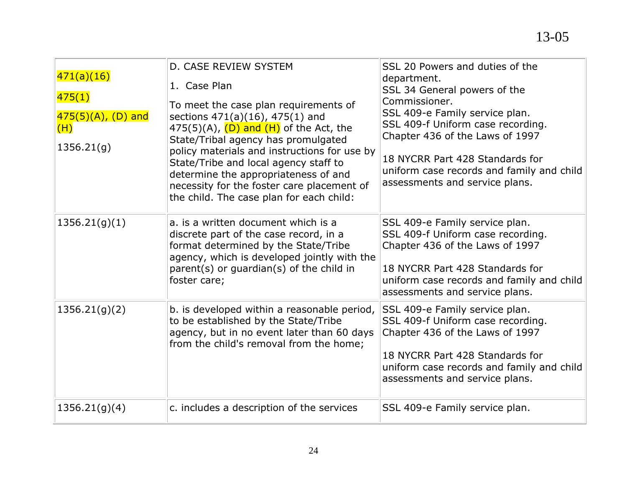| 471(a)(16)<br>475(1)<br>$475(5)(A)$ , (D) and<br>(H)<br>1356.21(g) | D. CASE REVIEW SYSTEM<br>1. Case Plan<br>To meet the case plan requirements of<br>sections 471(a)(16), 475(1) and<br>$475(5)(A)$ , $(D)$ and $(H)$ of the Act, the<br>State/Tribal agency has promulgated<br>policy materials and instructions for use by<br>State/Tribe and local agency staff to<br>determine the appropriateness of and<br>necessity for the foster care placement of<br>the child. The case plan for each child: | SSL 20 Powers and duties of the<br>department.<br>SSL 34 General powers of the<br>Commissioner.<br>SSL 409-e Family service plan.<br>SSL 409-f Uniform case recording.<br>Chapter 436 of the Laws of 1997<br>18 NYCRR Part 428 Standards for<br>uniform case records and family and child<br>assessments and service plans. |
|--------------------------------------------------------------------|--------------------------------------------------------------------------------------------------------------------------------------------------------------------------------------------------------------------------------------------------------------------------------------------------------------------------------------------------------------------------------------------------------------------------------------|-----------------------------------------------------------------------------------------------------------------------------------------------------------------------------------------------------------------------------------------------------------------------------------------------------------------------------|
| 1356.21(g)(1)                                                      | a. is a written document which is a<br>discrete part of the case record, in a<br>format determined by the State/Tribe<br>agency, which is developed jointly with the<br>parent(s) or guardian(s) of the child in<br>foster care;                                                                                                                                                                                                     | SSL 409-e Family service plan.<br>SSL 409-f Uniform case recording.<br>Chapter 436 of the Laws of 1997<br>18 NYCRR Part 428 Standards for<br>uniform case records and family and child<br>assessments and service plans.                                                                                                    |
| 1356.21(g)(2)                                                      | b. is developed within a reasonable period,<br>to be established by the State/Tribe<br>agency, but in no event later than 60 days<br>from the child's removal from the home;                                                                                                                                                                                                                                                         | SSL 409-e Family service plan.<br>SSL 409-f Uniform case recording.<br>Chapter 436 of the Laws of 1997<br>18 NYCRR Part 428 Standards for<br>uniform case records and family and child<br>assessments and service plans.                                                                                                    |
| 1356.21(g)(4)                                                      | c. includes a description of the services                                                                                                                                                                                                                                                                                                                                                                                            | SSL 409-e Family service plan.                                                                                                                                                                                                                                                                                              |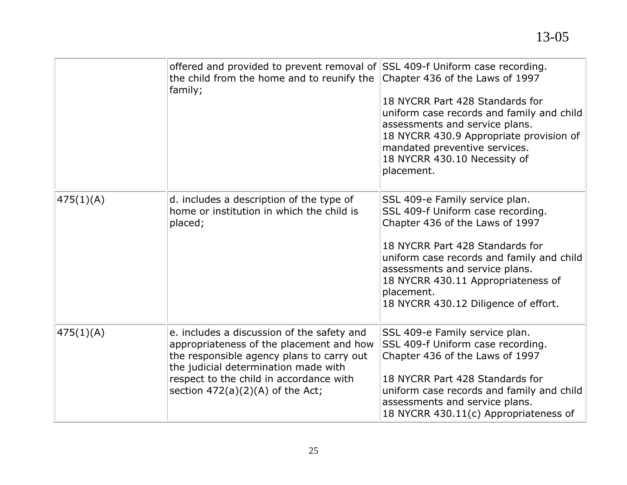|           | offered and provided to prevent removal of SSL 409-f Uniform case recording.<br>the child from the home and to reunify the<br>family;                                                                                                                        | Chapter 436 of the Laws of 1997<br>18 NYCRR Part 428 Standards for<br>uniform case records and family and child<br>assessments and service plans.<br>18 NYCRR 430.9 Appropriate provision of<br>mandated preventive services.<br>18 NYCRR 430.10 Necessity of<br>placement.                                          |
|-----------|--------------------------------------------------------------------------------------------------------------------------------------------------------------------------------------------------------------------------------------------------------------|----------------------------------------------------------------------------------------------------------------------------------------------------------------------------------------------------------------------------------------------------------------------------------------------------------------------|
| 475(1)(A) | d. includes a description of the type of<br>home or institution in which the child is<br>placed;                                                                                                                                                             | SSL 409-e Family service plan.<br>SSL 409-f Uniform case recording.<br>Chapter 436 of the Laws of 1997<br>18 NYCRR Part 428 Standards for<br>uniform case records and family and child<br>assessments and service plans.<br>18 NYCRR 430.11 Appropriateness of<br>placement.<br>18 NYCRR 430.12 Diligence of effort. |
| 475(1)(A) | e. includes a discussion of the safety and<br>appropriateness of the placement and how<br>the responsible agency plans to carry out<br>the judicial determination made with<br>respect to the child in accordance with<br>section $472(a)(2)(A)$ of the Act; | SSL 409-e Family service plan.<br>SSL 409-f Uniform case recording.<br>Chapter 436 of the Laws of 1997<br>18 NYCRR Part 428 Standards for<br>uniform case records and family and child<br>assessments and service plans.<br>18 NYCRR 430.11(c) Appropriateness of                                                    |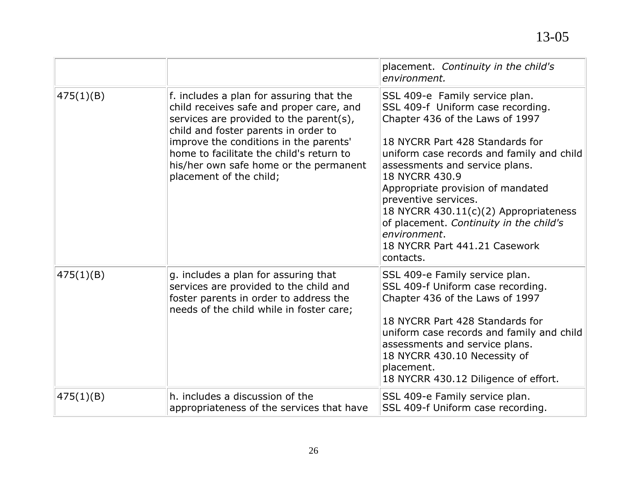|           |                                                                                                                                                                                                                                                                                                                                    | placement. Continuity in the child's<br>environment.                                                                                                                                                                                                                                                                                                                                                                                                      |
|-----------|------------------------------------------------------------------------------------------------------------------------------------------------------------------------------------------------------------------------------------------------------------------------------------------------------------------------------------|-----------------------------------------------------------------------------------------------------------------------------------------------------------------------------------------------------------------------------------------------------------------------------------------------------------------------------------------------------------------------------------------------------------------------------------------------------------|
| 475(1)(B) | f. includes a plan for assuring that the<br>child receives safe and proper care, and<br>services are provided to the parent(s),<br>child and foster parents in order to<br>improve the conditions in the parents'<br>home to facilitate the child's return to<br>his/her own safe home or the permanent<br>placement of the child; | SSL 409-e Family service plan.<br>SSL 409-f Uniform case recording.<br>Chapter 436 of the Laws of 1997<br>18 NYCRR Part 428 Standards for<br>uniform case records and family and child<br>assessments and service plans.<br>18 NYCRR 430.9<br>Appropriate provision of mandated<br>preventive services.<br>18 NYCRR 430.11(c)(2) Appropriateness<br>of placement. Continuity in the child's<br>environment.<br>18 NYCRR Part 441.21 Casework<br>contacts. |
| 475(1)(B) | g. includes a plan for assuring that<br>services are provided to the child and<br>foster parents in order to address the<br>needs of the child while in foster care;                                                                                                                                                               | SSL 409-e Family service plan.<br>SSL 409-f Uniform case recording.<br>Chapter 436 of the Laws of 1997<br>18 NYCRR Part 428 Standards for<br>uniform case records and family and child<br>assessments and service plans.<br>18 NYCRR 430.10 Necessity of<br>placement.<br>18 NYCRR 430.12 Diligence of effort.                                                                                                                                            |
| 475(1)(B) | h. includes a discussion of the<br>appropriateness of the services that have                                                                                                                                                                                                                                                       | SSL 409-e Family service plan.<br>SSL 409-f Uniform case recording.                                                                                                                                                                                                                                                                                                                                                                                       |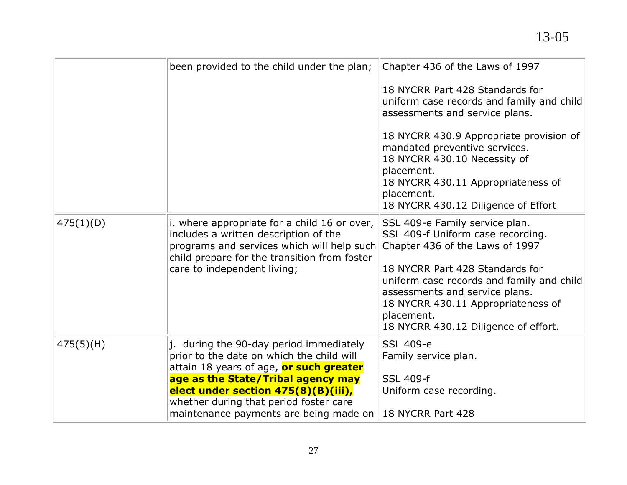|           | been provided to the child under the plan;                                                                                                                                                                                                                                                       | Chapter 436 of the Laws of 1997<br>18 NYCRR Part 428 Standards for<br>uniform case records and family and child<br>assessments and service plans.<br>18 NYCRR 430.9 Appropriate provision of<br>mandated preventive services.<br>18 NYCRR 430.10 Necessity of<br>placement.<br>18 NYCRR 430.11 Appropriateness of<br>placement.<br>18 NYCRR 430.12 Diligence of Effort |
|-----------|--------------------------------------------------------------------------------------------------------------------------------------------------------------------------------------------------------------------------------------------------------------------------------------------------|------------------------------------------------------------------------------------------------------------------------------------------------------------------------------------------------------------------------------------------------------------------------------------------------------------------------------------------------------------------------|
| 475(1)(D) | i. where appropriate for a child 16 or over,<br>includes a written description of the<br>programs and services which will help such<br>child prepare for the transition from foster<br>care to independent living;                                                                               | SSL 409-e Family service plan.<br>SSL 409-f Uniform case recording.<br>Chapter 436 of the Laws of 1997<br>18 NYCRR Part 428 Standards for<br>uniform case records and family and child<br>assessments and service plans.<br>18 NYCRR 430.11 Appropriateness of<br>placement.<br>18 NYCRR 430.12 Diligence of effort.                                                   |
| 475(5)(H) | j. during the 90-day period immediately<br>prior to the date on which the child will<br>attain 18 years of age, or such greater<br>age as the State/Tribal agency may<br>elect under section 475(8)(B)(iii),<br>whether during that period foster care<br>maintenance payments are being made on | SSL 409-e<br>Family service plan.<br><b>SSL 409-f</b><br>Uniform case recording.<br>18 NYCRR Part 428                                                                                                                                                                                                                                                                  |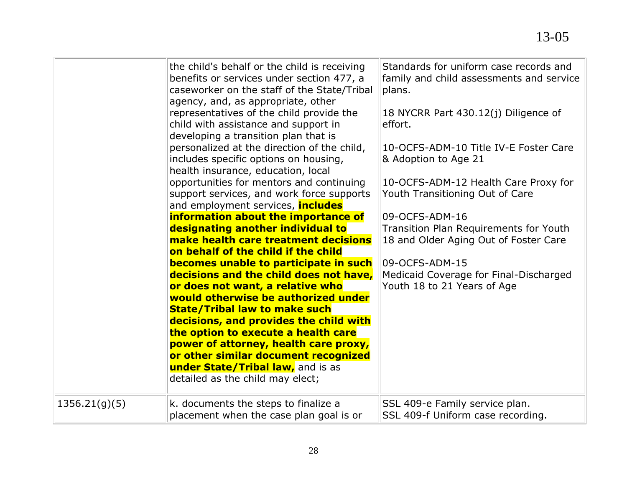|               | the child's behalf or the child is receiving<br>benefits or services under section 477, a<br>caseworker on the staff of the State/Tribal<br>agency, and, as appropriate, other<br>representatives of the child provide the<br>child with assistance and support in<br>developing a transition plan that is<br>personalized at the direction of the child,<br>includes specific options on housing,<br>health insurance, education, local<br>opportunities for mentors and continuing<br>support services, and work force supports<br>and employment services, <i>includes</i><br>information about the importance of<br>designating another individual to<br>make health care treatment decisions<br>on behalf of the child if the child<br>becomes unable to participate in such<br>decisions and the child does not have,<br>or does not want, a relative who<br>would otherwise be authorized under<br><b>State/Tribal law to make such</b><br>decisions, and provides the child with<br>the option to execute a health care<br>power of attorney, health care proxy,<br>or other similar document recognized<br><b>under State/Tribal law,</b> and is as | Standards for uniform case records and<br>family and child assessments and service<br>plans.<br>18 NYCRR Part 430.12(j) Diligence of<br>effort.<br>10-OCFS-ADM-10 Title IV-E Foster Care<br>& Adoption to Age 21<br>10-OCFS-ADM-12 Health Care Proxy for<br>Youth Transitioning Out of Care<br>09-OCFS-ADM-16<br>Transition Plan Requirements for Youth<br>18 and Older Aging Out of Foster Care<br>09-OCFS-ADM-15<br>Medicaid Coverage for Final-Discharged<br>Youth 18 to 21 Years of Age |
|---------------|--------------------------------------------------------------------------------------------------------------------------------------------------------------------------------------------------------------------------------------------------------------------------------------------------------------------------------------------------------------------------------------------------------------------------------------------------------------------------------------------------------------------------------------------------------------------------------------------------------------------------------------------------------------------------------------------------------------------------------------------------------------------------------------------------------------------------------------------------------------------------------------------------------------------------------------------------------------------------------------------------------------------------------------------------------------------------------------------------------------------------------------------------------------|---------------------------------------------------------------------------------------------------------------------------------------------------------------------------------------------------------------------------------------------------------------------------------------------------------------------------------------------------------------------------------------------------------------------------------------------------------------------------------------------|
|               | detailed as the child may elect;                                                                                                                                                                                                                                                                                                                                                                                                                                                                                                                                                                                                                                                                                                                                                                                                                                                                                                                                                                                                                                                                                                                             |                                                                                                                                                                                                                                                                                                                                                                                                                                                                                             |
| 1356.21(g)(5) | k. documents the steps to finalize a<br>placement when the case plan goal is or                                                                                                                                                                                                                                                                                                                                                                                                                                                                                                                                                                                                                                                                                                                                                                                                                                                                                                                                                                                                                                                                              | SSL 409-e Family service plan.<br>SSL 409-f Uniform case recording.                                                                                                                                                                                                                                                                                                                                                                                                                         |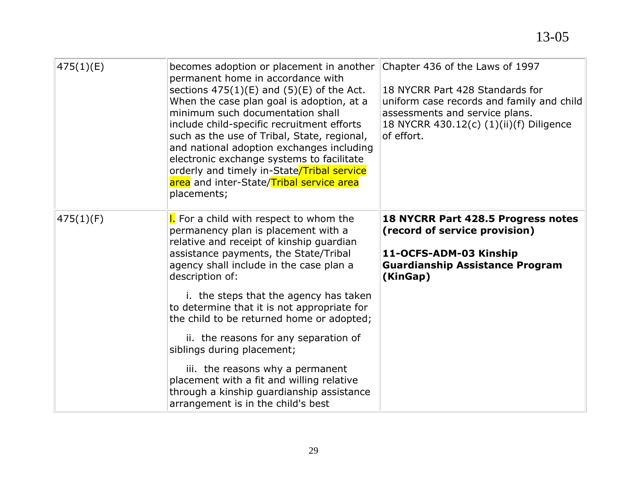| 475(1)(E) | becomes adoption or placement in another<br>permanent home in accordance with<br>sections $475(1)(E)$ and $(5)(E)$ of the Act.<br>When the case plan goal is adoption, at a<br>minimum such documentation shall<br>include child-specific recruitment efforts<br>such as the use of Tribal, State, regional,<br>and national adoption exchanges including<br>electronic exchange systems to facilitate<br>orderly and timely in-State/Tribal service<br>area and inter-State/Tribal service area<br>placements; | Chapter 436 of the Laws of 1997<br>18 NYCRR Part 428 Standards for<br>uniform case records and family and child<br>assessments and service plans.<br>18 NYCRR 430.12(c) (1)(ii)(f) Diligence<br>of effort. |
|-----------|-----------------------------------------------------------------------------------------------------------------------------------------------------------------------------------------------------------------------------------------------------------------------------------------------------------------------------------------------------------------------------------------------------------------------------------------------------------------------------------------------------------------|------------------------------------------------------------------------------------------------------------------------------------------------------------------------------------------------------------|
| 475(1)(F) | <b>I.</b> For a child with respect to whom the<br>permanency plan is placement with a<br>relative and receipt of kinship guardian<br>assistance payments, the State/Tribal<br>agency shall include in the case plan a<br>description of:<br>i. the steps that the agency has taken<br>to determine that it is not appropriate for                                                                                                                                                                               | 18 NYCRR Part 428.5 Progress notes<br>(record of service provision)<br>11-OCFS-ADM-03 Kinship<br><b>Guardianship Assistance Program</b><br>(KinGap)                                                        |
|           | the child to be returned home or adopted;<br>ii. the reasons for any separation of<br>siblings during placement;                                                                                                                                                                                                                                                                                                                                                                                                |                                                                                                                                                                                                            |
|           | iii. the reasons why a permanent<br>placement with a fit and willing relative<br>through a kinship guardianship assistance<br>arrangement is in the child's best                                                                                                                                                                                                                                                                                                                                                |                                                                                                                                                                                                            |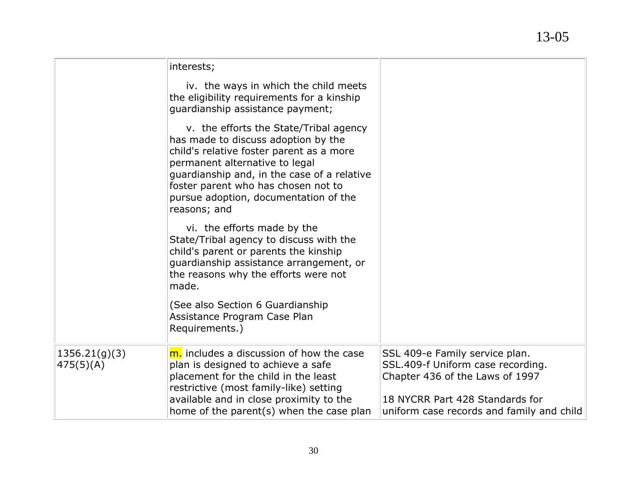|                            | interests;                                                                                                                                                                                                                                                                                                 |                                                                                                                                                                                        |
|----------------------------|------------------------------------------------------------------------------------------------------------------------------------------------------------------------------------------------------------------------------------------------------------------------------------------------------------|----------------------------------------------------------------------------------------------------------------------------------------------------------------------------------------|
|                            | iv. the ways in which the child meets<br>the eligibility requirements for a kinship<br>quardianship assistance payment;                                                                                                                                                                                    |                                                                                                                                                                                        |
|                            | v. the efforts the State/Tribal agency<br>has made to discuss adoption by the<br>child's relative foster parent as a more<br>permanent alternative to legal<br>guardianship and, in the case of a relative<br>foster parent who has chosen not to<br>pursue adoption, documentation of the<br>reasons; and |                                                                                                                                                                                        |
|                            | vi. the efforts made by the<br>State/Tribal agency to discuss with the<br>child's parent or parents the kinship<br>quardianship assistance arrangement, or<br>the reasons why the efforts were not<br>made.                                                                                                |                                                                                                                                                                                        |
|                            | (See also Section 6 Guardianship<br>Assistance Program Case Plan<br>Requirements.)                                                                                                                                                                                                                         |                                                                                                                                                                                        |
| 1356.21(q)(3)<br>475(5)(A) | m. includes a discussion of how the case<br>plan is designed to achieve a safe<br>placement for the child in the least<br>restrictive (most family-like) setting<br>available and in close proximity to the<br>home of the parent(s) when the case plan                                                    | SSL 409-e Family service plan.<br>SSL.409-f Uniform case recording.<br>Chapter 436 of the Laws of 1997<br>18 NYCRR Part 428 Standards for<br>uniform case records and family and child |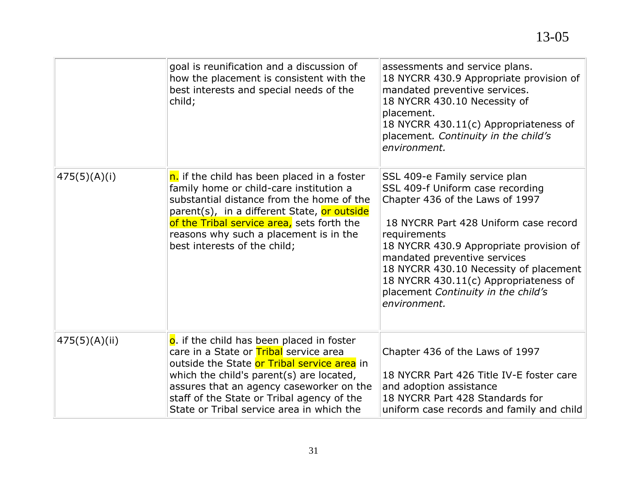|               | goal is reunification and a discussion of<br>how the placement is consistent with the<br>best interests and special needs of the<br>child;                                                                                                                                                                            | assessments and service plans.<br>18 NYCRR 430.9 Appropriate provision of<br>mandated preventive services.<br>18 NYCRR 430.10 Necessity of<br>placement.<br>18 NYCRR 430.11(c) Appropriateness of<br>placement. Continuity in the child's<br>environment.                                                                                                                          |
|---------------|-----------------------------------------------------------------------------------------------------------------------------------------------------------------------------------------------------------------------------------------------------------------------------------------------------------------------|------------------------------------------------------------------------------------------------------------------------------------------------------------------------------------------------------------------------------------------------------------------------------------------------------------------------------------------------------------------------------------|
| 475(5)(A)(i)  | n. if the child has been placed in a foster<br>family home or child-care institution a<br>substantial distance from the home of the<br>parent(s), in a different State, or outside<br>of the Tribal service area, sets forth the<br>reasons why such a placement is in the<br>best interests of the child;            | SSL 409-e Family service plan<br>SSL 409-f Uniform case recording<br>Chapter 436 of the Laws of 1997<br>18 NYCRR Part 428 Uniform case record<br>requirements<br>18 NYCRR 430.9 Appropriate provision of<br>mandated preventive services<br>18 NYCRR 430.10 Necessity of placement<br>18 NYCRR 430.11(c) Appropriateness of<br>placement Continuity in the child's<br>environment. |
| 475(5)(A)(ii) | o. if the child has been placed in foster<br>care in a State or Tribal service area<br>outside the State or Tribal service area in<br>which the child's parent(s) are located,<br>assures that an agency caseworker on the<br>staff of the State or Tribal agency of the<br>State or Tribal service area in which the | Chapter 436 of the Laws of 1997<br>18 NYCRR Part 426 Title IV-E foster care<br>and adoption assistance<br>18 NYCRR Part 428 Standards for<br>uniform case records and family and child                                                                                                                                                                                             |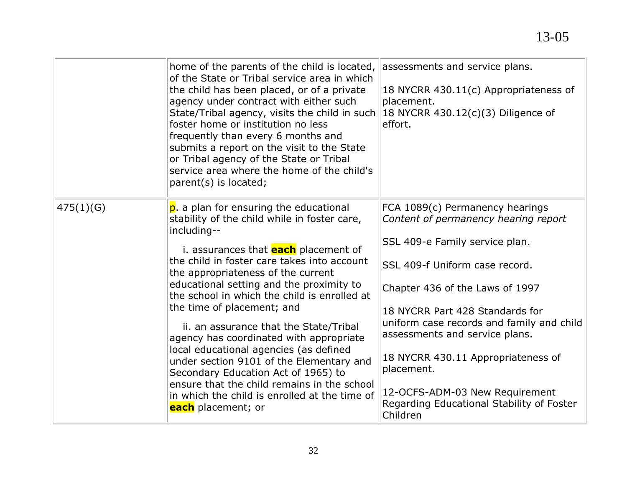|           | home of the parents of the child is located,<br>of the State or Tribal service area in which<br>the child has been placed, or of a private<br>agency under contract with either such<br>State/Tribal agency, visits the child in such<br>foster home or institution no less<br>frequently than every 6 months and<br>submits a report on the visit to the State<br>or Tribal agency of the State or Tribal<br>service area where the home of the child's<br>parent(s) is located;                                                                                                                                                                                                                           | assessments and service plans.<br>18 NYCRR 430.11(c) Appropriateness of<br>placement.<br>18 NYCRR 430.12(c)(3) Diligence of<br>effort.                                                                                                                                                                                                                                                                                                          |
|-----------|-------------------------------------------------------------------------------------------------------------------------------------------------------------------------------------------------------------------------------------------------------------------------------------------------------------------------------------------------------------------------------------------------------------------------------------------------------------------------------------------------------------------------------------------------------------------------------------------------------------------------------------------------------------------------------------------------------------|-------------------------------------------------------------------------------------------------------------------------------------------------------------------------------------------------------------------------------------------------------------------------------------------------------------------------------------------------------------------------------------------------------------------------------------------------|
| 475(1)(G) | p. a plan for ensuring the educational<br>stability of the child while in foster care,<br>including--<br>i. assurances that <b>each</b> placement of<br>the child in foster care takes into account<br>the appropriateness of the current<br>educational setting and the proximity to<br>the school in which the child is enrolled at<br>the time of placement; and<br>ii. an assurance that the State/Tribal<br>agency has coordinated with appropriate<br>local educational agencies (as defined<br>under section 9101 of the Elementary and<br>Secondary Education Act of 1965) to<br>ensure that the child remains in the school<br>in which the child is enrolled at the time of<br>each placement; or | FCA 1089(c) Permanency hearings<br>Content of permanency hearing report<br>SSL 409-e Family service plan.<br>SSL 409-f Uniform case record.<br>Chapter 436 of the Laws of 1997<br>18 NYCRR Part 428 Standards for<br>uniform case records and family and child<br>assessments and service plans.<br>18 NYCRR 430.11 Appropriateness of<br>placement.<br>12-OCFS-ADM-03 New Requirement<br>Regarding Educational Stability of Foster<br>Children |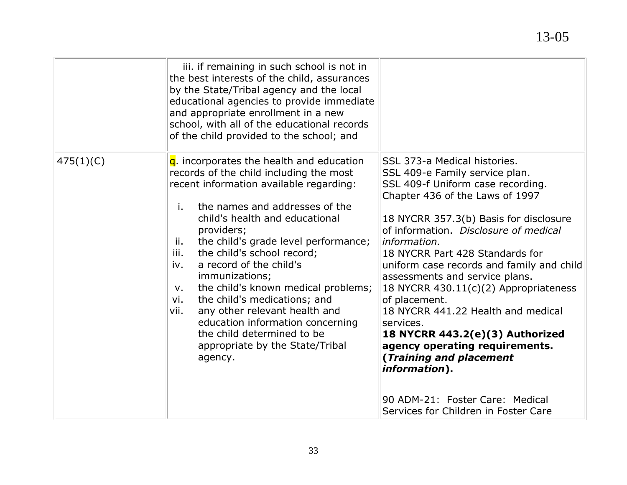|           | iii. if remaining in such school is not in<br>the best interests of the child, assurances<br>by the State/Tribal agency and the local<br>educational agencies to provide immediate<br>and appropriate enrollment in a new<br>school, with all of the educational records<br>of the child provided to the school; and                                                                                                                                                                                                                                                                                            |                                                                                                                                                                                                                                                                                                                                                                                                                                                                                                                                                                                                                                                                              |
|-----------|-----------------------------------------------------------------------------------------------------------------------------------------------------------------------------------------------------------------------------------------------------------------------------------------------------------------------------------------------------------------------------------------------------------------------------------------------------------------------------------------------------------------------------------------------------------------------------------------------------------------|------------------------------------------------------------------------------------------------------------------------------------------------------------------------------------------------------------------------------------------------------------------------------------------------------------------------------------------------------------------------------------------------------------------------------------------------------------------------------------------------------------------------------------------------------------------------------------------------------------------------------------------------------------------------------|
| 475(1)(C) | $q$ . incorporates the health and education<br>records of the child including the most<br>recent information available regarding:<br>the names and addresses of the<br>i.<br>child's health and educational<br>providers;<br>the child's grade level performance;<br>ii.<br>iii.<br>the child's school record;<br>a record of the child's<br>iv.<br>immunizations;<br>the child's known medical problems;<br>v.<br>the child's medications; and<br>vi.<br>any other relevant health and<br>vii.<br>education information concerning<br>the child determined to be<br>appropriate by the State/Tribal<br>agency. | SSL 373-a Medical histories.<br>SSL 409-e Family service plan.<br>SSL 409-f Uniform case recording.<br>Chapter 436 of the Laws of 1997<br>18 NYCRR 357.3(b) Basis for disclosure<br>of information. Disclosure of medical<br>information.<br>18 NYCRR Part 428 Standards for<br>uniform case records and family and child<br>assessments and service plans.<br>18 NYCRR 430.11(c)(2) Appropriateness<br>of placement.<br>18 NYCRR 441.22 Health and medical<br>services.<br>18 NYCRR 443.2(e)(3) Authorized<br>agency operating requirements.<br>(Training and placement<br><i>information</i> ).<br>90 ADM-21: Foster Care: Medical<br>Services for Children in Foster Care |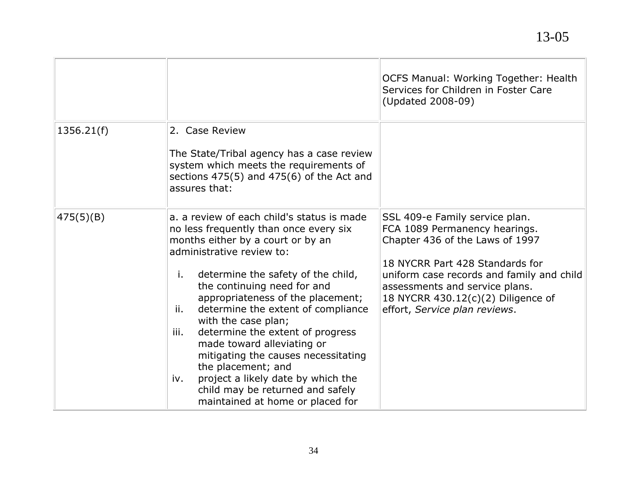|            |                                                                                                                                                                                                                                                                                                                                                                                                                                                                                                                                                                                                        | <b>OCFS Manual: Working Together: Health</b><br>Services for Children in Foster Care<br>(Updated 2008-09)                                                                                                                                                                                   |
|------------|--------------------------------------------------------------------------------------------------------------------------------------------------------------------------------------------------------------------------------------------------------------------------------------------------------------------------------------------------------------------------------------------------------------------------------------------------------------------------------------------------------------------------------------------------------------------------------------------------------|---------------------------------------------------------------------------------------------------------------------------------------------------------------------------------------------------------------------------------------------------------------------------------------------|
| 1356.21(f) | 2. Case Review<br>The State/Tribal agency has a case review<br>system which meets the requirements of<br>sections $475(5)$ and $475(6)$ of the Act and<br>assures that:                                                                                                                                                                                                                                                                                                                                                                                                                                |                                                                                                                                                                                                                                                                                             |
| 475(5)(B)  | a. a review of each child's status is made<br>no less frequently than once every six<br>months either by a court or by an<br>administrative review to:<br>determine the safety of the child,<br>i.<br>the continuing need for and<br>appropriateness of the placement;<br>determine the extent of compliance<br>ii.<br>with the case plan;<br>determine the extent of progress<br>iii.<br>made toward alleviating or<br>mitigating the causes necessitating<br>the placement; and<br>project a likely date by which the<br>iv.<br>child may be returned and safely<br>maintained at home or placed for | SSL 409-e Family service plan.<br>FCA 1089 Permanency hearings.<br>Chapter 436 of the Laws of 1997<br>18 NYCRR Part 428 Standards for<br>uniform case records and family and child<br>assessments and service plans.<br>18 NYCRR 430.12(c)(2) Diligence of<br>effort, Service plan reviews. |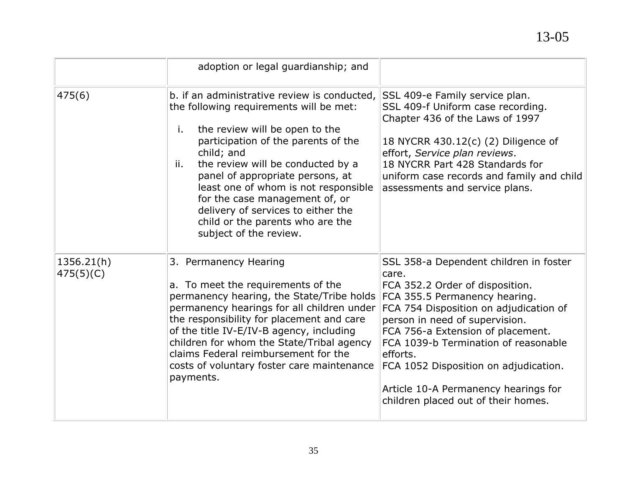|                         | adoption or legal guardianship; and                                                                                                                                                                                                                                                                                                                                                                                                                |                                                                                                                                                                                                                                                                                                                                                                                                                  |
|-------------------------|----------------------------------------------------------------------------------------------------------------------------------------------------------------------------------------------------------------------------------------------------------------------------------------------------------------------------------------------------------------------------------------------------------------------------------------------------|------------------------------------------------------------------------------------------------------------------------------------------------------------------------------------------------------------------------------------------------------------------------------------------------------------------------------------------------------------------------------------------------------------------|
| 475(6)                  | b. if an administrative review is conducted,<br>the following requirements will be met:<br>the review will be open to the<br>i.<br>participation of the parents of the<br>child; and<br>the review will be conducted by a<br>ii.<br>panel of appropriate persons, at<br>least one of whom is not responsible<br>for the case management of, or<br>delivery of services to either the<br>child or the parents who are the<br>subject of the review. | SSL 409-e Family service plan.<br>SSL 409-f Uniform case recording.<br>Chapter 436 of the Laws of 1997<br>18 NYCRR 430.12(c) (2) Diligence of<br>effort, Service plan reviews.<br>18 NYCRR Part 428 Standards for<br>uniform case records and family and child<br>assessments and service plans.                                                                                                                 |
| 1356.21(h)<br>475(5)(C) | 3. Permanency Hearing<br>a. To meet the requirements of the<br>permanency hearing, the State/Tribe holds<br>permanency hearings for all children under<br>the responsibility for placement and care<br>of the title IV-E/IV-B agency, including<br>children for whom the State/Tribal agency<br>claims Federal reimbursement for the<br>costs of voluntary foster care maintenance<br>payments.                                                    | SSL 358-a Dependent children in foster<br>care.<br>FCA 352.2 Order of disposition.<br>FCA 355.5 Permanency hearing.<br>FCA 754 Disposition on adjudication of<br>person in need of supervision.<br>FCA 756-a Extension of placement.<br>FCA 1039-b Termination of reasonable<br>efforts.<br>FCA 1052 Disposition on adjudication.<br>Article 10-A Permanency hearings for<br>children placed out of their homes. |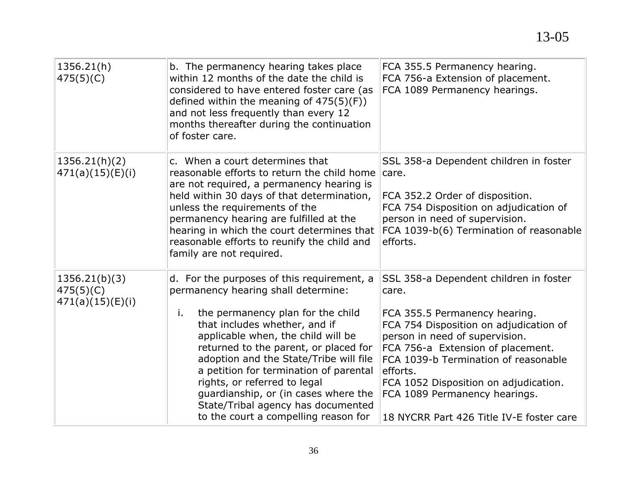| 1356.21(h)<br>475(5)(C)                        | b. The permanency hearing takes place<br>within 12 months of the date the child is<br>considered to have entered foster care (as<br>defined within the meaning of $475(5)(F)$ )<br>and not less frequently than every 12<br>months thereafter during the continuation<br>of foster care.                                                                                                                                                                                               | FCA 355.5 Permanency hearing.<br>FCA 756-a Extension of placement.<br>FCA 1089 Permanency hearings.                                                                                                                                                                                                                                                                         |
|------------------------------------------------|----------------------------------------------------------------------------------------------------------------------------------------------------------------------------------------------------------------------------------------------------------------------------------------------------------------------------------------------------------------------------------------------------------------------------------------------------------------------------------------|-----------------------------------------------------------------------------------------------------------------------------------------------------------------------------------------------------------------------------------------------------------------------------------------------------------------------------------------------------------------------------|
| 1356.21(h)(2)<br>471(a)(15)(E)(i)              | c. When a court determines that<br>reasonable efforts to return the child home<br>are not required, a permanency hearing is<br>held within 30 days of that determination,<br>unless the requirements of the<br>permanency hearing are fulfilled at the<br>hearing in which the court determines that<br>reasonable efforts to reunify the child and<br>family are not required.                                                                                                        | SSL 358-a Dependent children in foster<br>care.<br>FCA 352.2 Order of disposition.<br>FCA 754 Disposition on adjudication of<br>person in need of supervision.<br>FCA 1039-b(6) Termination of reasonable<br>efforts.                                                                                                                                                       |
| 1356.21(b)(3)<br>475(5)(C)<br>471(a)(15)(E)(i) | d. For the purposes of this requirement, a<br>permanency hearing shall determine:<br>the permanency plan for the child<br>i.<br>that includes whether, and if<br>applicable when, the child will be<br>returned to the parent, or placed for<br>adoption and the State/Tribe will file<br>a petition for termination of parental<br>rights, or referred to legal<br>guardianship, or (in cases where the<br>State/Tribal agency has documented<br>to the court a compelling reason for | SSL 358-a Dependent children in foster<br>care.<br>FCA 355.5 Permanency hearing.<br>FCA 754 Disposition on adjudication of<br>person in need of supervision.<br>FCA 756-a Extension of placement.<br>FCA 1039-b Termination of reasonable<br>efforts.<br>FCA 1052 Disposition on adjudication.<br>FCA 1089 Permanency hearings.<br>18 NYCRR Part 426 Title IV-E foster care |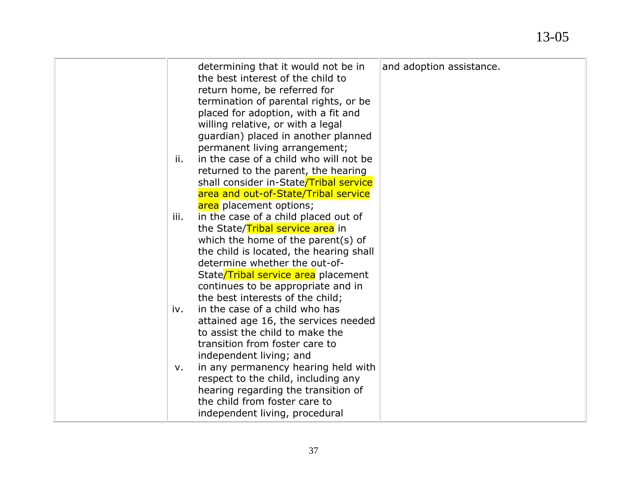| determining that it would not be in<br>the best interest of the child to<br>return home, be referred for<br>termination of parental rights, or be<br>placed for adoption, with a fit and<br>willing relative, or with a legal<br>guardian) placed in another planned<br>permanent living arrangement;<br>in the case of a child who will not be<br>ii.<br>returned to the parent, the hearing<br>shall consider in-State/Tribal service<br>area and out-of-State/Tribal service<br>area placement options; | and adoption assistance. |
|------------------------------------------------------------------------------------------------------------------------------------------------------------------------------------------------------------------------------------------------------------------------------------------------------------------------------------------------------------------------------------------------------------------------------------------------------------------------------------------------------------|--------------------------|
| in the case of a child placed out of<br>iii.<br>the State/Tribal service area in<br>which the home of the parent(s) of<br>the child is located, the hearing shall<br>determine whether the out-of-<br>State/Tribal service area placement<br>continues to be appropriate and in<br>the best interests of the child;<br>in the case of a child who has<br>iv.<br>attained age 16, the services needed<br>to assist the child to make the<br>transition from foster care to<br>independent living; and       |                          |
| in any permanency hearing held with<br>v.<br>respect to the child, including any<br>hearing regarding the transition of<br>the child from foster care to<br>independent living, procedural                                                                                                                                                                                                                                                                                                                 |                          |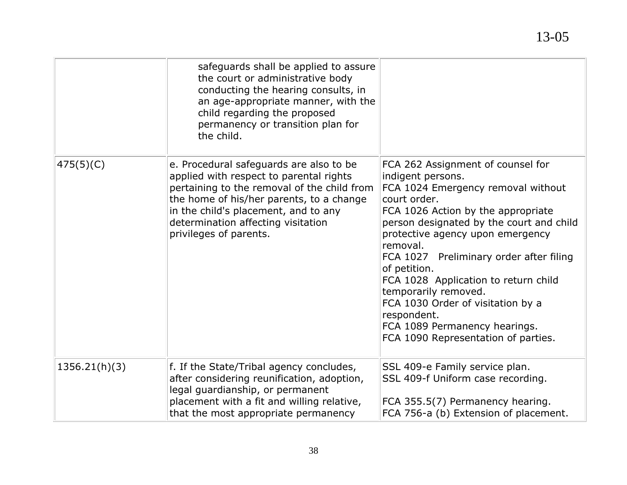|               | safeguards shall be applied to assure<br>the court or administrative body<br>conducting the hearing consults, in<br>an age-appropriate manner, with the                                                                                                                               |                                                                                                                                                                                                                                                                                                                                                                                                                                                                                                       |
|---------------|---------------------------------------------------------------------------------------------------------------------------------------------------------------------------------------------------------------------------------------------------------------------------------------|-------------------------------------------------------------------------------------------------------------------------------------------------------------------------------------------------------------------------------------------------------------------------------------------------------------------------------------------------------------------------------------------------------------------------------------------------------------------------------------------------------|
|               | child regarding the proposed<br>permanency or transition plan for<br>the child.                                                                                                                                                                                                       |                                                                                                                                                                                                                                                                                                                                                                                                                                                                                                       |
| 475(5)(C)     | e. Procedural safeguards are also to be<br>applied with respect to parental rights<br>pertaining to the removal of the child from<br>the home of his/her parents, to a change<br>in the child's placement, and to any<br>determination affecting visitation<br>privileges of parents. | FCA 262 Assignment of counsel for<br>indigent persons.<br>FCA 1024 Emergency removal without<br>court order.<br>FCA 1026 Action by the appropriate<br>person designated by the court and child<br>protective agency upon emergency<br>removal.<br>FCA 1027 Preliminary order after filing<br>of petition.<br>FCA 1028 Application to return child<br>temporarily removed.<br>FCA 1030 Order of visitation by a<br>respondent.<br>FCA 1089 Permanency hearings.<br>FCA 1090 Representation of parties. |
| 1356.21(h)(3) | f. If the State/Tribal agency concludes,<br>after considering reunification, adoption,<br>legal guardianship, or permanent<br>placement with a fit and willing relative,<br>that the most appropriate permanency                                                                      | SSL 409-e Family service plan.<br>SSL 409-f Uniform case recording.<br>FCA 355.5(7) Permanency hearing.<br>FCA 756-a (b) Extension of placement.                                                                                                                                                                                                                                                                                                                                                      |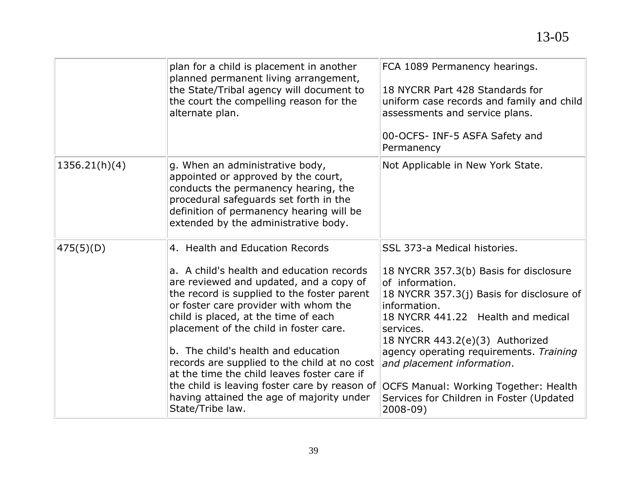|               | plan for a child is placement in another<br>planned permanent living arrangement,<br>the State/Tribal agency will document to<br>the court the compelling reason for the<br>alternate plan.                                                                                                                                                                                                                                                                                                                                                               | FCA 1089 Permanency hearings.<br>18 NYCRR Part 428 Standards for<br>uniform case records and family and child<br>assessments and service plans.<br>00-OCFS- INF-5 ASFA Safety and<br>Permanency                                                                                                                                                                                                                               |
|---------------|-----------------------------------------------------------------------------------------------------------------------------------------------------------------------------------------------------------------------------------------------------------------------------------------------------------------------------------------------------------------------------------------------------------------------------------------------------------------------------------------------------------------------------------------------------------|-------------------------------------------------------------------------------------------------------------------------------------------------------------------------------------------------------------------------------------------------------------------------------------------------------------------------------------------------------------------------------------------------------------------------------|
| 1356.21(h)(4) | g. When an administrative body,<br>appointed or approved by the court,<br>conducts the permanency hearing, the<br>procedural safeguards set forth in the<br>definition of permanency hearing will be<br>extended by the administrative body.                                                                                                                                                                                                                                                                                                              | Not Applicable in New York State.                                                                                                                                                                                                                                                                                                                                                                                             |
| 475(5)(D)     | 4. Health and Education Records<br>a. A child's health and education records<br>are reviewed and updated, and a copy of<br>the record is supplied to the foster parent<br>or foster care provider with whom the<br>child is placed, at the time of each<br>placement of the child in foster care.<br>b. The child's health and education<br>records are supplied to the child at no cost<br>at the time the child leaves foster care if<br>the child is leaving foster care by reason of<br>having attained the age of majority under<br>State/Tribe law. | SSL 373-a Medical histories.<br>18 NYCRR 357.3(b) Basis for disclosure<br>of information.<br>18 NYCRR 357.3(j) Basis for disclosure of<br>information.<br>18 NYCRR 441.22 Health and medical<br>services.<br>18 NYCRR 443.2(e)(3) Authorized<br>agency operating requirements. Training<br>and placement information.<br><b>OCFS Manual: Working Together: Health</b><br>Services for Children in Foster (Updated<br>2008-09) |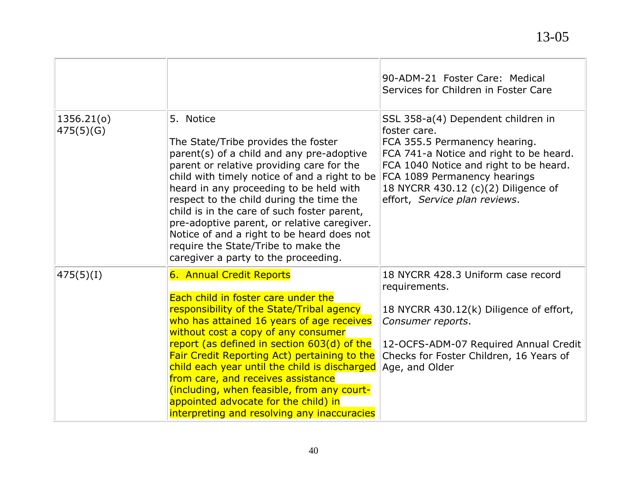|                         |                                                                                                                                                                                                                                                                                                                                                                                                                                                                                                                             | 90-ADM-21 Foster Care: Medical<br>Services for Children in Foster Care                                                                                                                                                                                                           |
|-------------------------|-----------------------------------------------------------------------------------------------------------------------------------------------------------------------------------------------------------------------------------------------------------------------------------------------------------------------------------------------------------------------------------------------------------------------------------------------------------------------------------------------------------------------------|----------------------------------------------------------------------------------------------------------------------------------------------------------------------------------------------------------------------------------------------------------------------------------|
| 1356.21(c)<br>475(5)(G) | 5. Notice<br>The State/Tribe provides the foster<br>parent(s) of a child and any pre-adoptive<br>parent or relative providing care for the<br>child with timely notice of and a right to be<br>heard in any proceeding to be held with<br>respect to the child during the time the<br>child is in the care of such foster parent,<br>pre-adoptive parent, or relative caregiver.<br>Notice of and a right to be heard does not<br>require the State/Tribe to make the<br>caregiver a party to the proceeding.               | SSL 358-a(4) Dependent children in<br>foster care.<br>FCA 355.5 Permanency hearing.<br>FCA 741-a Notice and right to be heard.<br>FCA 1040 Notice and right to be heard.<br>FCA 1089 Permanency hearings<br>18 NYCRR 430.12 (c)(2) Diligence of<br>effort, Service plan reviews. |
| 475(5)(1)               | 6. Annual Credit Reports<br>Each child in foster care under the<br>responsibility of the State/Tribal agency<br>who has attained 16 years of age receives<br>without cost a copy of any consumer<br>report (as defined in section 603(d) of the<br>Fair Credit Reporting Act) pertaining to the<br>child each year until the child is discharged<br>from care, and receives assistance<br>(including, when feasible, from any court-<br>appointed advocate for the child) in<br>interpreting and resolving any inaccuracies | 18 NYCRR 428.3 Uniform case record<br>requirements.<br>18 NYCRR 430.12(k) Diligence of effort,<br>Consumer reports.<br>12-OCFS-ADM-07 Required Annual Credit<br>Checks for Foster Children, 16 Years of<br>Age, and Older                                                        |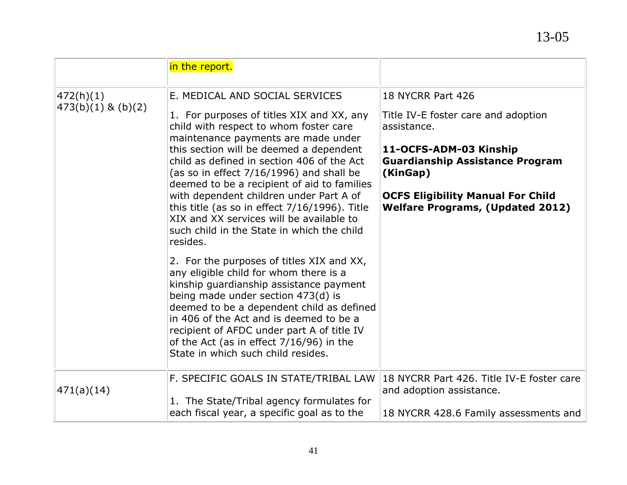|                        | in the report.                                                                                                                                                                                                                                                                                                                                                                                  |                                                                                     |
|------------------------|-------------------------------------------------------------------------------------------------------------------------------------------------------------------------------------------------------------------------------------------------------------------------------------------------------------------------------------------------------------------------------------------------|-------------------------------------------------------------------------------------|
| 472(h)(1)              | E. MEDICAL AND SOCIAL SERVICES                                                                                                                                                                                                                                                                                                                                                                  | 18 NYCRR Part 426                                                                   |
| $473(b)(1)$ & $(b)(2)$ | 1. For purposes of titles XIX and XX, any<br>child with respect to whom foster care<br>maintenance payments are made under                                                                                                                                                                                                                                                                      | Title IV-E foster care and adoption<br>assistance.                                  |
|                        | this section will be deemed a dependent                                                                                                                                                                                                                                                                                                                                                         | 11-OCFS-ADM-03 Kinship                                                              |
|                        | child as defined in section 406 of the Act<br>(as so in effect 7/16/1996) and shall be<br>deemed to be a recipient of aid to families                                                                                                                                                                                                                                                           | <b>Guardianship Assistance Program</b><br>(KinGap)                                  |
|                        | with dependent children under Part A of<br>this title (as so in effect $7/16/1996$ ). Title<br>XIX and XX services will be available to<br>such child in the State in which the child<br>resides.                                                                                                                                                                                               | <b>OCFS Eligibility Manual For Child</b><br><b>Welfare Programs, (Updated 2012)</b> |
|                        | 2. For the purposes of titles XIX and XX,<br>any eligible child for whom there is a<br>kinship guardianship assistance payment<br>being made under section 473(d) is<br>deemed to be a dependent child as defined<br>in 406 of the Act and is deemed to be a<br>recipient of AFDC under part A of title IV<br>of the Act (as in effect $7/16/96$ ) in the<br>State in which such child resides. |                                                                                     |
| 471(a)(14)             | F. SPECIFIC GOALS IN STATE/TRIBAL LAW                                                                                                                                                                                                                                                                                                                                                           | 18 NYCRR Part 426. Title IV-E foster care<br>and adoption assistance.               |
|                        | 1. The State/Tribal agency formulates for<br>each fiscal year, a specific goal as to the                                                                                                                                                                                                                                                                                                        | 18 NYCRR 428.6 Family assessments and                                               |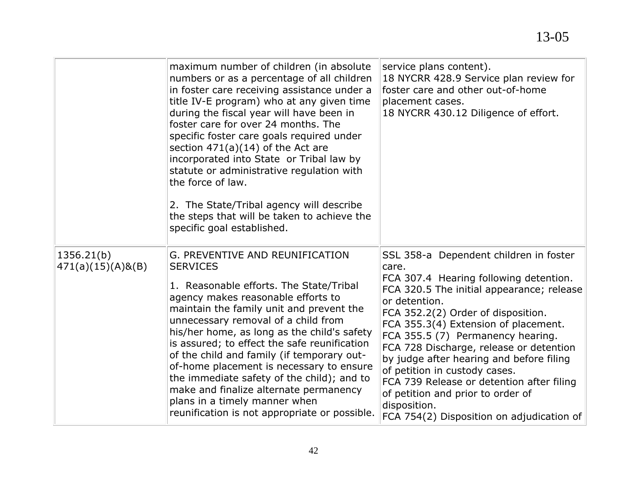|                                    | maximum number of children (in absolute<br>numbers or as a percentage of all children<br>in foster care receiving assistance under a<br>title IV-E program) who at any given time<br>during the fiscal year will have been in<br>foster care for over 24 months. The<br>specific foster care goals required under<br>section $471(a)(14)$ of the Act are<br>incorporated into State or Tribal law by<br>statute or administrative regulation with<br>the force of law.<br>2. The State/Tribal agency will describe<br>the steps that will be taken to achieve the<br>specific goal established. | service plans content).<br>18 NYCRR 428.9 Service plan review for<br>foster care and other out-of-home<br>placement cases.<br>18 NYCRR 430.12 Diligence of effort.                                                                                                                                                                                                                                                                                                                                                                                |
|------------------------------------|-------------------------------------------------------------------------------------------------------------------------------------------------------------------------------------------------------------------------------------------------------------------------------------------------------------------------------------------------------------------------------------------------------------------------------------------------------------------------------------------------------------------------------------------------------------------------------------------------|---------------------------------------------------------------------------------------------------------------------------------------------------------------------------------------------------------------------------------------------------------------------------------------------------------------------------------------------------------------------------------------------------------------------------------------------------------------------------------------------------------------------------------------------------|
| 1356.21(b)<br>$471(a)(15)(A)$ &(B) | G. PREVENTIVE AND REUNIFICATION<br><b>SERVICES</b><br>1. Reasonable efforts. The State/Tribal<br>agency makes reasonable efforts to<br>maintain the family unit and prevent the<br>unnecessary removal of a child from<br>his/her home, as long as the child's safety<br>is assured; to effect the safe reunification<br>of the child and family (if temporary out-<br>of-home placement is necessary to ensure<br>the immediate safety of the child); and to<br>make and finalize alternate permanency<br>plans in a timely manner when<br>reunification is not appropriate or possible.       | SSL 358-a Dependent children in foster<br>care.<br>FCA 307.4 Hearing following detention.<br>FCA 320.5 The initial appearance; release<br>or detention.<br>FCA 352.2(2) Order of disposition.<br>FCA 355.3(4) Extension of placement.<br>FCA 355.5 (7) Permanency hearing.<br>FCA 728 Discharge, release or detention<br>by judge after hearing and before filing<br>of petition in custody cases.<br>FCA 739 Release or detention after filing<br>of petition and prior to order of<br>disposition.<br>FCA 754(2) Disposition on adjudication of |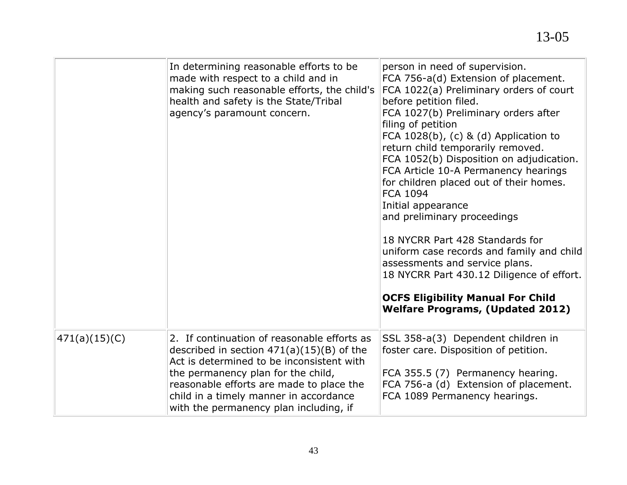|                 | In determining reasonable efforts to be<br>made with respect to a child and in<br>making such reasonable efforts, the child's<br>health and safety is the State/Tribal<br>agency's paramount concern.                                                                                                         | person in need of supervision.<br>FCA 756-a(d) Extension of placement.<br>FCA 1022(a) Preliminary orders of court<br>before petition filed.<br>FCA 1027(b) Preliminary orders after<br>filing of petition<br>FCA $1028(b)$ , (c) & (d) Application to<br>return child temporarily removed.<br>FCA 1052(b) Disposition on adjudication.<br>FCA Article 10-A Permanency hearings<br>for children placed out of their homes.<br><b>FCA 1094</b><br>Initial appearance<br>and preliminary proceedings<br>18 NYCRR Part 428 Standards for<br>uniform case records and family and child<br>assessments and service plans.<br>18 NYCRR Part 430.12 Diligence of effort.<br><b>OCFS Eligibility Manual For Child</b><br><b>Welfare Programs, (Updated 2012)</b> |
|-----------------|---------------------------------------------------------------------------------------------------------------------------------------------------------------------------------------------------------------------------------------------------------------------------------------------------------------|---------------------------------------------------------------------------------------------------------------------------------------------------------------------------------------------------------------------------------------------------------------------------------------------------------------------------------------------------------------------------------------------------------------------------------------------------------------------------------------------------------------------------------------------------------------------------------------------------------------------------------------------------------------------------------------------------------------------------------------------------------|
| (471(a)(15)(C)) | 2. If continuation of reasonable efforts as<br>described in section $471(a)(15)(B)$ of the<br>Act is determined to be inconsistent with<br>the permanency plan for the child,<br>reasonable efforts are made to place the<br>child in a timely manner in accordance<br>with the permanency plan including, if | SSL 358-a(3) Dependent children in<br>foster care. Disposition of petition.<br>FCA 355.5 (7) Permanency hearing.<br>FCA 756-a (d) Extension of placement.<br>FCA 1089 Permanency hearings.                                                                                                                                                                                                                                                                                                                                                                                                                                                                                                                                                              |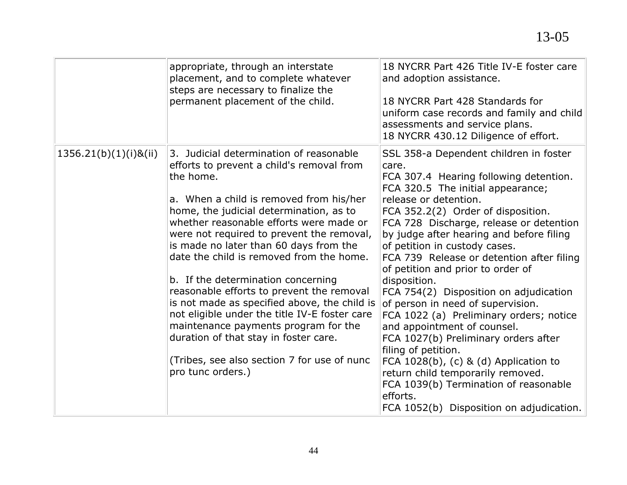|                          | appropriate, through an interstate<br>placement, and to complete whatever<br>steps are necessary to finalize the<br>permanent placement of the child.                                                                                                                                                                                                                                                                                                                                                                                                                                                                                                                                                          | 18 NYCRR Part 426 Title IV-E foster care<br>and adoption assistance.<br>18 NYCRR Part 428 Standards for<br>uniform case records and family and child<br>assessments and service plans.<br>18 NYCRR 430.12 Diligence of effort.                                                                                                                                                                                                                                                                                                                                                                                                                                                                                                                                                                                                    |
|--------------------------|----------------------------------------------------------------------------------------------------------------------------------------------------------------------------------------------------------------------------------------------------------------------------------------------------------------------------------------------------------------------------------------------------------------------------------------------------------------------------------------------------------------------------------------------------------------------------------------------------------------------------------------------------------------------------------------------------------------|-----------------------------------------------------------------------------------------------------------------------------------------------------------------------------------------------------------------------------------------------------------------------------------------------------------------------------------------------------------------------------------------------------------------------------------------------------------------------------------------------------------------------------------------------------------------------------------------------------------------------------------------------------------------------------------------------------------------------------------------------------------------------------------------------------------------------------------|
| $1356.21(b)(1)(i)$ &(ii) | 3. Judicial determination of reasonable<br>efforts to prevent a child's removal from<br>the home.<br>a. When a child is removed from his/her<br>home, the judicial determination, as to<br>whether reasonable efforts were made or<br>were not required to prevent the removal,<br>is made no later than 60 days from the<br>date the child is removed from the home.<br>b. If the determination concerning<br>reasonable efforts to prevent the removal<br>is not made as specified above, the child is<br>not eligible under the title IV-E foster care<br>maintenance payments program for the<br>duration of that stay in foster care.<br>(Tribes, see also section 7 for use of nunc<br>pro tunc orders.) | SSL 358-a Dependent children in foster<br>care.<br>FCA 307.4 Hearing following detention.<br>FCA 320.5 The initial appearance;<br>release or detention.<br>FCA 352.2(2) Order of disposition.<br>FCA 728 Discharge, release or detention<br>by judge after hearing and before filing<br>of petition in custody cases.<br>FCA 739 Release or detention after filing<br>of petition and prior to order of<br>disposition.<br>FCA 754(2) Disposition on adjudication<br>of person in need of supervision.<br>FCA 1022 (a) Preliminary orders; notice<br>and appointment of counsel.<br>FCA 1027(b) Preliminary orders after<br>filing of petition.<br>FCA $1028(b)$ , (c) & (d) Application to<br>return child temporarily removed.<br>FCA 1039(b) Termination of reasonable<br>efforts.<br>FCA 1052(b) Disposition on adjudication. |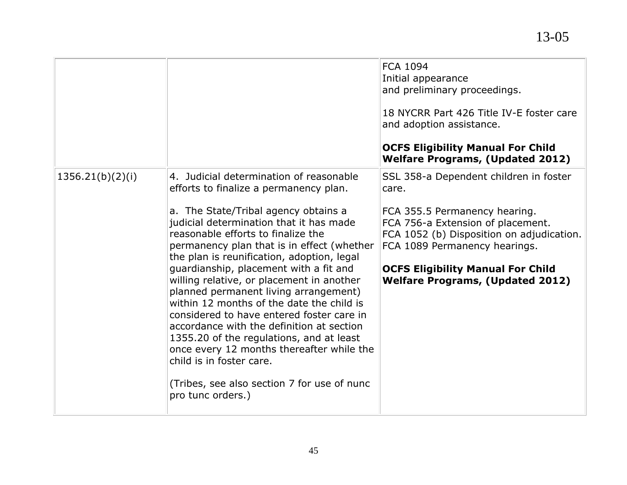|                  |                                                                                                                                                                                                                                                                                                                                                                                                                                                                                                                                                                                                                                                                                                                                                                        | <b>FCA 1094</b><br>Initial appearance<br>and preliminary proceedings.<br>18 NYCRR Part 426 Title IV-E foster care<br>and adoption assistance.<br><b>OCFS Eligibility Manual For Child</b><br><b>Welfare Programs, (Updated 2012)</b>                                                       |
|------------------|------------------------------------------------------------------------------------------------------------------------------------------------------------------------------------------------------------------------------------------------------------------------------------------------------------------------------------------------------------------------------------------------------------------------------------------------------------------------------------------------------------------------------------------------------------------------------------------------------------------------------------------------------------------------------------------------------------------------------------------------------------------------|--------------------------------------------------------------------------------------------------------------------------------------------------------------------------------------------------------------------------------------------------------------------------------------------|
| 1356.21(b)(2)(i) | 4. Judicial determination of reasonable<br>efforts to finalize a permanency plan.<br>a. The State/Tribal agency obtains a<br>judicial determination that it has made<br>reasonable efforts to finalize the<br>permanency plan that is in effect (whether<br>the plan is reunification, adoption, legal<br>guardianship, placement with a fit and<br>willing relative, or placement in another<br>planned permanent living arrangement)<br>within 12 months of the date the child is<br>considered to have entered foster care in<br>accordance with the definition at section<br>1355.20 of the regulations, and at least<br>once every 12 months thereafter while the<br>child is in foster care.<br>(Tribes, see also section 7 for use of nunc<br>pro tunc orders.) | SSL 358-a Dependent children in foster<br>care.<br>FCA 355.5 Permanency hearing.<br>FCA 756-a Extension of placement.<br>FCA 1052 (b) Disposition on adjudication.<br>FCA 1089 Permanency hearings.<br><b>OCFS Eligibility Manual For Child</b><br><b>Welfare Programs, (Updated 2012)</b> |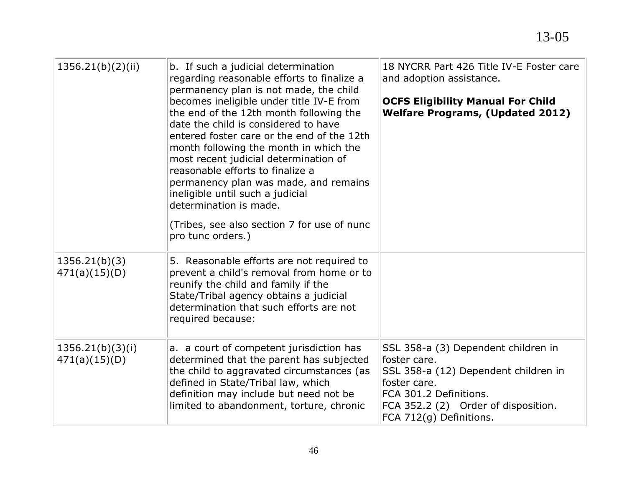| 1356.21(b)(2)(ii)                 | b. If such a judicial determination<br>regarding reasonable efforts to finalize a<br>permanency plan is not made, the child<br>becomes ineligible under title IV-E from<br>the end of the 12th month following the<br>date the child is considered to have<br>entered foster care or the end of the 12th<br>month following the month in which the<br>most recent judicial determination of<br>reasonable efforts to finalize a<br>permanency plan was made, and remains<br>ineligible until such a judicial<br>determination is made.<br>(Tribes, see also section 7 for use of nunc<br>pro tunc orders.) | 18 NYCRR Part 426 Title IV-E Foster care<br>and adoption assistance.<br><b>OCFS Eligibility Manual For Child</b><br><b>Welfare Programs, (Updated 2012)</b>                                             |
|-----------------------------------|------------------------------------------------------------------------------------------------------------------------------------------------------------------------------------------------------------------------------------------------------------------------------------------------------------------------------------------------------------------------------------------------------------------------------------------------------------------------------------------------------------------------------------------------------------------------------------------------------------|---------------------------------------------------------------------------------------------------------------------------------------------------------------------------------------------------------|
| 1356.21(b)(3)<br>471(a)(15)(D)    | 5. Reasonable efforts are not required to<br>prevent a child's removal from home or to<br>reunify the child and family if the<br>State/Tribal agency obtains a judicial<br>determination that such efforts are not<br>required because:                                                                                                                                                                                                                                                                                                                                                                    |                                                                                                                                                                                                         |
| 1356.21(b)(3)(i)<br>471(a)(15)(D) | a. a court of competent jurisdiction has<br>determined that the parent has subjected<br>the child to aggravated circumstances (as<br>defined in State/Tribal law, which<br>definition may include but need not be<br>limited to abandonment, torture, chronic                                                                                                                                                                                                                                                                                                                                              | SSL 358-a (3) Dependent children in<br>foster care.<br>SSL 358-a (12) Dependent children in<br>foster care.<br>FCA 301.2 Definitions.<br>FCA 352.2 (2) Order of disposition.<br>FCA 712(g) Definitions. |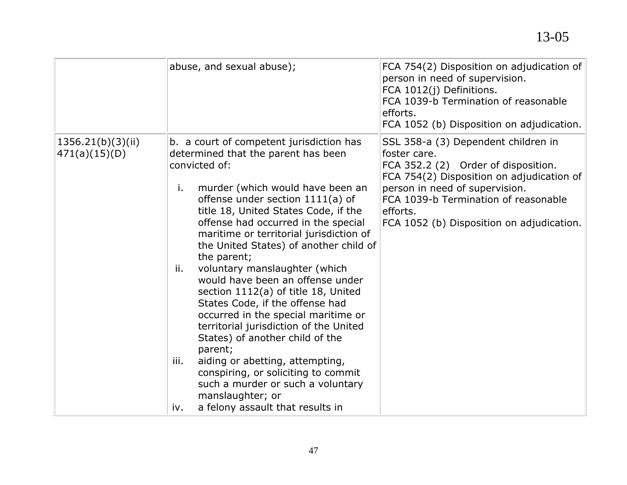|                                    | abuse, and sexual abuse);                                                                                                                                                                                                                                                                                                                                                                                                                                                                                                                                                                                                                                                                                                                                                                                                                    | FCA 754(2) Disposition on adjudication of<br>person in need of supervision.<br>FCA 1012(j) Definitions.<br>FCA 1039-b Termination of reasonable<br>efforts.<br>FCA 1052 (b) Disposition on adjudication.                                                                   |
|------------------------------------|----------------------------------------------------------------------------------------------------------------------------------------------------------------------------------------------------------------------------------------------------------------------------------------------------------------------------------------------------------------------------------------------------------------------------------------------------------------------------------------------------------------------------------------------------------------------------------------------------------------------------------------------------------------------------------------------------------------------------------------------------------------------------------------------------------------------------------------------|----------------------------------------------------------------------------------------------------------------------------------------------------------------------------------------------------------------------------------------------------------------------------|
| 1356.21(b)(3)(ii)<br>471(a)(15)(D) | b. a court of competent jurisdiction has<br>determined that the parent has been<br>convicted of:<br>murder (which would have been an<br>i.<br>offense under section 1111(a) of<br>title 18, United States Code, if the<br>offense had occurred in the special<br>maritime or territorial jurisdiction of<br>the United States) of another child of<br>the parent;<br>voluntary manslaughter (which<br>ii.<br>would have been an offense under<br>section 1112(a) of title 18, United<br>States Code, if the offense had<br>occurred in the special maritime or<br>territorial jurisdiction of the United<br>States) of another child of the<br>parent;<br>aiding or abetting, attempting,<br>iii.<br>conspiring, or soliciting to commit<br>such a murder or such a voluntary<br>manslaughter; or<br>a felony assault that results in<br>iv. | SSL 358-a (3) Dependent children in<br>foster care.<br>FCA 352.2 (2) Order of disposition.<br>FCA 754(2) Disposition on adjudication of<br>person in need of supervision.<br>FCA 1039-b Termination of reasonable<br>efforts.<br>FCA 1052 (b) Disposition on adjudication. |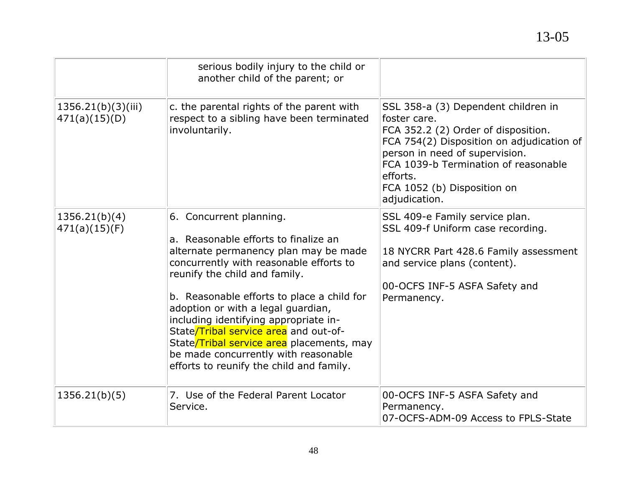|                                     | serious bodily injury to the child or<br>another child of the parent; or                                                                                                                                                                                                                                                                                                                                                                                                                    |                                                                                                                                                                                                                                                                               |
|-------------------------------------|---------------------------------------------------------------------------------------------------------------------------------------------------------------------------------------------------------------------------------------------------------------------------------------------------------------------------------------------------------------------------------------------------------------------------------------------------------------------------------------------|-------------------------------------------------------------------------------------------------------------------------------------------------------------------------------------------------------------------------------------------------------------------------------|
| 1356.21(b)(3)(iii)<br>471(a)(15)(D) | c. the parental rights of the parent with<br>respect to a sibling have been terminated<br>involuntarily.                                                                                                                                                                                                                                                                                                                                                                                    | SSL 358-a (3) Dependent children in<br>foster care.<br>FCA 352.2 (2) Order of disposition.<br>FCA 754(2) Disposition on adjudication of<br>person in need of supervision.<br>FCA 1039-b Termination of reasonable<br>efforts.<br>FCA 1052 (b) Disposition on<br>adjudication. |
| 1356.21(b)(4)<br>471(a)(15)(F)      | 6. Concurrent planning.<br>a. Reasonable efforts to finalize an<br>alternate permanency plan may be made<br>concurrently with reasonable efforts to<br>reunify the child and family.<br>b. Reasonable efforts to place a child for<br>adoption or with a legal guardian,<br>including identifying appropriate in-<br>State/Tribal service area and out-of-<br>State/Tribal service area placements, may<br>be made concurrently with reasonable<br>efforts to reunify the child and family. | SSL 409-e Family service plan.<br>SSL 409-f Uniform case recording.<br>18 NYCRR Part 428.6 Family assessment<br>and service plans (content).<br>00-OCFS INF-5 ASFA Safety and<br>Permanency.                                                                                  |
| 1356.21(b)(5)                       | 7. Use of the Federal Parent Locator<br>Service.                                                                                                                                                                                                                                                                                                                                                                                                                                            | 00-OCFS INF-5 ASFA Safety and<br>Permanency.<br>07-OCFS-ADM-09 Access to FPLS-State                                                                                                                                                                                           |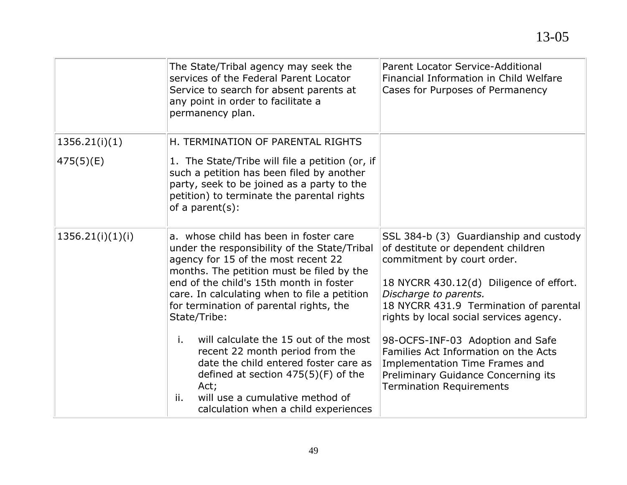|                  | The State/Tribal agency may seek the<br>services of the Federal Parent Locator<br>Service to search for absent parents at<br>any point in order to facilitate a                                                                                                                                                                  | Parent Locator Service-Additional<br>Financial Information in Child Welfare<br>Cases for Purposes of Permanency                                                                                                                                                     |
|------------------|----------------------------------------------------------------------------------------------------------------------------------------------------------------------------------------------------------------------------------------------------------------------------------------------------------------------------------|---------------------------------------------------------------------------------------------------------------------------------------------------------------------------------------------------------------------------------------------------------------------|
|                  | permanency plan.                                                                                                                                                                                                                                                                                                                 |                                                                                                                                                                                                                                                                     |
| 1356.21(i)(1)    | H. TERMINATION OF PARENTAL RIGHTS                                                                                                                                                                                                                                                                                                |                                                                                                                                                                                                                                                                     |
| 475(5)(E)        | 1. The State/Tribe will file a petition (or, if<br>such a petition has been filed by another<br>party, seek to be joined as a party to the<br>petition) to terminate the parental rights<br>of a parent $(s)$ :                                                                                                                  |                                                                                                                                                                                                                                                                     |
| 1356.21(i)(1)(i) | a. whose child has been in foster care<br>under the responsibility of the State/Tribal<br>agency for 15 of the most recent 22<br>months. The petition must be filed by the<br>end of the child's 15th month in foster<br>care. In calculating when to file a petition<br>for termination of parental rights, the<br>State/Tribe: | SSL 384-b (3) Guardianship and custody<br>of destitute or dependent children<br>commitment by court order.<br>18 NYCRR 430.12(d) Diligence of effort.<br>Discharge to parents.<br>18 NYCRR 431.9 Termination of parental<br>rights by local social services agency. |
|                  | will calculate the 15 out of the most<br>i.<br>recent 22 month period from the<br>date the child entered foster care as<br>defined at section $475(5)(F)$ of the<br>Act;<br>will use a cumulative method of<br>ii.<br>calculation when a child experiences                                                                       | 98-OCFS-INF-03 Adoption and Safe<br>Families Act Information on the Acts<br>Implementation Time Frames and<br>Preliminary Guidance Concerning its<br><b>Termination Requirements</b>                                                                                |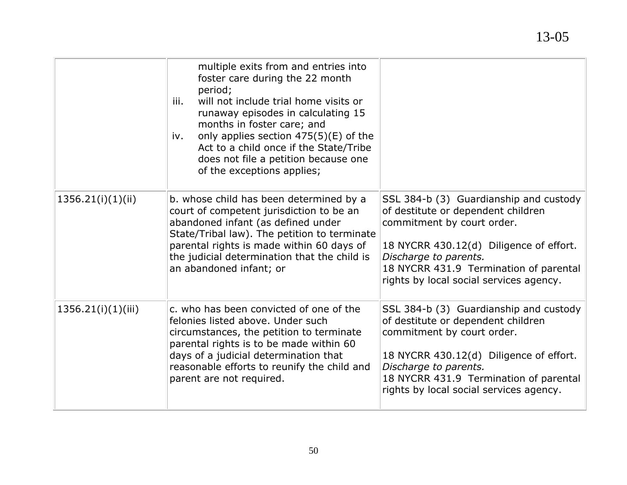## multiple exits from and entries into foster care during the 22 month period; iii. will not include trial home visits or runaway episodes in calculating 15 months in foster care; and iv. only applies section 475(5)(E) of the Act to a child once if the State/Tribe does not file a petition because one of the exceptions applies; 1356.21(i)(1)(ii)  $\|\mathbf{b}\|$ . whose child has been determined by a court of competent jurisdiction to be an abandoned infant (as defined under State/Tribal law). The petition to terminate parental rights is made within 60 days of the judicial determination that the child is an abandoned infant; or SSL 384-b (3) Guardianship and custody of destitute or dependent children commitment by court order. 18 NYCRR 430.12(d) Diligence of effort. *Discharge to parents.* 18 NYCRR 431.9 Termination of parental rights by local social services agency. 1356.21(i)(1)(iii)  $\|c\|$ . who has been convicted of one of the felonies listed above. Under such circumstances, the petition to terminate parental rights is to be made within 60 days of a judicial determination that reasonable efforts to reunify the child and parent are not required. SSL 384-b (3) Guardianship and custody of destitute or dependent children commitment by court order. 18 NYCRR 430.12(d) Diligence of effort. *Discharge to parents.* 18 NYCRR 431.9 Termination of parental rights by local social services agency.

13-05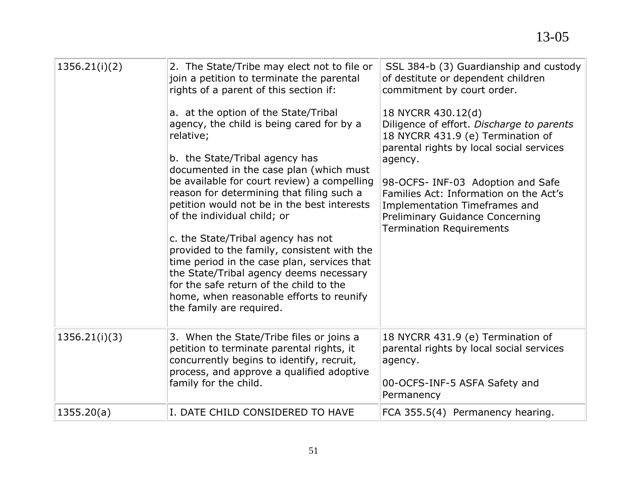| 1356.21(i)(2) | 2. The State/Tribe may elect not to file or<br>join a petition to terminate the parental<br>rights of a parent of this section if:<br>a. at the option of the State/Tribal<br>agency, the child is being cared for by a<br>relative;<br>b. the State/Tribal agency has<br>documented in the case plan (which must<br>be available for court review) a compelling<br>reason for determining that filing such a<br>petition would not be in the best interests<br>of the individual child; or<br>c. the State/Tribal agency has not<br>provided to the family, consistent with the<br>time period in the case plan, services that<br>the State/Tribal agency deems necessary<br>for the safe return of the child to the<br>home, when reasonable efforts to reunify<br>the family are required. | SSL 384-b (3) Guardianship and custody<br>of destitute or dependent children<br>commitment by court order.<br>18 NYCRR 430.12(d)<br>Diligence of effort. Discharge to parents<br>18 NYCRR 431.9 (e) Termination of<br>parental rights by local social services<br>agency.<br>98-OCFS- INF-03 Adoption and Safe<br>Families Act: Information on the Act's<br>Implementation Timeframes and<br><b>Preliminary Guidance Concerning</b><br><b>Termination Requirements</b> |
|---------------|-----------------------------------------------------------------------------------------------------------------------------------------------------------------------------------------------------------------------------------------------------------------------------------------------------------------------------------------------------------------------------------------------------------------------------------------------------------------------------------------------------------------------------------------------------------------------------------------------------------------------------------------------------------------------------------------------------------------------------------------------------------------------------------------------|------------------------------------------------------------------------------------------------------------------------------------------------------------------------------------------------------------------------------------------------------------------------------------------------------------------------------------------------------------------------------------------------------------------------------------------------------------------------|
| 1356.21(i)(3) | 3. When the State/Tribe files or joins a<br>petition to terminate parental rights, it<br>concurrently begins to identify, recruit,<br>process, and approve a qualified adoptive<br>family for the child.                                                                                                                                                                                                                                                                                                                                                                                                                                                                                                                                                                                      | 18 NYCRR 431.9 (e) Termination of<br>parental rights by local social services<br>agency.<br>00-OCFS-INF-5 ASFA Safety and<br>Permanency                                                                                                                                                                                                                                                                                                                                |
| 1355.20(a)    | I. DATE CHILD CONSIDERED TO HAVE                                                                                                                                                                                                                                                                                                                                                                                                                                                                                                                                                                                                                                                                                                                                                              | FCA 355.5(4) Permanency hearing.                                                                                                                                                                                                                                                                                                                                                                                                                                       |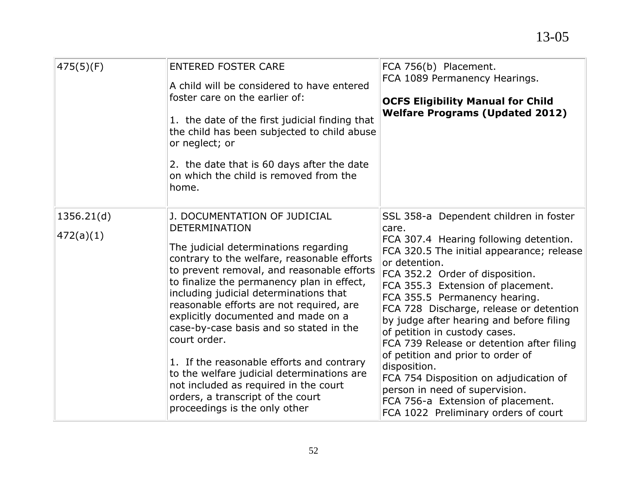| 475(5)(F)               | <b>ENTERED FOSTER CARE</b><br>A child will be considered to have entered<br>foster care on the earlier of:<br>1. the date of the first judicial finding that<br>the child has been subjected to child abuse<br>or neglect; or<br>2. the date that is 60 days after the date<br>on which the child is removed from the<br>home.                                                                                                                                                                                                                                                                                                             | FCA 756(b) Placement.<br>FCA 1089 Permanency Hearings.<br><b>OCFS Eligibility Manual for Child</b><br><b>Welfare Programs (Updated 2012)</b>                                                                                                                                                                                                                                                                                                                                                                                                                                                                                                        |
|-------------------------|--------------------------------------------------------------------------------------------------------------------------------------------------------------------------------------------------------------------------------------------------------------------------------------------------------------------------------------------------------------------------------------------------------------------------------------------------------------------------------------------------------------------------------------------------------------------------------------------------------------------------------------------|-----------------------------------------------------------------------------------------------------------------------------------------------------------------------------------------------------------------------------------------------------------------------------------------------------------------------------------------------------------------------------------------------------------------------------------------------------------------------------------------------------------------------------------------------------------------------------------------------------------------------------------------------------|
| 1356.21(d)<br>472(a)(1) | J. DOCUMENTATION OF JUDICIAL<br><b>DETERMINATION</b><br>The judicial determinations regarding<br>contrary to the welfare, reasonable efforts<br>to prevent removal, and reasonable efforts<br>to finalize the permanency plan in effect,<br>including judicial determinations that<br>reasonable efforts are not required, are<br>explicitly documented and made on a<br>case-by-case basis and so stated in the<br>court order.<br>1. If the reasonable efforts and contrary<br>to the welfare judicial determinations are<br>not included as required in the court<br>orders, a transcript of the court<br>proceedings is the only other | SSL 358-a Dependent children in foster<br>care.<br>FCA 307.4 Hearing following detention.<br>FCA 320.5 The initial appearance; release<br>or detention.<br>FCA 352.2 Order of disposition.<br>FCA 355.3 Extension of placement.<br>FCA 355.5 Permanency hearing.<br>FCA 728 Discharge, release or detention<br>by judge after hearing and before filing<br>of petition in custody cases.<br>FCA 739 Release or detention after filing<br>of petition and prior to order of<br>disposition.<br>FCA 754 Disposition on adjudication of<br>person in need of supervision.<br>FCA 756-a Extension of placement.<br>FCA 1022 Preliminary orders of court |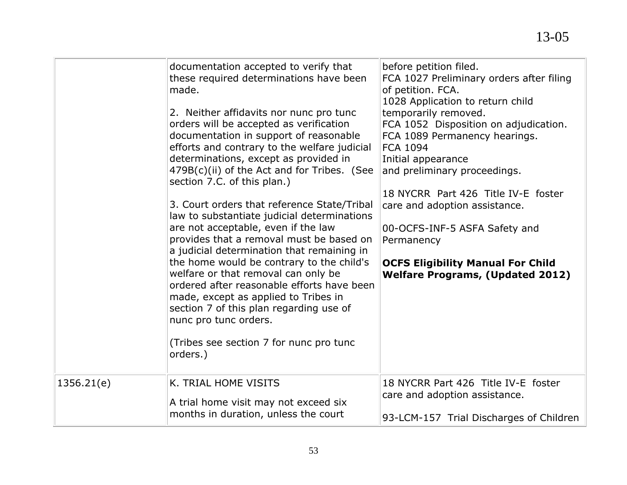|            | documentation accepted to verify that<br>these required determinations have been<br>made.<br>2. Neither affidavits nor nunc pro tunc<br>orders will be accepted as verification<br>documentation in support of reasonable<br>efforts and contrary to the welfare judicial<br>determinations, except as provided in<br>479B(c)(ii) of the Act and for Tribes. (See<br>section 7.C. of this plan.)<br>3. Court orders that reference State/Tribal<br>law to substantiate judicial determinations<br>are not acceptable, even if the law<br>provides that a removal must be based on<br>a judicial determination that remaining in<br>the home would be contrary to the child's<br>welfare or that removal can only be<br>ordered after reasonable efforts have been<br>made, except as applied to Tribes in<br>section 7 of this plan regarding use of<br>nunc pro tunc orders.<br>(Tribes see section 7 for nunc pro tunc<br>orders.) | before petition filed.<br>FCA 1027 Preliminary orders after filing<br>of petition. FCA.<br>1028 Application to return child<br>temporarily removed.<br>FCA 1052 Disposition on adjudication.<br>FCA 1089 Permanency hearings.<br><b>FCA 1094</b><br>Initial appearance<br>and preliminary proceedings.<br>18 NYCRR Part 426 Title IV-E foster<br>care and adoption assistance.<br>00-OCFS-INF-5 ASFA Safety and<br>Permanency<br><b>OCFS Eligibility Manual For Child</b><br><b>Welfare Programs, (Updated 2012)</b> |
|------------|--------------------------------------------------------------------------------------------------------------------------------------------------------------------------------------------------------------------------------------------------------------------------------------------------------------------------------------------------------------------------------------------------------------------------------------------------------------------------------------------------------------------------------------------------------------------------------------------------------------------------------------------------------------------------------------------------------------------------------------------------------------------------------------------------------------------------------------------------------------------------------------------------------------------------------------|----------------------------------------------------------------------------------------------------------------------------------------------------------------------------------------------------------------------------------------------------------------------------------------------------------------------------------------------------------------------------------------------------------------------------------------------------------------------------------------------------------------------|
| 1356.21(e) | K. TRIAL HOME VISITS<br>A trial home visit may not exceed six<br>months in duration, unless the court                                                                                                                                                                                                                                                                                                                                                                                                                                                                                                                                                                                                                                                                                                                                                                                                                                | 18 NYCRR Part 426 Title IV-E foster<br>care and adoption assistance.<br>93-LCM-157 Trial Discharges of Children                                                                                                                                                                                                                                                                                                                                                                                                      |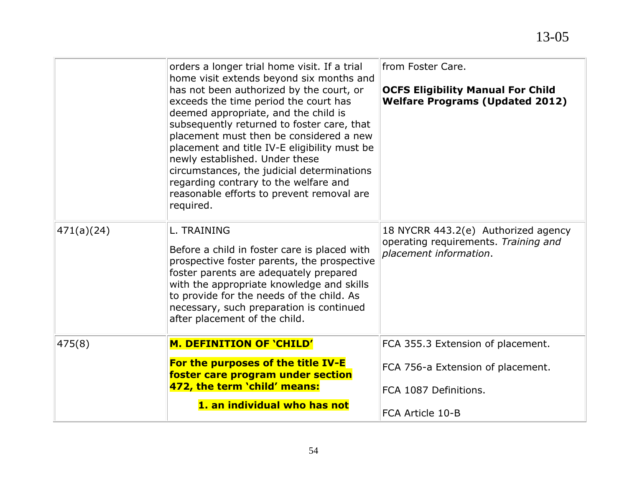|            | orders a longer trial home visit. If a trial<br>home visit extends beyond six months and<br>has not been authorized by the court, or<br>exceeds the time period the court has<br>deemed appropriate, and the child is<br>subsequently returned to foster care, that<br>placement must then be considered a new<br>placement and title IV-E eligibility must be<br>newly established. Under these<br>circumstances, the judicial determinations<br>regarding contrary to the welfare and<br>reasonable efforts to prevent removal are<br>required. | from Foster Care.<br><b>OCFS Eligibility Manual For Child</b><br><b>Welfare Programs (Updated 2012)</b> |
|------------|---------------------------------------------------------------------------------------------------------------------------------------------------------------------------------------------------------------------------------------------------------------------------------------------------------------------------------------------------------------------------------------------------------------------------------------------------------------------------------------------------------------------------------------------------|---------------------------------------------------------------------------------------------------------|
| 471(a)(24) | L. TRAINING<br>Before a child in foster care is placed with<br>prospective foster parents, the prospective<br>foster parents are adequately prepared<br>with the appropriate knowledge and skills<br>to provide for the needs of the child. As<br>necessary, such preparation is continued<br>after placement of the child.                                                                                                                                                                                                                       | 18 NYCRR 443.2(e) Authorized agency<br>operating requirements. Training and<br>placement information.   |
| 475(8)     | <b>M. DEFINITION OF 'CHILD'</b><br>For the purposes of the title IV-E<br>foster care program under section                                                                                                                                                                                                                                                                                                                                                                                                                                        | FCA 355.3 Extension of placement.<br>FCA 756-a Extension of placement.                                  |
|            | 472, the term 'child' means:                                                                                                                                                                                                                                                                                                                                                                                                                                                                                                                      | FCA 1087 Definitions.                                                                                   |
|            | 1. an individual who has not                                                                                                                                                                                                                                                                                                                                                                                                                                                                                                                      | FCA Article 10-B                                                                                        |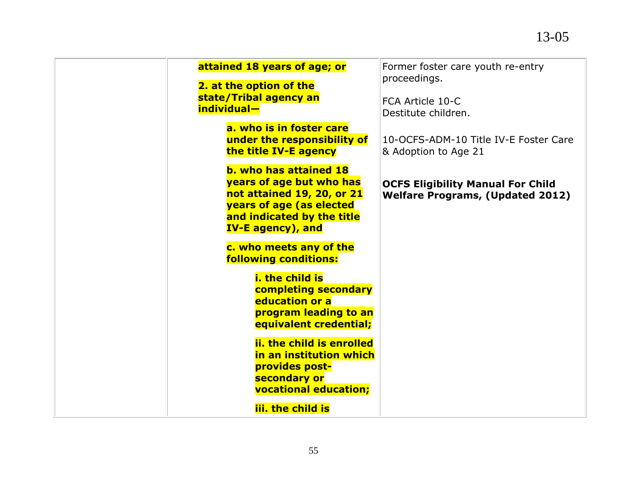| attained 18 years of age; or                                                                                                                                                  | Former foster care youth re-entry<br>proceedings.                                   |
|-------------------------------------------------------------------------------------------------------------------------------------------------------------------------------|-------------------------------------------------------------------------------------|
| 2. at the option of the<br>state/Tribal agency an<br>individual-                                                                                                              | FCA Article 10-C<br>Destitute children.                                             |
| a. who is in foster care<br>under the responsibility of<br>the title IV-E agency                                                                                              | 10-OCFS-ADM-10 Title IV-E Foster Care<br>& Adoption to Age 21                       |
| <b>b. who has attained 18</b><br>years of age but who has<br>not attained 19, 20, or 21<br>years of age (as elected<br>and indicated by the title<br><b>IV-E agency), and</b> | <b>OCFS Eligibility Manual For Child</b><br><b>Welfare Programs, (Updated 2012)</b> |
| c. who meets any of the<br><b>following conditions:</b>                                                                                                                       |                                                                                     |
| i. the child is<br>completing secondary<br>education or a<br>program leading to an<br>equivalent credential;                                                                  |                                                                                     |
| ii, the child is enrolled<br>in an institution which<br>provides post-<br>secondary or<br><b>vocational education;</b>                                                        |                                                                                     |
| iii, the child is                                                                                                                                                             |                                                                                     |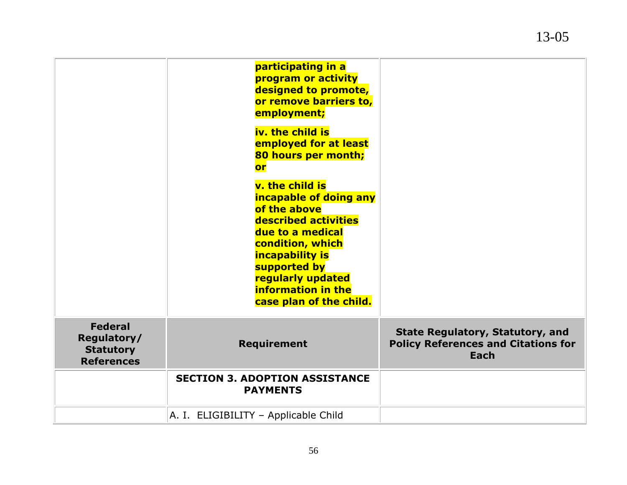|                                                                        | participating in a<br>program or activity<br>designed to promote,<br>or remove barriers to,<br>employment;<br>iv. the child is                                                                                                                   |                                                                                               |
|------------------------------------------------------------------------|--------------------------------------------------------------------------------------------------------------------------------------------------------------------------------------------------------------------------------------------------|-----------------------------------------------------------------------------------------------|
|                                                                        | employed for at least<br>80 hours per month;<br><b>or</b>                                                                                                                                                                                        |                                                                                               |
|                                                                        | v. the child is<br>incapable of doing any<br>of the above<br>described activities<br>due to a medical<br>condition, which<br><b>incapability is</b><br>supported by<br>regularly updated<br><b>information in the</b><br>case plan of the child. |                                                                                               |
| <b>Federal</b><br>Regulatory/<br><b>Statutory</b><br><b>References</b> | <b>Requirement</b>                                                                                                                                                                                                                               | <b>State Regulatory, Statutory, and</b><br><b>Policy References and Citations for</b><br>Each |
|                                                                        | <b>SECTION 3. ADOPTION ASSISTANCE</b><br><b>PAYMENTS</b>                                                                                                                                                                                         |                                                                                               |
|                                                                        | A. I. ELIGIBILITY - Applicable Child                                                                                                                                                                                                             |                                                                                               |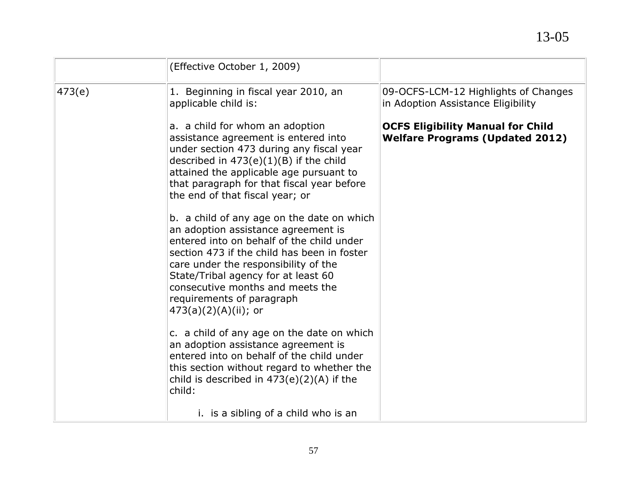|        | (Effective October 1, 2009)                                                                                                                                                                                                                                                                                                                              |                                                                                    |
|--------|----------------------------------------------------------------------------------------------------------------------------------------------------------------------------------------------------------------------------------------------------------------------------------------------------------------------------------------------------------|------------------------------------------------------------------------------------|
| 473(e) | 1. Beginning in fiscal year 2010, an<br>applicable child is:                                                                                                                                                                                                                                                                                             | 09-OCFS-LCM-12 Highlights of Changes<br>in Adoption Assistance Eligibility         |
|        | a. a child for whom an adoption<br>assistance agreement is entered into<br>under section 473 during any fiscal year<br>described in $473(e)(1)(B)$ if the child<br>attained the applicable age pursuant to<br>that paragraph for that fiscal year before<br>the end of that fiscal year; or                                                              | <b>OCFS Eligibility Manual for Child</b><br><b>Welfare Programs (Updated 2012)</b> |
|        | b. a child of any age on the date on which<br>an adoption assistance agreement is<br>entered into on behalf of the child under<br>section 473 if the child has been in foster<br>care under the responsibility of the<br>State/Tribal agency for at least 60<br>consecutive months and meets the<br>requirements of paragraph<br>$473(a)(2)(A)(ii)$ ; or |                                                                                    |
|        | c. a child of any age on the date on which<br>an adoption assistance agreement is<br>entered into on behalf of the child under<br>this section without regard to whether the<br>child is described in $473(e)(2)(A)$ if the<br>child:                                                                                                                    |                                                                                    |
|        | i. is a sibling of a child who is an                                                                                                                                                                                                                                                                                                                     |                                                                                    |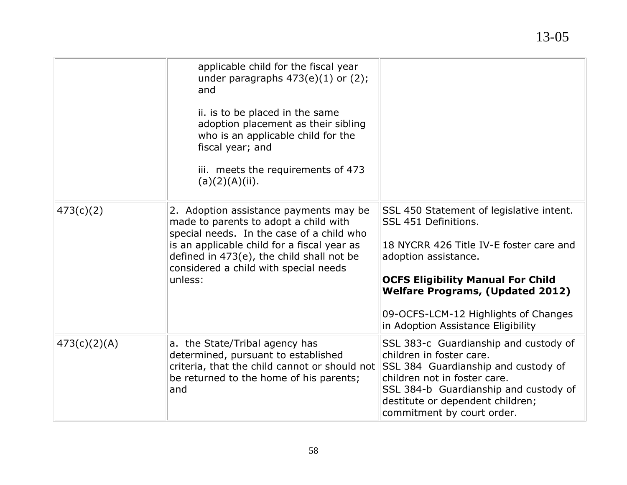## 13-05

|              | applicable child for the fiscal year<br>under paragraphs $473(e)(1)$ or $(2)$ ;<br>and<br>ii. is to be placed in the same<br>adoption placement as their sibling<br>who is an applicable child for the<br>fiscal year; and<br>iii. meets the requirements of 473<br>(a)(2)(A)(ii). |                                                                                                                                                                                                                                                                                                          |
|--------------|------------------------------------------------------------------------------------------------------------------------------------------------------------------------------------------------------------------------------------------------------------------------------------|----------------------------------------------------------------------------------------------------------------------------------------------------------------------------------------------------------------------------------------------------------------------------------------------------------|
| 473(c)(2)    | 2. Adoption assistance payments may be<br>made to parents to adopt a child with<br>special needs. In the case of a child who<br>is an applicable child for a fiscal year as<br>defined in 473(e), the child shall not be<br>considered a child with special needs<br>unless:       | SSL 450 Statement of legislative intent.<br>SSL 451 Definitions.<br>18 NYCRR 426 Title IV-E foster care and<br>adoption assistance.<br><b>OCFS Eligibility Manual For Child</b><br><b>Welfare Programs, (Updated 2012)</b><br>09-OCFS-LCM-12 Highlights of Changes<br>in Adoption Assistance Eligibility |
| 473(c)(2)(A) | a. the State/Tribal agency has<br>determined, pursuant to established<br>criteria, that the child cannot or should not<br>be returned to the home of his parents;<br>and                                                                                                           | SSL 383-c Guardianship and custody of<br>children in foster care.<br>SSL 384 Guardianship and custody of<br>children not in foster care.<br>SSL 384-b Guardianship and custody of<br>destitute or dependent children;<br>commitment by court order.                                                      |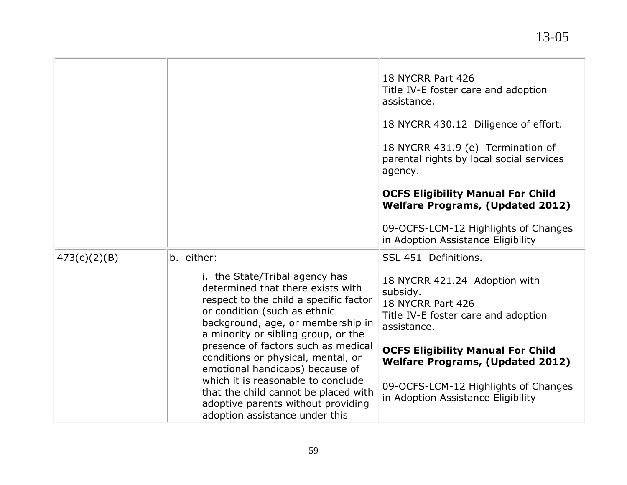|              |                                                                                                                                                                                                                           | 18 NYCRR Part 426<br>Title IV-E foster care and adoption<br>assistance.                                              |
|--------------|---------------------------------------------------------------------------------------------------------------------------------------------------------------------------------------------------------------------------|----------------------------------------------------------------------------------------------------------------------|
|              |                                                                                                                                                                                                                           | 18 NYCRR 430.12 Diligence of effort.                                                                                 |
|              |                                                                                                                                                                                                                           | 18 NYCRR 431.9 (e) Termination of<br>parental rights by local social services<br>agency.                             |
|              |                                                                                                                                                                                                                           | <b>OCFS Eligibility Manual For Child</b><br><b>Welfare Programs, (Updated 2012)</b>                                  |
|              |                                                                                                                                                                                                                           | 09-OCFS-LCM-12 Highlights of Changes<br>in Adoption Assistance Eligibility                                           |
| 473(c)(2)(B) | b. either:                                                                                                                                                                                                                | SSL 451 Definitions.                                                                                                 |
|              | i. the State/Tribal agency has<br>determined that there exists with<br>respect to the child a specific factor<br>or condition (such as ethnic<br>background, age, or membership in<br>a minority or sibling group, or the | 18 NYCRR 421.24 Adoption with<br>subsidy.<br>18 NYCRR Part 426<br>Title IV-E foster care and adoption<br>assistance. |
|              | presence of factors such as medical<br>conditions or physical, mental, or<br>emotional handicaps) because of                                                                                                              | <b>OCFS Eligibility Manual For Child</b><br><b>Welfare Programs, (Updated 2012)</b>                                  |
|              | which it is reasonable to conclude<br>that the child cannot be placed with<br>adoptive parents without providing<br>adoption assistance under this                                                                        | 09-OCFS-LCM-12 Highlights of Changes<br>in Adoption Assistance Eligibility                                           |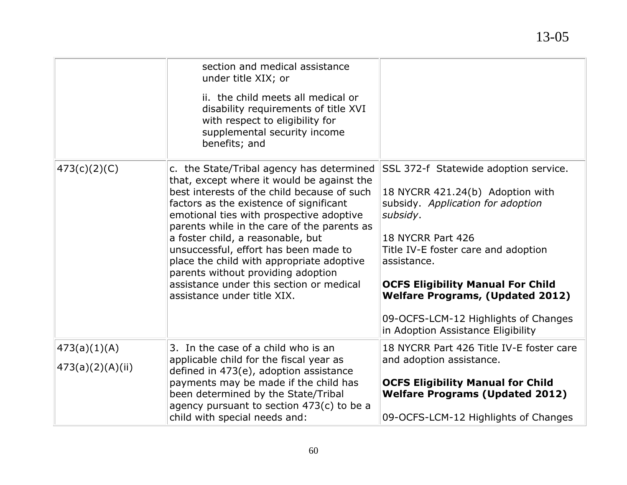|                                    | section and medical assistance<br>under title XIX; or<br>ii. the child meets all medical or<br>disability requirements of title XVI<br>with respect to eligibility for<br>supplemental security income<br>benefits; and                                                                                                                                                                                                                                                                                                  |                                                                                                                                                                                                                                                                                                                                                                            |
|------------------------------------|--------------------------------------------------------------------------------------------------------------------------------------------------------------------------------------------------------------------------------------------------------------------------------------------------------------------------------------------------------------------------------------------------------------------------------------------------------------------------------------------------------------------------|----------------------------------------------------------------------------------------------------------------------------------------------------------------------------------------------------------------------------------------------------------------------------------------------------------------------------------------------------------------------------|
| (473(c)(2)(C))                     | c. the State/Tribal agency has determined<br>that, except where it would be against the<br>best interests of the child because of such<br>factors as the existence of significant<br>emotional ties with prospective adoptive<br>parents while in the care of the parents as<br>a foster child, a reasonable, but<br>unsuccessful, effort has been made to<br>place the child with appropriate adoptive<br>parents without providing adoption<br>assistance under this section or medical<br>assistance under title XIX. | SSL 372-f Statewide adoption service.<br>18 NYCRR 421.24(b) Adoption with<br>subsidy. Application for adoption<br>subsidy.<br>18 NYCRR Part 426<br>Title IV-E foster care and adoption<br>assistance.<br><b>OCFS Eligibility Manual For Child</b><br><b>Welfare Programs, (Updated 2012)</b><br>09-OCFS-LCM-12 Highlights of Changes<br>in Adoption Assistance Eligibility |
| 473(a)(1)(A)<br>(473(a)(2)(A)(ii)) | 3. In the case of a child who is an<br>applicable child for the fiscal year as<br>defined in 473(e), adoption assistance<br>payments may be made if the child has<br>been determined by the State/Tribal<br>agency pursuant to section $473(c)$ to be a<br>child with special needs and:                                                                                                                                                                                                                                 | 18 NYCRR Part 426 Title IV-E foster care<br>and adoption assistance.<br><b>OCFS Eligibility Manual for Child</b><br><b>Welfare Programs (Updated 2012)</b><br>09-OCFS-LCM-12 Highlights of Changes                                                                                                                                                                         |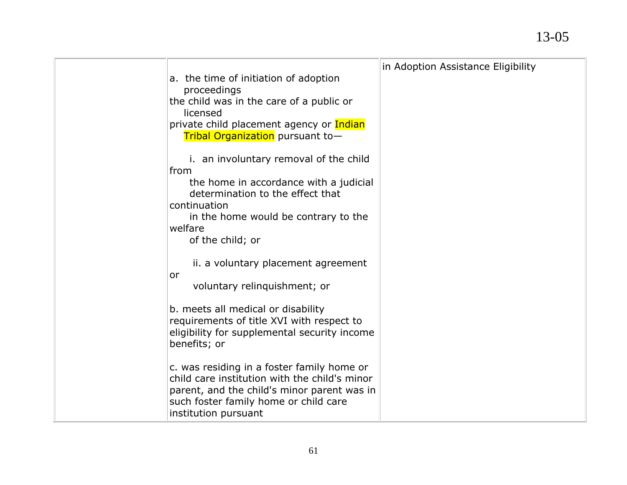| a. the time of initiation of adoption<br>proceedings<br>the child was in the care of a public or<br>licensed<br>private child placement agency or Indian<br>Tribal Organization pursuant to-                                                               | in Adoption Assistance Eligibility |
|------------------------------------------------------------------------------------------------------------------------------------------------------------------------------------------------------------------------------------------------------------|------------------------------------|
| i. an involuntary removal of the child<br>from<br>the home in accordance with a judicial<br>determination to the effect that<br>continuation<br>in the home would be contrary to the<br>welfare<br>of the child; or<br>ii. a voluntary placement agreement |                                    |
| or<br>voluntary relinguishment; or<br>b. meets all medical or disability<br>requirements of title XVI with respect to<br>eligibility for supplemental security income<br>benefits; or                                                                      |                                    |
| c. was residing in a foster family home or<br>child care institution with the child's minor<br>parent, and the child's minor parent was in<br>such foster family home or child care<br>institution pursuant                                                |                                    |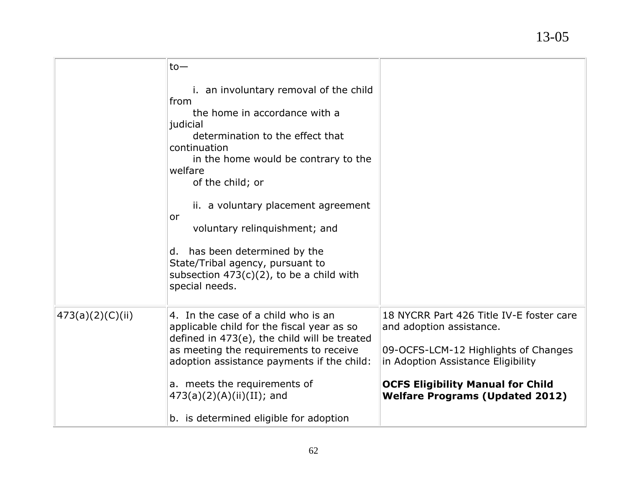|                   | $to-$                                                                                      |                                          |
|-------------------|--------------------------------------------------------------------------------------------|------------------------------------------|
|                   | i. an involuntary removal of the child                                                     |                                          |
|                   | from                                                                                       |                                          |
|                   | the home in accordance with a                                                              |                                          |
|                   | judicial<br>determination to the effect that                                               |                                          |
|                   | continuation                                                                               |                                          |
|                   | in the home would be contrary to the                                                       |                                          |
|                   | welfare                                                                                    |                                          |
|                   | of the child; or                                                                           |                                          |
|                   | ii. a voluntary placement agreement                                                        |                                          |
|                   | or                                                                                         |                                          |
|                   | voluntary relinquishment; and                                                              |                                          |
|                   | has been determined by the<br>d.                                                           |                                          |
|                   | State/Tribal agency, pursuant to                                                           |                                          |
|                   | subsection $473(c)(2)$ , to be a child with                                                |                                          |
|                   | special needs.                                                                             |                                          |
|                   |                                                                                            |                                          |
| (473(a)(2)(C)(ii) | 4. In the case of a child who is an                                                        | 18 NYCRR Part 426 Title IV-E foster care |
|                   | applicable child for the fiscal year as so<br>defined in 473(e), the child will be treated | and adoption assistance.                 |
|                   | as meeting the requirements to receive                                                     | 09-OCFS-LCM-12 Highlights of Changes     |
|                   | adoption assistance payments if the child:                                                 | in Adoption Assistance Eligibility       |
|                   |                                                                                            |                                          |
|                   | a. meets the requirements of                                                               | <b>OCFS Eligibility Manual for Child</b> |
|                   | $473(a)(2)(A)(ii)(II)$ ; and                                                               | <b>Welfare Programs (Updated 2012)</b>   |
|                   | b. is determined eligible for adoption                                                     |                                          |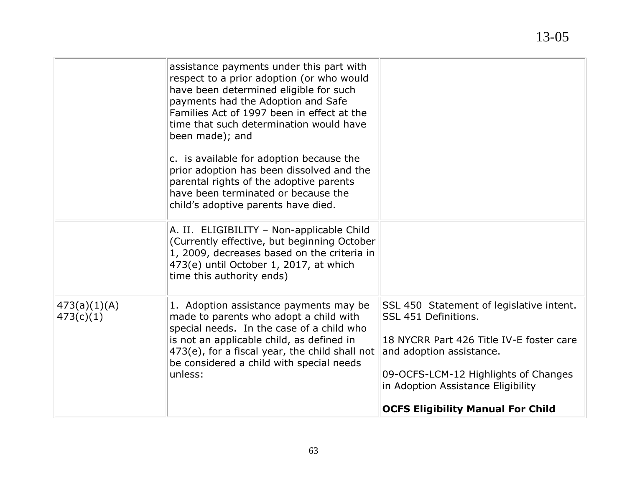|                            | assistance payments under this part with<br>respect to a prior adoption (or who would<br>have been determined eligible for such<br>payments had the Adoption and Safe<br>Families Act of 1997 been in effect at the<br>time that such determination would have<br>been made); and<br>c. is available for adoption because the<br>prior adoption has been dissolved and the<br>parental rights of the adoptive parents<br>have been terminated or because the<br>child's adoptive parents have died. |                                                                                                                                                                                                                                                                    |
|----------------------------|-----------------------------------------------------------------------------------------------------------------------------------------------------------------------------------------------------------------------------------------------------------------------------------------------------------------------------------------------------------------------------------------------------------------------------------------------------------------------------------------------------|--------------------------------------------------------------------------------------------------------------------------------------------------------------------------------------------------------------------------------------------------------------------|
|                            | A. II. ELIGIBILITY - Non-applicable Child<br>(Currently effective, but beginning October<br>1, 2009, decreases based on the criteria in<br>473(e) until October 1, 2017, at which<br>time this authority ends)                                                                                                                                                                                                                                                                                      |                                                                                                                                                                                                                                                                    |
| 473(a)(1)(A) <br>473(c)(1) | 1. Adoption assistance payments may be<br>made to parents who adopt a child with<br>special needs. In the case of a child who<br>is not an applicable child, as defined in<br>473(e), for a fiscal year, the child shall not<br>be considered a child with special needs<br>unless:                                                                                                                                                                                                                 | SSL 450 Statement of legislative intent.<br>SSL 451 Definitions.<br>18 NYCRR Part 426 Title IV-E foster care<br>and adoption assistance.<br>09-OCFS-LCM-12 Highlights of Changes<br>in Adoption Assistance Eligibility<br><b>OCFS Eligibility Manual For Child</b> |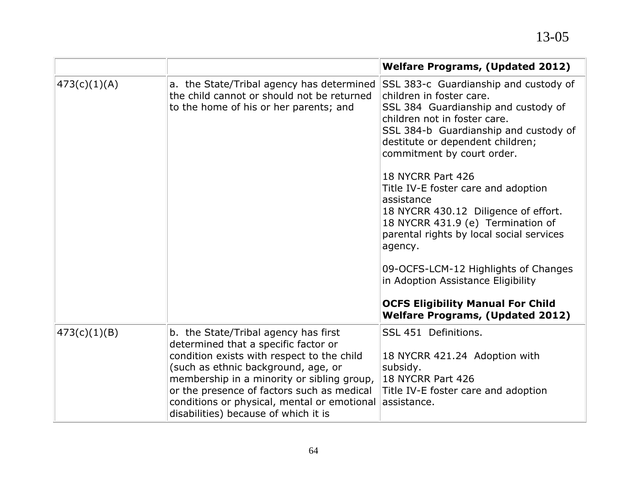|              |                                                                                                                                                                                                                                                                                                                                                      | <b>Welfare Programs, (Updated 2012)</b>                                                                                                                                                                                                                                                                                                                                                                                                                                                                                                                                                                                                |
|--------------|------------------------------------------------------------------------------------------------------------------------------------------------------------------------------------------------------------------------------------------------------------------------------------------------------------------------------------------------------|----------------------------------------------------------------------------------------------------------------------------------------------------------------------------------------------------------------------------------------------------------------------------------------------------------------------------------------------------------------------------------------------------------------------------------------------------------------------------------------------------------------------------------------------------------------------------------------------------------------------------------------|
| 473(c)(1)(A) | a. the State/Tribal agency has determined<br>the child cannot or should not be returned<br>to the home of his or her parents; and                                                                                                                                                                                                                    | SSL 383-c Guardianship and custody of<br>children in foster care.<br>SSL 384 Guardianship and custody of<br>children not in foster care.<br>SSL 384-b Guardianship and custody of<br>destitute or dependent children;<br>commitment by court order.<br>18 NYCRR Part 426<br>Title IV-E foster care and adoption<br>assistance<br>18 NYCRR 430.12 Diligence of effort.<br>18 NYCRR 431.9 (e) Termination of<br>parental rights by local social services<br>agency.<br>09-OCFS-LCM-12 Highlights of Changes<br>in Adoption Assistance Eligibility<br><b>OCFS Eligibility Manual For Child</b><br><b>Welfare Programs, (Updated 2012)</b> |
| 473(c)(1)(B) | b. the State/Tribal agency has first<br>determined that a specific factor or<br>condition exists with respect to the child<br>(such as ethnic background, age, or<br>membership in a minority or sibling group,<br>or the presence of factors such as medical<br>conditions or physical, mental or emotional<br>disabilities) because of which it is | SSL 451 Definitions.<br>18 NYCRR 421.24 Adoption with<br>subsidy.<br>18 NYCRR Part 426<br>Title IV-E foster care and adoption<br>assistance.                                                                                                                                                                                                                                                                                                                                                                                                                                                                                           |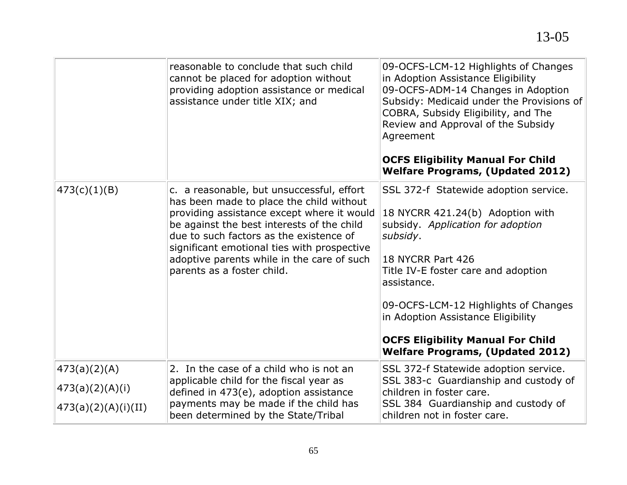|                     | reasonable to conclude that such child<br>cannot be placed for adoption without<br>providing adoption assistance or medical<br>assistance under title XIX; and                                                                                                                                                                                          | 09-OCFS-LCM-12 Highlights of Changes<br>in Adoption Assistance Eligibility<br>09-OCFS-ADM-14 Changes in Adoption<br>Subsidy: Medicaid under the Provisions of<br>COBRA, Subsidy Eligibility, and The<br>Review and Approval of the Subsidy<br>Agreement<br><b>OCFS Eligibility Manual For Child</b><br><b>Welfare Programs, (Updated 2012)</b>                             |
|---------------------|---------------------------------------------------------------------------------------------------------------------------------------------------------------------------------------------------------------------------------------------------------------------------------------------------------------------------------------------------------|----------------------------------------------------------------------------------------------------------------------------------------------------------------------------------------------------------------------------------------------------------------------------------------------------------------------------------------------------------------------------|
| 473(c)(1)(B)        | c. a reasonable, but unsuccessful, effort<br>has been made to place the child without<br>providing assistance except where it would<br>be against the best interests of the child<br>due to such factors as the existence of<br>significant emotional ties with prospective<br>adoptive parents while in the care of such<br>parents as a foster child. | SSL 372-f Statewide adoption service.<br>18 NYCRR 421.24(b) Adoption with<br>subsidy. Application for adoption<br>subsidy.<br>18 NYCRR Part 426<br>Title IV-E foster care and adoption<br>assistance.<br>09-OCFS-LCM-12 Highlights of Changes<br>in Adoption Assistance Eligibility<br><b>OCFS Eligibility Manual For Child</b><br><b>Welfare Programs, (Updated 2012)</b> |
| 473(a)(2)(A)        | 2. In the case of a child who is not an                                                                                                                                                                                                                                                                                                                 | SSL 372-f Statewide adoption service.                                                                                                                                                                                                                                                                                                                                      |
| 473(a)(2)(A)(i)     | applicable child for the fiscal year as<br>defined in 473(e), adoption assistance                                                                                                                                                                                                                                                                       | SSL 383-c Guardianship and custody of<br>children in foster care.                                                                                                                                                                                                                                                                                                          |
| 473(a)(2)(A)(i)(II) | payments may be made if the child has<br>been determined by the State/Tribal                                                                                                                                                                                                                                                                            | SSL 384 Guardianship and custody of<br>children not in foster care.                                                                                                                                                                                                                                                                                                        |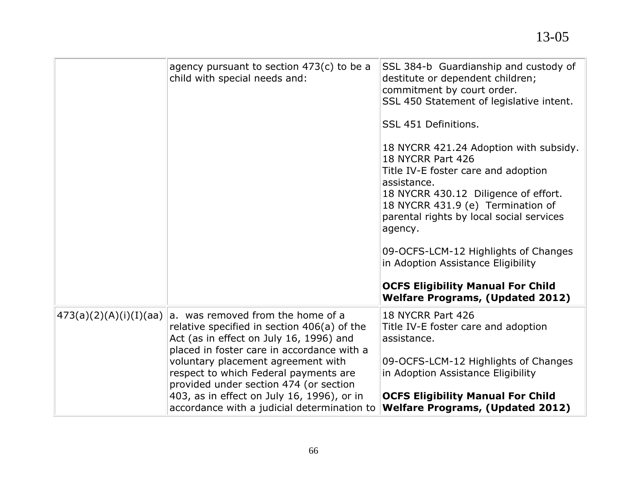|                        | agency pursuant to section $473(c)$ to be a<br>child with special needs and:                                                                                                                                                                                                                                                                                                                    | SSL 384-b Guardianship and custody of<br>destitute or dependent children;<br>commitment by court order.<br>SSL 450 Statement of legislative intent.<br>SSL 451 Definitions.<br>18 NYCRR 421.24 Adoption with subsidy.<br>18 NYCRR Part 426<br>Title IV-E foster care and adoption<br>assistance.<br>18 NYCRR 430.12 Diligence of effort.<br>18 NYCRR 431.9 (e) Termination of<br>parental rights by local social services<br>agency.<br>09-OCFS-LCM-12 Highlights of Changes<br>in Adoption Assistance Eligibility<br><b>OCFS Eligibility Manual For Child</b><br><b>Welfare Programs, (Updated 2012)</b> |
|------------------------|-------------------------------------------------------------------------------------------------------------------------------------------------------------------------------------------------------------------------------------------------------------------------------------------------------------------------------------------------------------------------------------------------|-----------------------------------------------------------------------------------------------------------------------------------------------------------------------------------------------------------------------------------------------------------------------------------------------------------------------------------------------------------------------------------------------------------------------------------------------------------------------------------------------------------------------------------------------------------------------------------------------------------|
| 473(a)(2)(A)(i)(I)(aa) | a. was removed from the home of a<br>relative specified in section 406(a) of the<br>Act (as in effect on July 16, 1996) and<br>placed in foster care in accordance with a<br>voluntary placement agreement with<br>respect to which Federal payments are<br>provided under section 474 (or section<br>403, as in effect on July 16, 1996), or in<br>accordance with a judicial determination to | 18 NYCRR Part 426<br>Title IV-E foster care and adoption<br>assistance.<br>09-OCFS-LCM-12 Highlights of Changes<br>in Adoption Assistance Eligibility<br><b>OCFS Eligibility Manual For Child</b><br><b>Welfare Programs, (Updated 2012)</b>                                                                                                                                                                                                                                                                                                                                                              |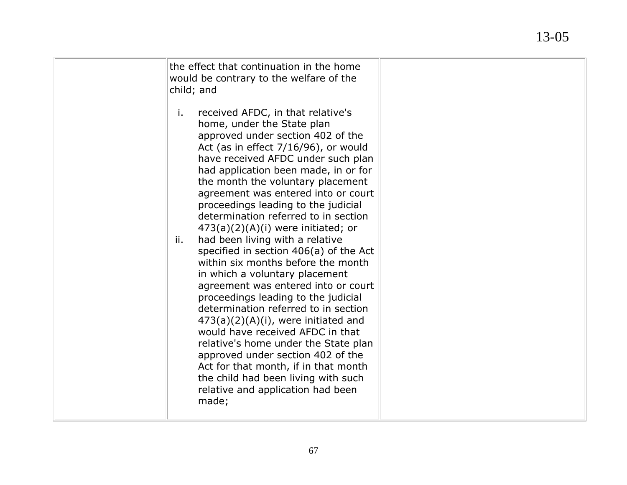| the effect that continuation in the home<br>would be contrary to the welfare of the<br>child; and                                                                                                                                                                                                                                                                                                                                                                                                                                                                                                                                                                                                                                                                                                                                                                                                                                                                                                                |  |
|------------------------------------------------------------------------------------------------------------------------------------------------------------------------------------------------------------------------------------------------------------------------------------------------------------------------------------------------------------------------------------------------------------------------------------------------------------------------------------------------------------------------------------------------------------------------------------------------------------------------------------------------------------------------------------------------------------------------------------------------------------------------------------------------------------------------------------------------------------------------------------------------------------------------------------------------------------------------------------------------------------------|--|
| received AFDC, in that relative's<br>i.<br>home, under the State plan<br>approved under section 402 of the<br>Act (as in effect $7/16/96$ ), or would<br>have received AFDC under such plan<br>had application been made, in or for<br>the month the voluntary placement<br>agreement was entered into or court<br>proceedings leading to the judicial<br>determination referred to in section<br>$473(a)(2)(A)(i)$ were initiated; or<br>had been living with a relative<br>ii.<br>specified in section 406(a) of the Act<br>within six months before the month<br>in which a voluntary placement<br>agreement was entered into or court<br>proceedings leading to the judicial<br>determination referred to in section<br>$473(a)(2)(A)(i)$ , were initiated and<br>would have received AFDC in that<br>relative's home under the State plan<br>approved under section 402 of the<br>Act for that month, if in that month<br>the child had been living with such<br>relative and application had been<br>made; |  |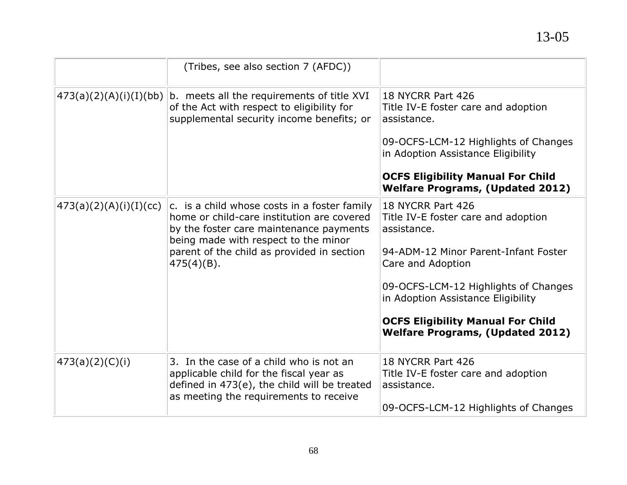|                        | (Tribes, see also section 7 (AFDC))                                                                                                                                                                                                          |                                                                                                                                                                                                                                                                                                           |
|------------------------|----------------------------------------------------------------------------------------------------------------------------------------------------------------------------------------------------------------------------------------------|-----------------------------------------------------------------------------------------------------------------------------------------------------------------------------------------------------------------------------------------------------------------------------------------------------------|
|                        | $473(a)(2)(A)(i)(I)(bb)$ b. meets all the requirements of title XVI<br>of the Act with respect to eligibility for<br>supplemental security income benefits; or                                                                               | 18 NYCRR Part 426<br>Title IV-E foster care and adoption<br>assistance.<br>09-OCFS-LCM-12 Highlights of Changes                                                                                                                                                                                           |
|                        |                                                                                                                                                                                                                                              | in Adoption Assistance Eligibility<br><b>OCFS Eligibility Manual For Child</b><br><b>Welfare Programs, (Updated 2012)</b>                                                                                                                                                                                 |
| 473(a)(2)(A)(i)(I)(cc) | c. is a child whose costs in a foster family<br>home or child-care institution are covered<br>by the foster care maintenance payments<br>being made with respect to the minor<br>parent of the child as provided in section<br>$475(4)(B)$ . | 18 NYCRR Part 426<br>Title IV-E foster care and adoption<br>assistance.<br>94-ADM-12 Minor Parent-Infant Foster<br>Care and Adoption<br>09-OCFS-LCM-12 Highlights of Changes<br>in Adoption Assistance Eligibility<br><b>OCFS Eligibility Manual For Child</b><br><b>Welfare Programs, (Updated 2012)</b> |
| 473(a)(2)(C)(i)        | 3. In the case of a child who is not an<br>applicable child for the fiscal year as<br>defined in 473(e), the child will be treated<br>as meeting the requirements to receive                                                                 | 18 NYCRR Part 426<br>Title IV-E foster care and adoption<br>assistance.<br>09-OCFS-LCM-12 Highlights of Changes                                                                                                                                                                                           |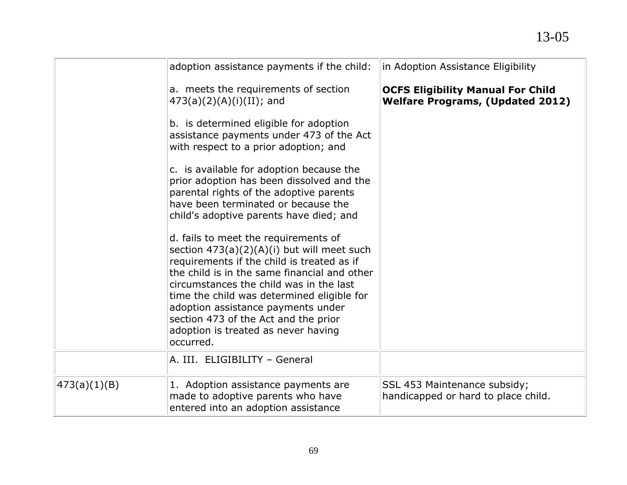|              | adoption assistance payments if the child:                                                                                                                                                                                                                                                                                                                                                                    | in Adoption Assistance Eligibility                                                  |
|--------------|---------------------------------------------------------------------------------------------------------------------------------------------------------------------------------------------------------------------------------------------------------------------------------------------------------------------------------------------------------------------------------------------------------------|-------------------------------------------------------------------------------------|
|              | a. meets the requirements of section<br>$473(a)(2)(A)(i)(II)$ ; and                                                                                                                                                                                                                                                                                                                                           | <b>OCFS Eligibility Manual For Child</b><br><b>Welfare Programs, (Updated 2012)</b> |
|              | b. is determined eligible for adoption<br>assistance payments under 473 of the Act<br>with respect to a prior adoption; and                                                                                                                                                                                                                                                                                   |                                                                                     |
|              | c. is available for adoption because the<br>prior adoption has been dissolved and the<br>parental rights of the adoptive parents<br>have been terminated or because the<br>child's adoptive parents have died; and                                                                                                                                                                                            |                                                                                     |
|              | d. fails to meet the requirements of<br>section $473(a)(2)(A)(i)$ but will meet such<br>requirements if the child is treated as if<br>the child is in the same financial and other<br>circumstances the child was in the last<br>time the child was determined eligible for<br>adoption assistance payments under<br>section 473 of the Act and the prior<br>adoption is treated as never having<br>occurred. |                                                                                     |
|              | A. III. ELIGIBILITY - General                                                                                                                                                                                                                                                                                                                                                                                 |                                                                                     |
| 473(a)(1)(B) | 1. Adoption assistance payments are<br>made to adoptive parents who have<br>entered into an adoption assistance                                                                                                                                                                                                                                                                                               | SSL 453 Maintenance subsidy;<br>handicapped or hard to place child.                 |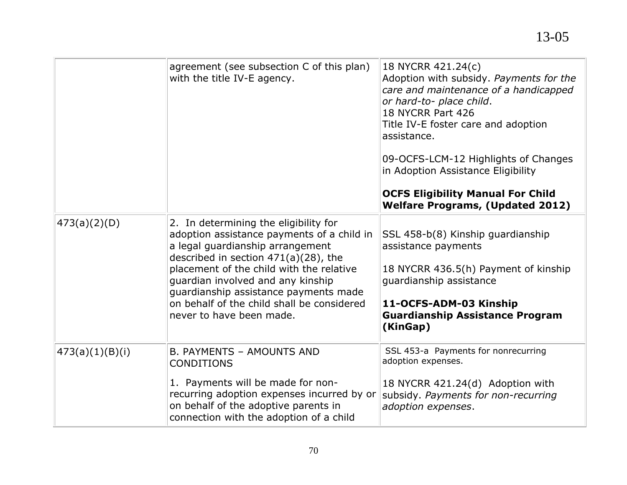|                 | agreement (see subsection C of this plan)<br>with the title IV-E agency.                                                                                                                                                                                                                                                                                               | 18 NYCRR 421.24(c)<br>Adoption with subsidy. Payments for the<br>care and maintenance of a handicapped<br>or hard-to- place child.<br>18 NYCRR Part 426<br>Title IV-E foster care and adoption<br>assistance.<br>09-OCFS-LCM-12 Highlights of Changes<br>in Adoption Assistance Eligibility<br><b>OCFS Eligibility Manual For Child</b><br><b>Welfare Programs, (Updated 2012)</b> |
|-----------------|------------------------------------------------------------------------------------------------------------------------------------------------------------------------------------------------------------------------------------------------------------------------------------------------------------------------------------------------------------------------|------------------------------------------------------------------------------------------------------------------------------------------------------------------------------------------------------------------------------------------------------------------------------------------------------------------------------------------------------------------------------------|
| 473(a)(2)(D)    | 2. In determining the eligibility for<br>adoption assistance payments of a child in<br>a legal guardianship arrangement<br>described in section $471(a)(28)$ , the<br>placement of the child with the relative<br>guardian involved and any kinship<br>guardianship assistance payments made<br>on behalf of the child shall be considered<br>never to have been made. | SSL 458-b(8) Kinship guardianship<br>assistance payments<br>18 NYCRR 436.5(h) Payment of kinship<br>quardianship assistance<br>11-OCFS-ADM-03 Kinship<br><b>Guardianship Assistance Program</b><br>(KinGap)                                                                                                                                                                        |
| 473(a)(1)(B)(i) | <b>B. PAYMENTS - AMOUNTS AND</b><br><b>CONDITIONS</b><br>1. Payments will be made for non-<br>recurring adoption expenses incurred by or<br>on behalf of the adoptive parents in<br>connection with the adoption of a child                                                                                                                                            | SSL 453-a Payments for nonrecurring<br>adoption expenses.<br>18 NYCRR 421.24(d) Adoption with<br>subsidy. Payments for non-recurring<br>adoption expenses.                                                                                                                                                                                                                         |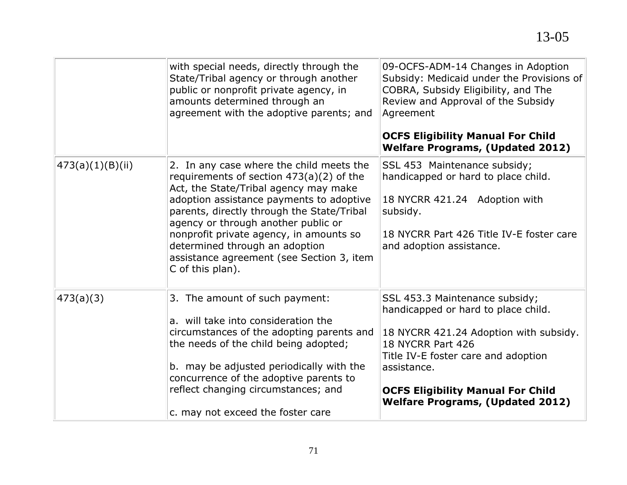|                  | with special needs, directly through the<br>State/Tribal agency or through another<br>public or nonprofit private agency, in<br>amounts determined through an<br>agreement with the adoptive parents; and                                                                                                                                                                                                      | 09-OCFS-ADM-14 Changes in Adoption<br>Subsidy: Medicaid under the Provisions of<br>COBRA, Subsidy Eligibility, and The<br>Review and Approval of the Subsidy<br>Agreement<br><b>OCFS Eligibility Manual For Child</b><br><b>Welfare Programs, (Updated 2012)</b>                  |
|------------------|----------------------------------------------------------------------------------------------------------------------------------------------------------------------------------------------------------------------------------------------------------------------------------------------------------------------------------------------------------------------------------------------------------------|-----------------------------------------------------------------------------------------------------------------------------------------------------------------------------------------------------------------------------------------------------------------------------------|
| 473(a)(1)(B)(ii) | 2. In any case where the child meets the<br>requirements of section $473(a)(2)$ of the<br>Act, the State/Tribal agency may make<br>adoption assistance payments to adoptive<br>parents, directly through the State/Tribal<br>agency or through another public or<br>nonprofit private agency, in amounts so<br>determined through an adoption<br>assistance agreement (see Section 3, item<br>C of this plan). | SSL 453 Maintenance subsidy;<br>handicapped or hard to place child.<br>18 NYCRR 421.24 Adoption with<br>subsidy.<br>18 NYCRR Part 426 Title IV-E foster care<br>and adoption assistance.                                                                                          |
| 473(a)(3)        | 3. The amount of such payment:<br>a. will take into consideration the<br>circumstances of the adopting parents and<br>the needs of the child being adopted;<br>b. may be adjusted periodically with the<br>concurrence of the adoptive parents to<br>reflect changing circumstances; and<br>c. may not exceed the foster care                                                                                  | SSL 453.3 Maintenance subsidy;<br>handicapped or hard to place child.<br>18 NYCRR 421.24 Adoption with subsidy.<br>18 NYCRR Part 426<br>Title IV-E foster care and adoption<br>assistance.<br><b>OCFS Eligibility Manual For Child</b><br><b>Welfare Programs, (Updated 2012)</b> |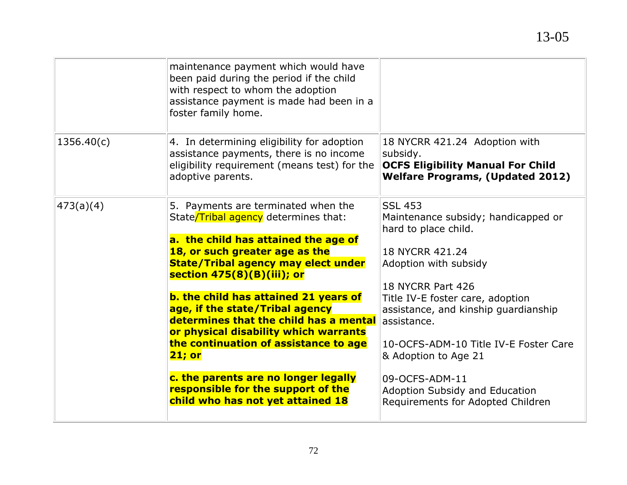| maintenance payment which would have<br>been paid during the period if the child<br>with respect to whom the adoption                                                                                                                                                                                                                                                                                                                                                                                                                                                         |                                                                                                                                                                                                                                                                                                                                                                                                            |
|-------------------------------------------------------------------------------------------------------------------------------------------------------------------------------------------------------------------------------------------------------------------------------------------------------------------------------------------------------------------------------------------------------------------------------------------------------------------------------------------------------------------------------------------------------------------------------|------------------------------------------------------------------------------------------------------------------------------------------------------------------------------------------------------------------------------------------------------------------------------------------------------------------------------------------------------------------------------------------------------------|
| foster family home.                                                                                                                                                                                                                                                                                                                                                                                                                                                                                                                                                           |                                                                                                                                                                                                                                                                                                                                                                                                            |
| 4. In determining eligibility for adoption<br>assistance payments, there is no income<br>eligibility requirement (means test) for the<br>adoptive parents.                                                                                                                                                                                                                                                                                                                                                                                                                    | 18 NYCRR 421.24 Adoption with<br>subsidy.<br><b>OCFS Eligibility Manual For Child</b><br><b>Welfare Programs, (Updated 2012)</b>                                                                                                                                                                                                                                                                           |
| 5. Payments are terminated when the<br>State/Tribal agency determines that:<br>a. the child has attained the age of<br>18, or such greater age as the<br><b>State/Tribal agency may elect under</b><br>section 475(8)(B)(iii); or<br>b. the child has attained 21 years of<br>age, if the state/Tribal agency<br>determines that the child has a mental<br>or physical disability which warrants<br>the continuation of assistance to age<br><b>21; or</b><br>c. the parents are no longer legally<br>responsible for the support of the<br>child who has not yet attained 18 | <b>SSL 453</b><br>Maintenance subsidy; handicapped or<br>hard to place child.<br>18 NYCRR 421.24<br>Adoption with subsidy<br>18 NYCRR Part 426<br>Title IV-E foster care, adoption<br>assistance, and kinship guardianship<br>assistance.<br>10-OCFS-ADM-10 Title IV-E Foster Care<br>& Adoption to Age 21<br>09-OCFS-ADM-11<br><b>Adoption Subsidy and Education</b><br>Requirements for Adopted Children |
|                                                                                                                                                                                                                                                                                                                                                                                                                                                                                                                                                                               | assistance payment is made had been in a                                                                                                                                                                                                                                                                                                                                                                   |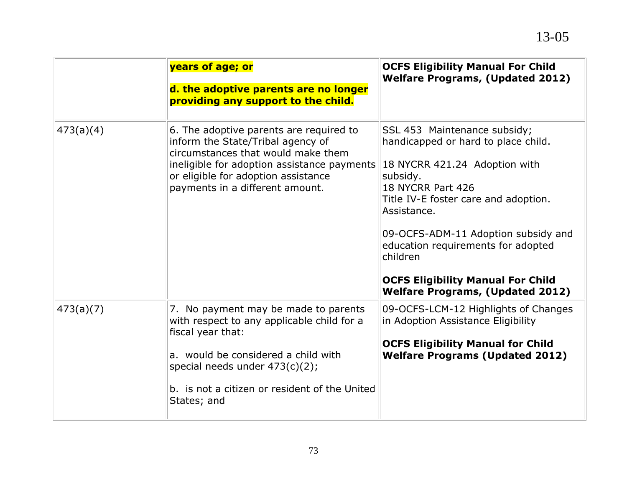|           | years of age; or<br>d. the adoptive parents are no longer<br>providing any support to the child.                                                                                                                                                    | <b>OCFS Eligibility Manual For Child</b><br><b>Welfare Programs, (Updated 2012)</b>                                                                                                                                                                                                                                                                                          |
|-----------|-----------------------------------------------------------------------------------------------------------------------------------------------------------------------------------------------------------------------------------------------------|------------------------------------------------------------------------------------------------------------------------------------------------------------------------------------------------------------------------------------------------------------------------------------------------------------------------------------------------------------------------------|
| 473(a)(4) | 6. The adoptive parents are required to<br>inform the State/Tribal agency of<br>circumstances that would make them<br>ineligible for adoption assistance payments<br>or eligible for adoption assistance<br>payments in a different amount.         | SSL 453 Maintenance subsidy;<br>handicapped or hard to place child.<br>18 NYCRR 421.24 Adoption with<br>subsidy.<br>18 NYCRR Part 426<br>Title IV-E foster care and adoption.<br>Assistance.<br>09-OCFS-ADM-11 Adoption subsidy and<br>education requirements for adopted<br>children<br><b>OCFS Eligibility Manual For Child</b><br><b>Welfare Programs, (Updated 2012)</b> |
| 473(a)(7) | 7. No payment may be made to parents<br>with respect to any applicable child for a<br>fiscal year that:<br>a. would be considered a child with<br>special needs under $473(c)(2)$ ;<br>b. is not a citizen or resident of the United<br>States; and | 09-OCFS-LCM-12 Highlights of Changes<br>in Adoption Assistance Eligibility<br><b>OCFS Eligibility Manual for Child</b><br><b>Welfare Programs (Updated 2012)</b>                                                                                                                                                                                                             |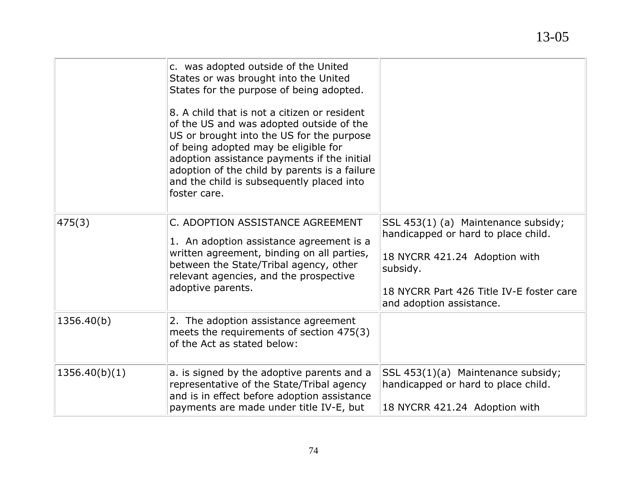|               | c. was adopted outside of the United<br>States or was brought into the United<br>States for the purpose of being adopted.<br>8. A child that is not a citizen or resident<br>of the US and was adopted outside of the<br>US or brought into the US for the purpose<br>of being adopted may be eligible for<br>adoption assistance payments if the initial<br>adoption of the child by parents is a failure<br>and the child is subsequently placed into<br>foster care. |                                                                                                                                                                                                 |
|---------------|-------------------------------------------------------------------------------------------------------------------------------------------------------------------------------------------------------------------------------------------------------------------------------------------------------------------------------------------------------------------------------------------------------------------------------------------------------------------------|-------------------------------------------------------------------------------------------------------------------------------------------------------------------------------------------------|
| 475(3)        | C. ADOPTION ASSISTANCE AGREEMENT<br>1. An adoption assistance agreement is a<br>written agreement, binding on all parties,<br>between the State/Tribal agency, other<br>relevant agencies, and the prospective<br>adoptive parents.                                                                                                                                                                                                                                     | SSL 453(1) (a) Maintenance subsidy;<br>handicapped or hard to place child.<br>18 NYCRR 421.24 Adoption with<br>subsidy.<br>18 NYCRR Part 426 Title IV-E foster care<br>and adoption assistance. |
| 1356.40(b)    | 2. The adoption assistance agreement<br>meets the requirements of section 475(3)<br>of the Act as stated below:                                                                                                                                                                                                                                                                                                                                                         |                                                                                                                                                                                                 |
| 1356.40(b)(1) | a. is signed by the adoptive parents and a<br>representative of the State/Tribal agency<br>and is in effect before adoption assistance<br>payments are made under title IV-E, but                                                                                                                                                                                                                                                                                       | SSL 453(1)(a) Maintenance subsidy;<br>handicapped or hard to place child.<br>18 NYCRR 421.24 Adoption with                                                                                      |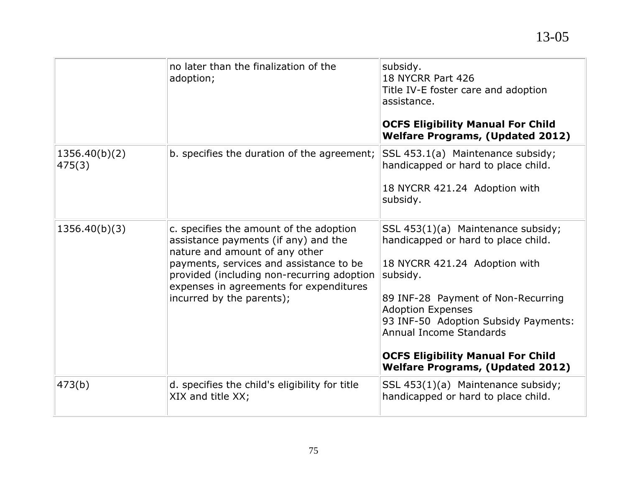|                         | no later than the finalization of the<br>adoption;                                                                                                                                                                                                                                 | subsidy.<br>18 NYCRR Part 426<br>Title IV-E foster care and adoption<br>assistance.<br><b>OCFS Eligibility Manual For Child</b><br><b>Welfare Programs, (Updated 2012)</b>                                                                                                                                                                         |
|-------------------------|------------------------------------------------------------------------------------------------------------------------------------------------------------------------------------------------------------------------------------------------------------------------------------|----------------------------------------------------------------------------------------------------------------------------------------------------------------------------------------------------------------------------------------------------------------------------------------------------------------------------------------------------|
| 1356.40(b)(2)<br>475(3) | b. specifies the duration of the agreement;                                                                                                                                                                                                                                        | SSL 453.1(a) Maintenance subsidy;<br>handicapped or hard to place child.<br>18 NYCRR 421.24 Adoption with<br>subsidy.                                                                                                                                                                                                                              |
| 1356.40(b)(3)           | c. specifies the amount of the adoption<br>assistance payments (if any) and the<br>nature and amount of any other<br>payments, services and assistance to be<br>provided (including non-recurring adoption<br>expenses in agreements for expenditures<br>incurred by the parents); | SSL 453(1)(a) Maintenance subsidy;<br>handicapped or hard to place child.<br>18 NYCRR 421.24 Adoption with<br>subsidy.<br>89 INF-28 Payment of Non-Recurring<br><b>Adoption Expenses</b><br>93 INF-50 Adoption Subsidy Payments:<br>Annual Income Standards<br><b>OCFS Eligibility Manual For Child</b><br><b>Welfare Programs, (Updated 2012)</b> |
| 473(b)                  | d. specifies the child's eligibility for title<br>XIX and title XX;                                                                                                                                                                                                                | SSL 453(1)(a) Maintenance subsidy;<br>handicapped or hard to place child.                                                                                                                                                                                                                                                                          |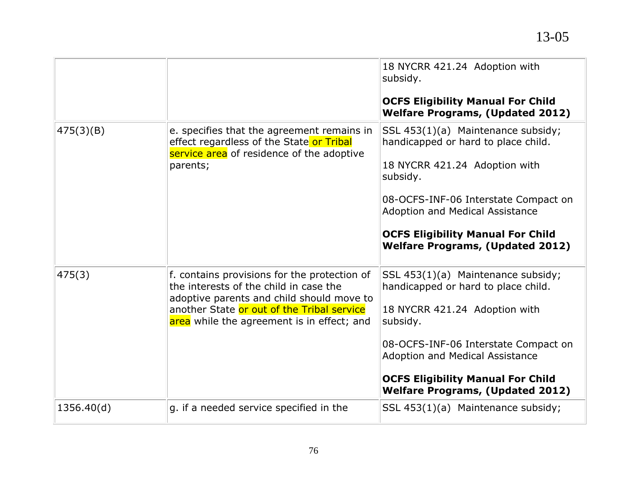|            |                                                                                                                                                                                                                                 | 18 NYCRR 421.24 Adoption with<br>subsidy.<br><b>OCFS Eligibility Manual For Child</b><br><b>Welfare Programs, (Updated 2012)</b>                                                                                                                                                                |
|------------|---------------------------------------------------------------------------------------------------------------------------------------------------------------------------------------------------------------------------------|-------------------------------------------------------------------------------------------------------------------------------------------------------------------------------------------------------------------------------------------------------------------------------------------------|
| 475(3)(B)  | e. specifies that the agreement remains in<br>effect regardless of the State or Tribal<br>service area of residence of the adoptive<br>parents;                                                                                 | SSL 453(1)(a) Maintenance subsidy;<br>handicapped or hard to place child.<br>18 NYCRR 421.24 Adoption with<br>subsidy.<br>08-OCFS-INF-06 Interstate Compact on<br><b>Adoption and Medical Assistance</b><br><b>OCFS Eligibility Manual For Child</b><br><b>Welfare Programs, (Updated 2012)</b> |
| 475(3)     | f. contains provisions for the protection of<br>the interests of the child in case the<br>adoptive parents and child should move to<br>another State or out of the Tribal service<br>area while the agreement is in effect; and | SSL 453(1)(a) Maintenance subsidy;<br>handicapped or hard to place child.<br>18 NYCRR 421.24 Adoption with<br>subsidy.<br>08-OCFS-INF-06 Interstate Compact on<br><b>Adoption and Medical Assistance</b><br><b>OCFS Eligibility Manual For Child</b><br><b>Welfare Programs, (Updated 2012)</b> |
| 1356.40(d) | g. if a needed service specified in the                                                                                                                                                                                         | SSL 453(1)(a) Maintenance subsidy;                                                                                                                                                                                                                                                              |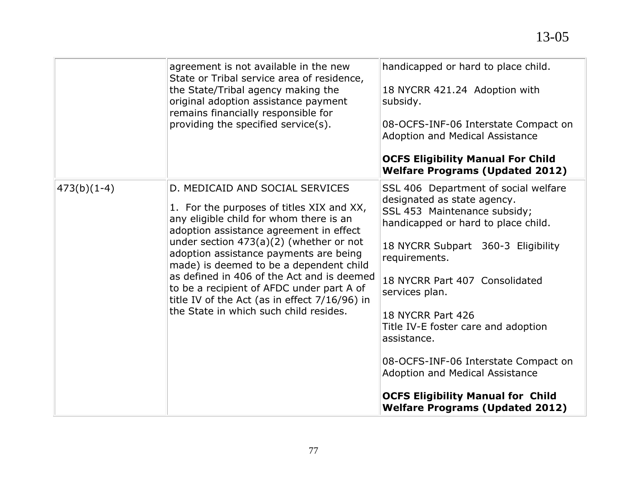|               | agreement is not available in the new<br>State or Tribal service area of residence,<br>the State/Tribal agency making the<br>original adoption assistance payment<br>remains financially responsible for<br>providing the specified service(s).                                                                                                                                                                                                                                               | handicapped or hard to place child.<br>18 NYCRR 421.24 Adoption with<br>subsidy.<br>08-OCFS-INF-06 Interstate Compact on<br><b>Adoption and Medical Assistance</b><br><b>OCFS Eligibility Manual For Child</b><br><b>Welfare Programs (Updated 2012)</b>                                                                                                                                                                                                                                                 |
|---------------|-----------------------------------------------------------------------------------------------------------------------------------------------------------------------------------------------------------------------------------------------------------------------------------------------------------------------------------------------------------------------------------------------------------------------------------------------------------------------------------------------|----------------------------------------------------------------------------------------------------------------------------------------------------------------------------------------------------------------------------------------------------------------------------------------------------------------------------------------------------------------------------------------------------------------------------------------------------------------------------------------------------------|
| $473(b)(1-4)$ | D. MEDICAID AND SOCIAL SERVICES<br>1. For the purposes of titles XIX and XX,<br>any eligible child for whom there is an<br>adoption assistance agreement in effect<br>under section $473(a)(2)$ (whether or not<br>adoption assistance payments are being<br>made) is deemed to be a dependent child<br>as defined in 406 of the Act and is deemed<br>to be a recipient of AFDC under part A of<br>title IV of the Act (as in effect $7/16/96$ ) in<br>the State in which such child resides. | SSL 406 Department of social welfare<br>designated as state agency.<br>SSL 453 Maintenance subsidy;<br>handicapped or hard to place child.<br>18 NYCRR Subpart 360-3 Eligibility<br>requirements.<br>18 NYCRR Part 407 Consolidated<br>services plan.<br>18 NYCRR Part 426<br>Title IV-E foster care and adoption<br>assistance.<br>08-OCFS-INF-06 Interstate Compact on<br><b>Adoption and Medical Assistance</b><br><b>OCFS Eligibility Manual for Child</b><br><b>Welfare Programs (Updated 2012)</b> |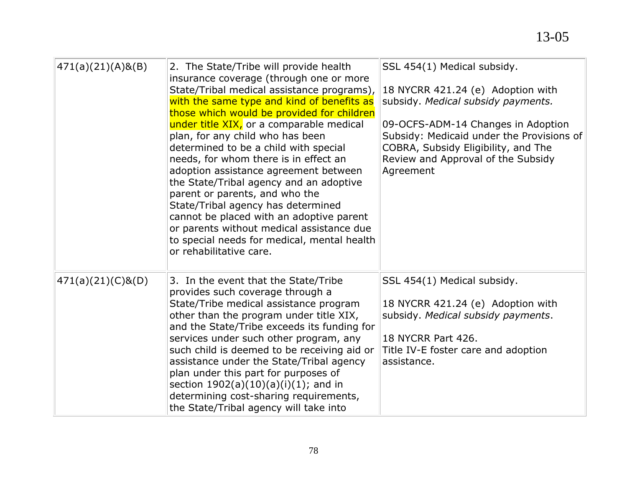| $471(a)(21)(A)$ &(B) | 2. The State/Tribe will provide health<br>insurance coverage (through one or more<br>State/Tribal medical assistance programs),<br>with the same type and kind of benefits as<br>those which would be provided for children<br>under title XIX, or a comparable medical<br>plan, for any child who has been<br>determined to be a child with special<br>needs, for whom there is in effect an<br>adoption assistance agreement between<br>the State/Tribal agency and an adoptive<br>parent or parents, and who the<br>State/Tribal agency has determined<br>cannot be placed with an adoptive parent<br>or parents without medical assistance due<br>to special needs for medical, mental health<br>or rehabilitative care. | SSL 454(1) Medical subsidy.<br>18 NYCRR 421.24 (e) Adoption with<br>subsidy. Medical subsidy payments.<br>09-OCFS-ADM-14 Changes in Adoption<br>Subsidy: Medicaid under the Provisions of<br>COBRA, Subsidy Eligibility, and The<br>Review and Approval of the Subsidy<br>Agreement |
|----------------------|------------------------------------------------------------------------------------------------------------------------------------------------------------------------------------------------------------------------------------------------------------------------------------------------------------------------------------------------------------------------------------------------------------------------------------------------------------------------------------------------------------------------------------------------------------------------------------------------------------------------------------------------------------------------------------------------------------------------------|-------------------------------------------------------------------------------------------------------------------------------------------------------------------------------------------------------------------------------------------------------------------------------------|
| $471(a)(21)(C)$ &(D) | 3. In the event that the State/Tribe<br>provides such coverage through a<br>State/Tribe medical assistance program<br>other than the program under title XIX,<br>and the State/Tribe exceeds its funding for<br>services under such other program, any<br>such child is deemed to be receiving aid or<br>assistance under the State/Tribal agency<br>plan under this part for purposes of<br>section $1902(a)(10)(a)(i)(1)$ ; and in<br>determining cost-sharing requirements,<br>the State/Tribal agency will take into                                                                                                                                                                                                     | SSL 454(1) Medical subsidy.<br>18 NYCRR 421.24 (e) Adoption with<br>subsidy. Medical subsidy payments.<br>18 NYCRR Part 426.<br>Title IV-E foster care and adoption<br>assistance.                                                                                                  |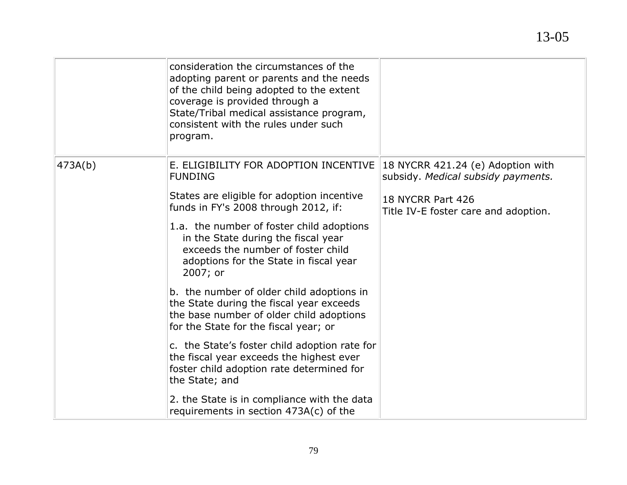|         | consideration the circumstances of the<br>adopting parent or parents and the needs<br>of the child being adopted to the extent<br>coverage is provided through a<br>State/Tribal medical assistance program,<br>consistent with the rules under such<br>program.                                                                                                                                                                                                                                                                                             |                                                                                                                                      |
|---------|--------------------------------------------------------------------------------------------------------------------------------------------------------------------------------------------------------------------------------------------------------------------------------------------------------------------------------------------------------------------------------------------------------------------------------------------------------------------------------------------------------------------------------------------------------------|--------------------------------------------------------------------------------------------------------------------------------------|
| 473A(b) | E. ELIGIBILITY FOR ADOPTION INCENTIVE<br><b>FUNDING</b><br>States are eligible for adoption incentive<br>funds in FY's 2008 through 2012, if:<br>1.a. the number of foster child adoptions<br>in the State during the fiscal year<br>exceeds the number of foster child<br>adoptions for the State in fiscal year<br>2007; or<br>b. the number of older child adoptions in<br>the State during the fiscal year exceeds<br>the base number of older child adoptions<br>for the State for the fiscal year; or<br>c. the State's foster child adoption rate for | 18 NYCRR 421.24 (e) Adoption with<br>subsidy. Medical subsidy payments.<br>18 NYCRR Part 426<br>Title IV-E foster care and adoption. |
|         | the fiscal year exceeds the highest ever<br>foster child adoption rate determined for<br>the State; and<br>2. the State is in compliance with the data<br>requirements in section 473A(c) of the                                                                                                                                                                                                                                                                                                                                                             |                                                                                                                                      |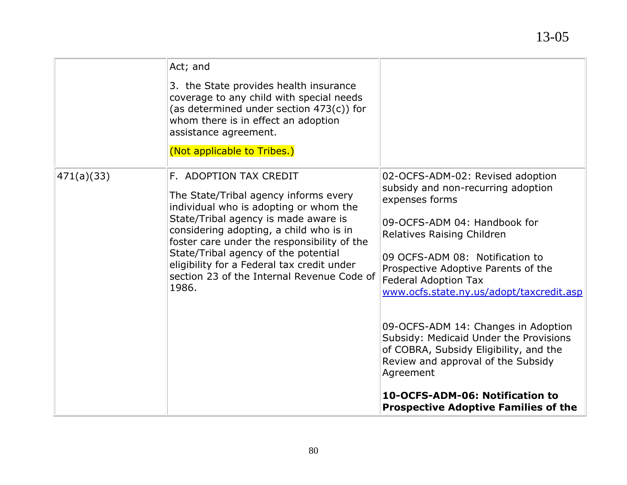|            | Act; and<br>3. the State provides health insurance<br>coverage to any child with special needs<br>(as determined under section 473(c)) for<br>whom there is in effect an adoption<br>assistance agreement.<br>(Not applicable to Tribes.)                                                                                                                                                |                                                                                                                                                                                                                                                                                                                                                                                                                                                                                                                                                                             |
|------------|------------------------------------------------------------------------------------------------------------------------------------------------------------------------------------------------------------------------------------------------------------------------------------------------------------------------------------------------------------------------------------------|-----------------------------------------------------------------------------------------------------------------------------------------------------------------------------------------------------------------------------------------------------------------------------------------------------------------------------------------------------------------------------------------------------------------------------------------------------------------------------------------------------------------------------------------------------------------------------|
| 471(a)(33) | F. ADOPTION TAX CREDIT<br>The State/Tribal agency informs every<br>individual who is adopting or whom the<br>State/Tribal agency is made aware is<br>considering adopting, a child who is in<br>foster care under the responsibility of the<br>State/Tribal agency of the potential<br>eligibility for a Federal tax credit under<br>section 23 of the Internal Revenue Code of<br>1986. | 02-OCFS-ADM-02: Revised adoption<br>subsidy and non-recurring adoption<br>expenses forms<br>09-OCFS-ADM 04: Handbook for<br>Relatives Raising Children<br>09 OCFS-ADM 08: Notification to<br>Prospective Adoptive Parents of the<br><b>Federal Adoption Tax</b><br>www.ocfs.state.ny.us/adopt/taxcredit.asp<br>09-OCFS-ADM 14: Changes in Adoption<br>Subsidy: Medicaid Under the Provisions<br>of COBRA, Subsidy Eligibility, and the<br>Review and approval of the Subsidy<br>Agreement<br>10-OCFS-ADM-06: Notification to<br><b>Prospective Adoptive Families of the</b> |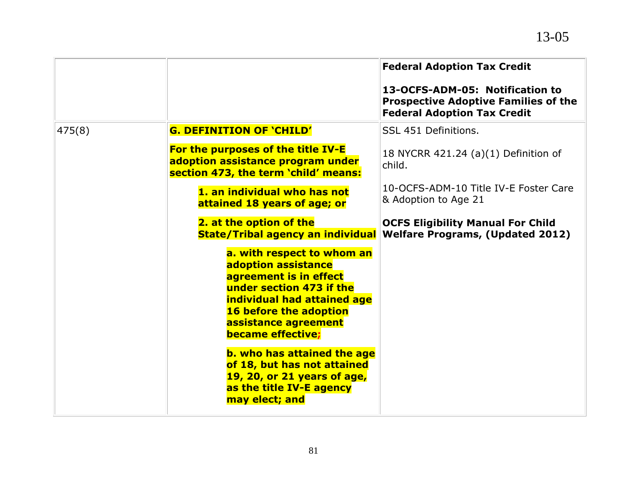|        |                                                                                                                                                                                                                      | <b>Federal Adoption Tax Credit</b>                                                                                   |
|--------|----------------------------------------------------------------------------------------------------------------------------------------------------------------------------------------------------------------------|----------------------------------------------------------------------------------------------------------------------|
|        |                                                                                                                                                                                                                      | 13-OCFS-ADM-05: Notification to<br><b>Prospective Adoptive Families of the</b><br><b>Federal Adoption Tax Credit</b> |
| 475(8) | <b>G. DEFINITION OF 'CHILD'</b>                                                                                                                                                                                      | SSL 451 Definitions.                                                                                                 |
|        | For the purposes of the title IV-E<br>adoption assistance program under<br>section 473, the term 'child' means:                                                                                                      | 18 NYCRR 421.24 (a)(1) Definition of<br>child.                                                                       |
|        | 1. an individual who has not<br>attained 18 years of age; or                                                                                                                                                         | 10-OCFS-ADM-10 Title IV-E Foster Care<br>& Adoption to Age 21                                                        |
|        | 2. at the option of the<br><b>State/Tribal agency an individual</b>                                                                                                                                                  | <b>OCFS Eligibility Manual For Child</b><br><b>Welfare Programs, (Updated 2012)</b>                                  |
|        | a. with respect to whom an<br>adoption assistance<br>agreement is in effect<br>under section 473 if the<br>individual had attained age<br>16 before the adoption<br>assistance agreement<br><b>became effective;</b> |                                                                                                                      |
|        | <b>b. who has attained the age</b><br>of 18, but has not attained<br>19, 20, or 21 years of age,<br>as the title IV-E agency<br>may elect; and                                                                       |                                                                                                                      |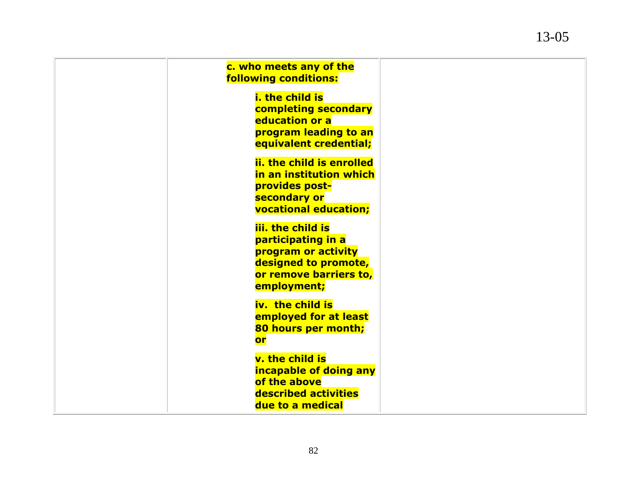| c. who meets any of the<br><b>following conditions:</b>                                                                         |
|---------------------------------------------------------------------------------------------------------------------------------|
| <b>i. the child is</b><br>completing secondary<br>education or a<br>program leading to an<br>equivalent credential;             |
| ii. the child is enrolled<br>in an institution which<br>provides post-<br>secondary or<br><b>vocational education;</b>          |
| iii. the child is<br>participating in a<br>program or activity<br>designed to promote,<br>or remove barriers to,<br>employment; |
| iv. the child is<br>employed for at least<br>80 hours per month;<br>or                                                          |
| v. the child is<br>incapable of doing any<br>of the above<br>described activities<br>due to a medical                           |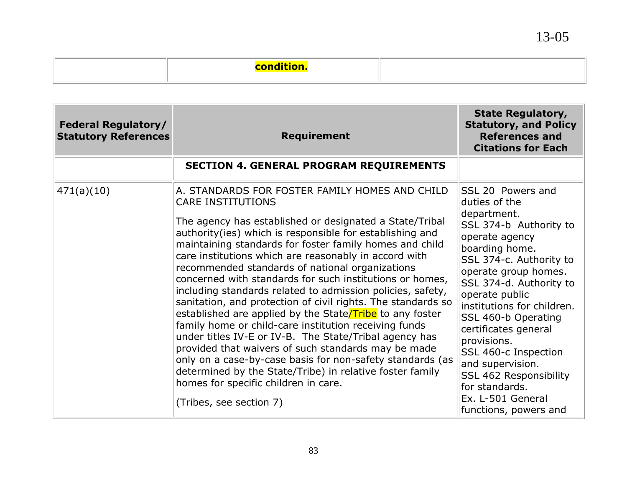13-05

| <b>Federal Regulatory/</b><br><b>Statutory References</b> | <b>Requirement</b>                                                                                                                                                                                                                                                                                                                                                                                                                                                                                                                                                                                                                                                                                                                                                                                                                                                                                                                                                                                   | <b>State Regulatory,</b><br><b>Statutory, and Policy</b><br><b>References and</b><br><b>Citations for Each</b>                                                                                                                                                                                                                                                                                                                                    |
|-----------------------------------------------------------|------------------------------------------------------------------------------------------------------------------------------------------------------------------------------------------------------------------------------------------------------------------------------------------------------------------------------------------------------------------------------------------------------------------------------------------------------------------------------------------------------------------------------------------------------------------------------------------------------------------------------------------------------------------------------------------------------------------------------------------------------------------------------------------------------------------------------------------------------------------------------------------------------------------------------------------------------------------------------------------------------|---------------------------------------------------------------------------------------------------------------------------------------------------------------------------------------------------------------------------------------------------------------------------------------------------------------------------------------------------------------------------------------------------------------------------------------------------|
|                                                           | <b>SECTION 4. GENERAL PROGRAM REQUIREMENTS</b>                                                                                                                                                                                                                                                                                                                                                                                                                                                                                                                                                                                                                                                                                                                                                                                                                                                                                                                                                       |                                                                                                                                                                                                                                                                                                                                                                                                                                                   |
| 471(a)(10)                                                | A. STANDARDS FOR FOSTER FAMILY HOMES AND CHILD<br><b>CARE INSTITUTIONS</b><br>The agency has established or designated a State/Tribal<br>authority(ies) which is responsible for establishing and<br>maintaining standards for foster family homes and child<br>care institutions which are reasonably in accord with<br>recommended standards of national organizations<br>concerned with standards for such institutions or homes,<br>including standards related to admission policies, safety,<br>sanitation, and protection of civil rights. The standards so<br>established are applied by the State/Tribe to any foster<br>family home or child-care institution receiving funds<br>under titles IV-E or IV-B. The State/Tribal agency has<br>provided that waivers of such standards may be made<br>only on a case-by-case basis for non-safety standards (as<br>determined by the State/Tribe) in relative foster family<br>homes for specific children in care.<br>(Tribes, see section 7) | SSL 20 Powers and<br>duties of the<br>department.<br>SSL 374-b Authority to<br>operate agency<br>boarding home.<br>SSL 374-c. Authority to<br>operate group homes.<br>SSL 374-d. Authority to<br>operate public<br>institutions for children.<br>SSL 460-b Operating<br>certificates general<br>provisions.<br>SSL 460-c Inspection<br>and supervision.<br>SSL 462 Responsibility<br>for standards.<br>Ex. L-501 General<br>functions, powers and |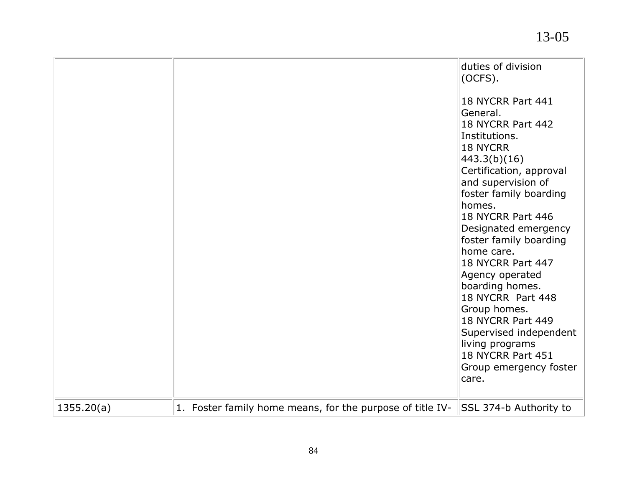|            |                                                           | duties of division<br>(OCFS).                  |
|------------|-----------------------------------------------------------|------------------------------------------------|
|            |                                                           | 18 NYCRR Part 441<br>General.                  |
|            |                                                           | 18 NYCRR Part 442                              |
|            |                                                           | Institutions.                                  |
|            |                                                           | <b>18 NYCRR</b>                                |
|            |                                                           | 443.3(b)(16)                                   |
|            |                                                           | Certification, approval<br>and supervision of  |
|            |                                                           | foster family boarding                         |
|            |                                                           | homes.                                         |
|            |                                                           | 18 NYCRR Part 446                              |
|            |                                                           | Designated emergency<br>foster family boarding |
|            |                                                           | home care.                                     |
|            |                                                           | 18 NYCRR Part 447                              |
|            |                                                           | Agency operated                                |
|            |                                                           | boarding homes.                                |
|            |                                                           | 18 NYCRR Part 448<br>Group homes.              |
|            |                                                           | 18 NYCRR Part 449                              |
|            |                                                           | Supervised independent                         |
|            |                                                           | living programs                                |
|            |                                                           | 18 NYCRR Part 451<br>Group emergency foster    |
|            |                                                           | care.                                          |
|            |                                                           |                                                |
| 1355.20(a) | 1. Foster family home means, for the purpose of title IV- | SSL 374-b Authority to                         |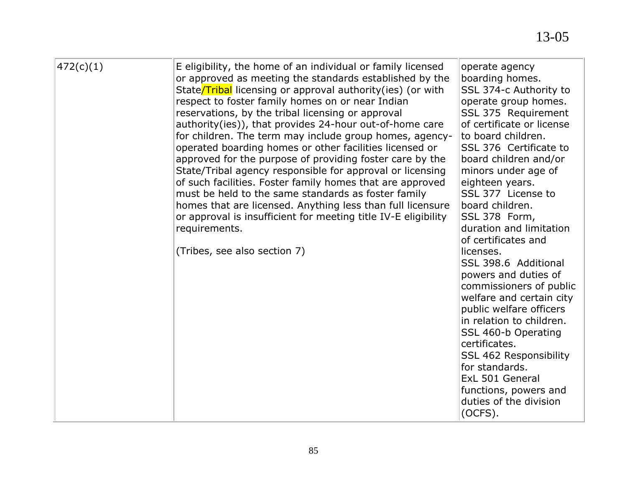| 472(c)(1) | E eligibility, the home of an individual or family licensed<br>or approved as meeting the standards established by the<br>State/Tribal licensing or approval authority(ies) (or with<br>respect to foster family homes on or near Indian<br>reservations, by the tribal licensing or approval<br>authority(ies)), that provides 24-hour out-of-home care<br>for children. The term may include group homes, agency-<br>operated boarding homes or other facilities licensed or<br>approved for the purpose of providing foster care by the<br>State/Tribal agency responsible for approval or licensing<br>of such facilities. Foster family homes that are approved<br>must be held to the same standards as foster family<br>homes that are licensed. Anything less than full licensure<br>or approval is insufficient for meeting title IV-E eligibility<br>requirements.<br>(Tribes, see also section 7) | operate agency<br>boarding homes.<br>SSL 374-c Authority to<br>operate group homes.<br>SSL 375 Requirement<br>of certificate or license<br>to board children.<br>SSL 376 Certificate to<br>board children and/or<br>minors under age of<br>eighteen years.<br>SSL 377 License to<br>board children.<br>SSL 378 Form,<br>duration and limitation<br>of certificates and<br>licenses.<br>SSL 398.6 Additional<br>powers and duties of<br>commissioners of public<br>welfare and certain city<br>public welfare officers<br>in relation to children.<br>SSL 460-b Operating<br>certificates.<br>SSL 462 Responsibility<br>for standards.<br>ExL 501 General<br>functions, powers and<br>duties of the division<br>(OCFS). |
|-----------|--------------------------------------------------------------------------------------------------------------------------------------------------------------------------------------------------------------------------------------------------------------------------------------------------------------------------------------------------------------------------------------------------------------------------------------------------------------------------------------------------------------------------------------------------------------------------------------------------------------------------------------------------------------------------------------------------------------------------------------------------------------------------------------------------------------------------------------------------------------------------------------------------------------|------------------------------------------------------------------------------------------------------------------------------------------------------------------------------------------------------------------------------------------------------------------------------------------------------------------------------------------------------------------------------------------------------------------------------------------------------------------------------------------------------------------------------------------------------------------------------------------------------------------------------------------------------------------------------------------------------------------------|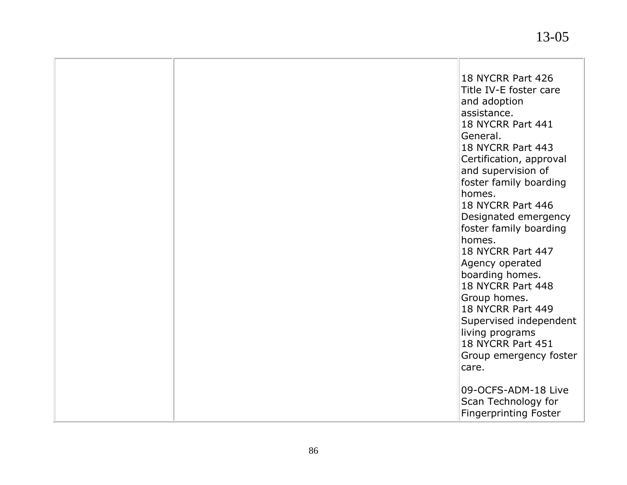|  | 18 NYCRR Part 426<br>Title IV-E foster care<br>and adoption<br>assistance.<br><b>18 NYCRR Part 441</b><br>General.<br><b>18 NYCRR Part 443</b><br>Certification, approval<br>and supervision of<br>foster family boarding<br>homes.<br><b>18 NYCRR Part 446</b><br>Designated emergency<br>foster family boarding<br>homes.<br>18 NYCRR Part 447<br>Agency operated<br>boarding homes.<br>18 NYCRR Part 448<br>Group homes.<br><b>18 NYCRR Part 449</b><br>Supervised independent<br>living programs<br>18 NYCRR Part 451<br>Group emergency foster<br>care. |
|--|--------------------------------------------------------------------------------------------------------------------------------------------------------------------------------------------------------------------------------------------------------------------------------------------------------------------------------------------------------------------------------------------------------------------------------------------------------------------------------------------------------------------------------------------------------------|
|  | 09-OCFS-ADM-18 Live<br>Scan Technology for<br><b>Fingerprinting Foster</b>                                                                                                                                                                                                                                                                                                                                                                                                                                                                                   |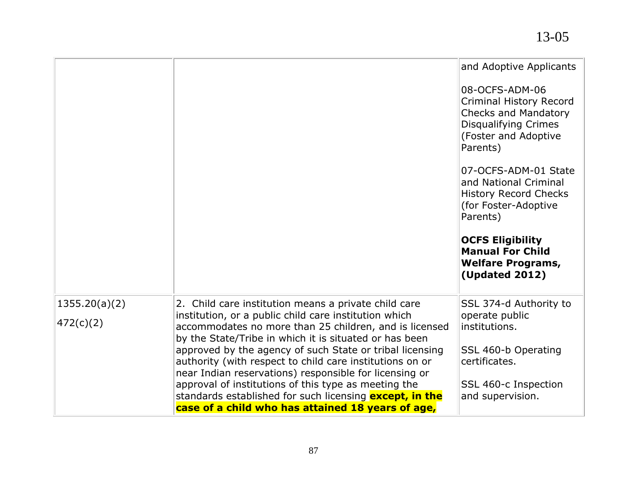|                            |                                                                                                                                                                                                                                                                                                                                                                                                                                                                                                                                               | and Adoptive Applicants<br>08-OCFS-ADM-06<br><b>Criminal History Record</b><br><b>Checks and Mandatory</b><br>Disqualifying Crimes<br>(Foster and Adoptive<br>Parents)<br>07-OCFS-ADM-01 State<br>and National Criminal<br><b>History Record Checks</b><br>(for Foster-Adoptive<br>Parents)<br><b>OCFS Eligibility</b><br><b>Manual For Child</b><br><b>Welfare Programs,</b><br><b>(Updated 2012)</b> |
|----------------------------|-----------------------------------------------------------------------------------------------------------------------------------------------------------------------------------------------------------------------------------------------------------------------------------------------------------------------------------------------------------------------------------------------------------------------------------------------------------------------------------------------------------------------------------------------|--------------------------------------------------------------------------------------------------------------------------------------------------------------------------------------------------------------------------------------------------------------------------------------------------------------------------------------------------------------------------------------------------------|
| 1355.20(a)(2)<br>472(c)(2) | 2. Child care institution means a private child care<br>institution, or a public child care institution which<br>accommodates no more than 25 children, and is licensed<br>by the State/Tribe in which it is situated or has been<br>approved by the agency of such State or tribal licensing<br>authority (with respect to child care institutions on or<br>near Indian reservations) responsible for licensing or<br>approval of institutions of this type as meeting the<br>standards established for such licensing <b>except, in the</b> | SSL 374-d Authority to<br>operate public<br>institutions.<br>SSL 460-b Operating<br>certificates.<br>SSL 460-c Inspection<br>and supervision.                                                                                                                                                                                                                                                          |
|                            | case of a child who has attained 18 years of age,                                                                                                                                                                                                                                                                                                                                                                                                                                                                                             |                                                                                                                                                                                                                                                                                                                                                                                                        |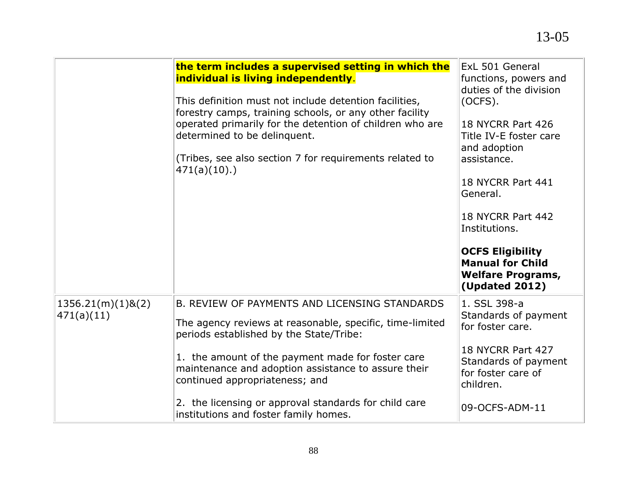|                                    | the term includes a supervised setting in which the<br>individual is living independently.<br>This definition must not include detention facilities,<br>forestry camps, training schools, or any other facility<br>operated primarily for the detention of children who are<br>determined to be delinquent.<br>(Tribes, see also section 7 for requirements related to<br>471(a)(10).                | ExL 501 General<br>functions, powers and<br>duties of the division<br>(OCFS).<br>18 NYCRR Part 426<br>Title IV-E foster care<br>and adoption<br>assistance.<br>18 NYCRR Part 441<br>General.<br>18 NYCRR Part 442<br>Institutions.<br><b>OCFS Eligibility</b><br><b>Manual for Child</b><br><b>Welfare Programs,</b><br><b>(Updated 2012)</b> |
|------------------------------------|------------------------------------------------------------------------------------------------------------------------------------------------------------------------------------------------------------------------------------------------------------------------------------------------------------------------------------------------------------------------------------------------------|-----------------------------------------------------------------------------------------------------------------------------------------------------------------------------------------------------------------------------------------------------------------------------------------------------------------------------------------------|
| $1356.21(m)(1)$ &(2)<br>471(a)(11) | B. REVIEW OF PAYMENTS AND LICENSING STANDARDS<br>The agency reviews at reasonable, specific, time-limited<br>periods established by the State/Tribe:<br>1. the amount of the payment made for foster care<br>maintenance and adoption assistance to assure their<br>continued appropriateness; and<br>2. the licensing or approval standards for child care<br>institutions and foster family homes. | 1. SSL 398-a<br>Standards of payment<br>for foster care.<br>18 NYCRR Part 427<br>Standards of payment<br>for foster care of<br>children.<br>09-OCFS-ADM-11                                                                                                                                                                                    |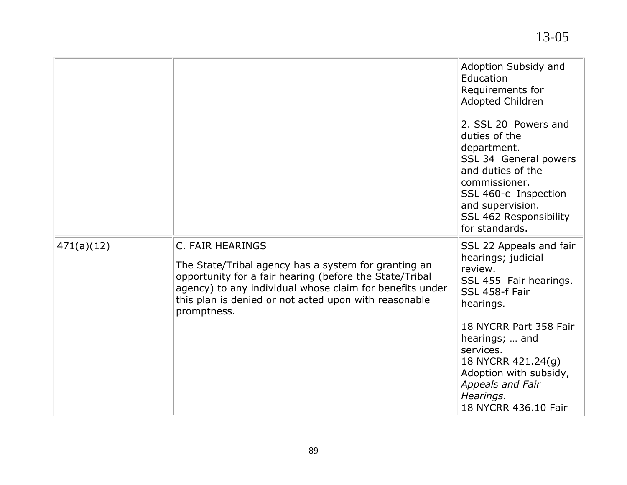|            |                                                                                                                                                                                                                                                                         | Adoption Subsidy and<br>Education<br>Requirements for<br>Adopted Children<br>2. SSL 20 Powers and<br>duties of the<br>department.<br>SSL 34 General powers<br>and duties of the<br>commissioner.<br>SSL 460-c Inspection<br>and supervision.<br>SSL 462 Responsibility |
|------------|-------------------------------------------------------------------------------------------------------------------------------------------------------------------------------------------------------------------------------------------------------------------------|------------------------------------------------------------------------------------------------------------------------------------------------------------------------------------------------------------------------------------------------------------------------|
|            |                                                                                                                                                                                                                                                                         | for standards.                                                                                                                                                                                                                                                         |
| 471(a)(12) | C. FAIR HEARINGS<br>The State/Tribal agency has a system for granting an<br>opportunity for a fair hearing (before the State/Tribal<br>agency) to any individual whose claim for benefits under<br>this plan is denied or not acted upon with reasonable<br>promptness. | SSL 22 Appeals and fair<br>hearings; judicial<br>review.<br>SSL 455 Fair hearings.<br>SSL 458-f Fair<br>hearings.<br>18 NYCRR Part 358 Fair<br>hearings;  and<br>services.<br>18 NYCRR 421.24(g)                                                                       |
|            |                                                                                                                                                                                                                                                                         | Adoption with subsidy,<br>Appeals and Fair<br>Hearings.<br>18 NYCRR 436.10 Fair                                                                                                                                                                                        |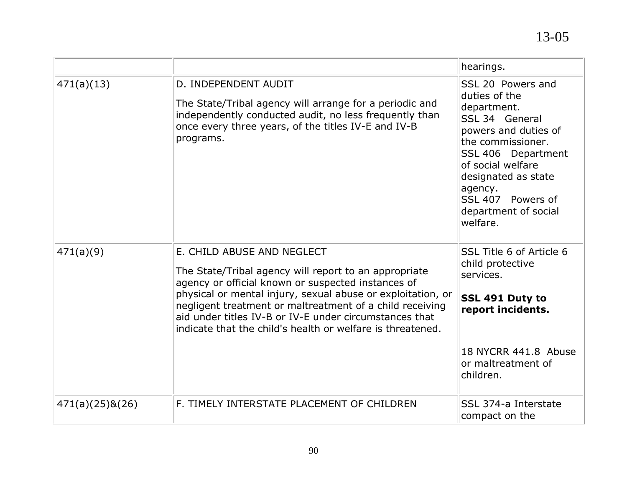|                 |                                                                                                                                                                                                                                                                                                                                                                                              | hearings.                                                                                                                                                                                                                                              |
|-----------------|----------------------------------------------------------------------------------------------------------------------------------------------------------------------------------------------------------------------------------------------------------------------------------------------------------------------------------------------------------------------------------------------|--------------------------------------------------------------------------------------------------------------------------------------------------------------------------------------------------------------------------------------------------------|
| 471(a)(13)      | D. INDEPENDENT AUDIT<br>The State/Tribal agency will arrange for a periodic and<br>independently conducted audit, no less frequently than<br>once every three years, of the titles IV-E and IV-B<br>programs.                                                                                                                                                                                | SSL 20 Powers and<br>duties of the<br>department.<br>SSL 34 General<br>powers and duties of<br>the commissioner.<br>SSL 406 Department<br>of social welfare<br>designated as state<br>agency.<br>SSL 407 Powers of<br>department of social<br>welfare. |
| 471(a)(9)       | E. CHILD ABUSE AND NEGLECT<br>The State/Tribal agency will report to an appropriate<br>agency or official known or suspected instances of<br>physical or mental injury, sexual abuse or exploitation, or<br>negligent treatment or maltreatment of a child receiving<br>aid under titles IV-B or IV-E under circumstances that<br>indicate that the child's health or welfare is threatened. | SSL Title 6 of Article 6<br>child protective<br>services.<br>SSL 491 Duty to<br>report incidents.<br>18 NYCRR 441.8 Abuse<br>or maltreatment of<br>children.                                                                                           |
| 471(a)(25)8(26) | F. TIMELY INTERSTATE PLACEMENT OF CHILDREN                                                                                                                                                                                                                                                                                                                                                   | SSL 374-a Interstate<br>compact on the                                                                                                                                                                                                                 |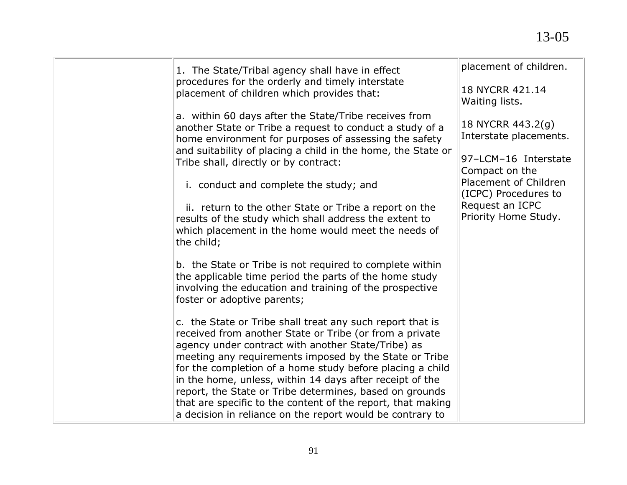| 1. The State/Tribal agency shall have in effect                                                                                                                                                                                                                                                                                                                                                                                                                                         | placement of children.                        |
|-----------------------------------------------------------------------------------------------------------------------------------------------------------------------------------------------------------------------------------------------------------------------------------------------------------------------------------------------------------------------------------------------------------------------------------------------------------------------------------------|-----------------------------------------------|
| procedures for the orderly and timely interstate<br>placement of children which provides that:                                                                                                                                                                                                                                                                                                                                                                                          | 18 NYCRR 421.14<br>Waiting lists.             |
| a. within 60 days after the State/Tribe receives from<br>another State or Tribe a request to conduct a study of a<br>home environment for purposes of assessing the safety                                                                                                                                                                                                                                                                                                              | 18 NYCRR 443.2(g)<br>Interstate placements.   |
| and suitability of placing a child in the home, the State or<br>Tribe shall, directly or by contract:                                                                                                                                                                                                                                                                                                                                                                                   | 97-LCM-16 Interstate<br>Compact on the        |
| i. conduct and complete the study; and                                                                                                                                                                                                                                                                                                                                                                                                                                                  | Placement of Children<br>(ICPC) Procedures to |
| ii. return to the other State or Tribe a report on the<br>results of the study which shall address the extent to<br>which placement in the home would meet the needs of<br>the child;                                                                                                                                                                                                                                                                                                   | Request an ICPC<br>Priority Home Study.       |
| b. the State or Tribe is not required to complete within<br>the applicable time period the parts of the home study<br>involving the education and training of the prospective<br>foster or adoptive parents;                                                                                                                                                                                                                                                                            |                                               |
| c. the State or Tribe shall treat any such report that is<br>received from another State or Tribe (or from a private<br>agency under contract with another State/Tribe) as<br>meeting any requirements imposed by the State or Tribe<br>for the completion of a home study before placing a child<br>in the home, unless, within 14 days after receipt of the<br>report, the State or Tribe determines, based on grounds<br>that are specific to the content of the report, that making |                                               |
| a decision in reliance on the report would be contrary to                                                                                                                                                                                                                                                                                                                                                                                                                               |                                               |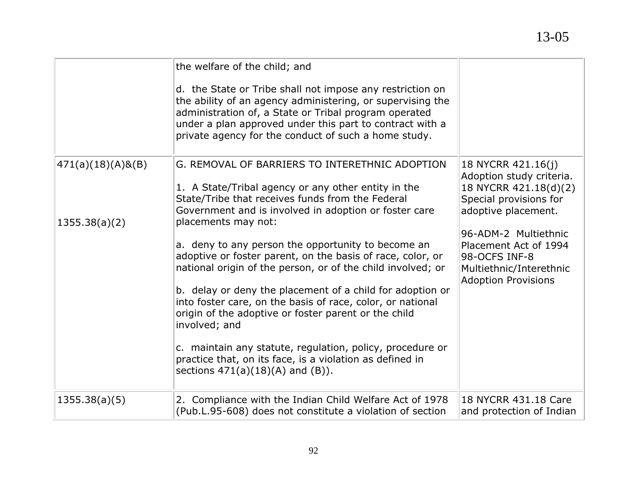|                                       | the welfare of the child; and<br>d. the State or Tribe shall not impose any restriction on<br>the ability of an agency administering, or supervising the<br>administration of, a State or Tribal program operated<br>under a plan approved under this part to contract with a<br>private agency for the conduct of such a home study.                                                                                                                                                                                                                                                                                                                                                                                                                                                              |                                                                                                                                                                                                                                                     |
|---------------------------------------|----------------------------------------------------------------------------------------------------------------------------------------------------------------------------------------------------------------------------------------------------------------------------------------------------------------------------------------------------------------------------------------------------------------------------------------------------------------------------------------------------------------------------------------------------------------------------------------------------------------------------------------------------------------------------------------------------------------------------------------------------------------------------------------------------|-----------------------------------------------------------------------------------------------------------------------------------------------------------------------------------------------------------------------------------------------------|
| $471(a)(18)(A)$ &(B)<br>1355.38(a)(2) | G. REMOVAL OF BARRIERS TO INTERETHNIC ADOPTION<br>1. A State/Tribal agency or any other entity in the<br>State/Tribe that receives funds from the Federal<br>Government and is involved in adoption or foster care<br>placements may not:<br>a. deny to any person the opportunity to become an<br>adoptive or foster parent, on the basis of race, color, or<br>national origin of the person, or of the child involved; or<br>b. delay or deny the placement of a child for adoption or<br>into foster care, on the basis of race, color, or national<br>origin of the adoptive or foster parent or the child<br>involved; and<br>c. maintain any statute, regulation, policy, procedure or<br>practice that, on its face, is a violation as defined in<br>sections $471(a)(18)(A)$ and $(B)$ ). | 18 NYCRR 421.16(j)<br>Adoption study criteria.<br>18 NYCRR 421.18(d)(2)<br>Special provisions for<br>adoptive placement.<br>96-ADM-2 Multiethnic<br>Placement Act of 1994<br>98-OCFS INF-8<br>Multiethnic/Interethnic<br><b>Adoption Provisions</b> |
| 1355.38(a)(5)                         | 2. Compliance with the Indian Child Welfare Act of 1978<br>(Pub.L.95-608) does not constitute a violation of section                                                                                                                                                                                                                                                                                                                                                                                                                                                                                                                                                                                                                                                                               | 18 NYCRR 431.18 Care<br>and protection of Indian                                                                                                                                                                                                    |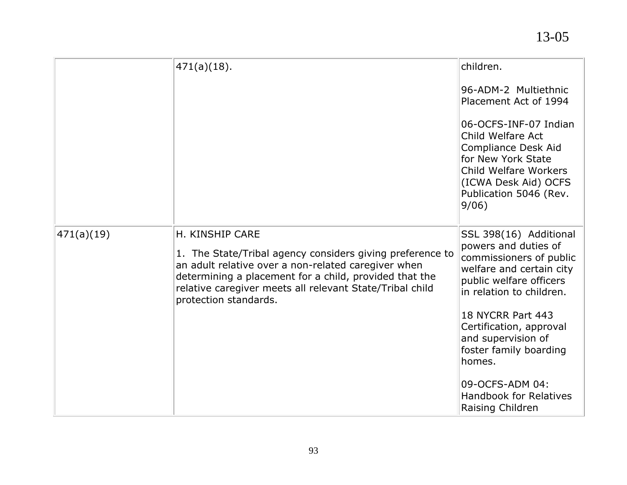|            | $471(a)(18)$ .                                                                                                                                                                                                                                                                     | children.<br>96-ADM-2 Multiethnic<br>Placement Act of 1994<br>06-OCFS-INF-07 Indian<br>Child Welfare Act<br><b>Compliance Desk Aid</b><br>for New York State<br>Child Welfare Workers<br>(ICWA Desk Aid) OCFS<br>Publication 5046 (Rev.<br>9/06)                                                                                               |
|------------|------------------------------------------------------------------------------------------------------------------------------------------------------------------------------------------------------------------------------------------------------------------------------------|------------------------------------------------------------------------------------------------------------------------------------------------------------------------------------------------------------------------------------------------------------------------------------------------------------------------------------------------|
| 471(a)(19) | H. KINSHIP CARE<br>1. The State/Tribal agency considers giving preference to<br>an adult relative over a non-related caregiver when<br>determining a placement for a child, provided that the<br>relative caregiver meets all relevant State/Tribal child<br>protection standards. | SSL 398(16) Additional<br>powers and duties of<br>commissioners of public<br>welfare and certain city<br>public welfare officers<br>in relation to children.<br>18 NYCRR Part 443<br>Certification, approval<br>and supervision of<br>foster family boarding<br>homes.<br>09-OCFS-ADM 04:<br><b>Handbook for Relatives</b><br>Raising Children |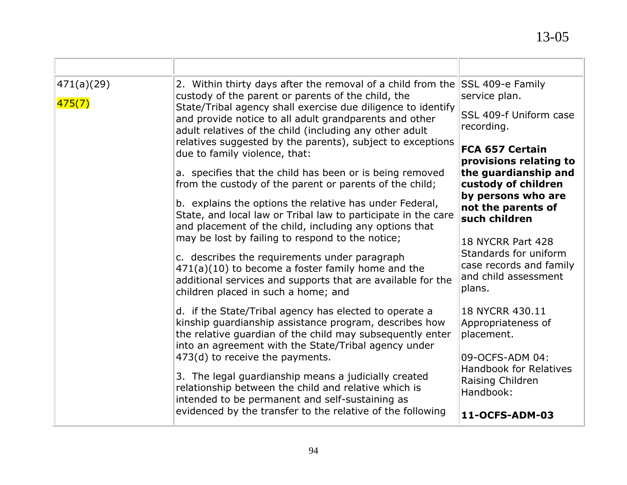| custody of the parent or parents of the child, the<br>State/Tribal agency shall exercise due diligence to identify<br>and provide notice to all adult grandparents and other<br>adult relatives of the child (including any other adult<br>relatives suggested by the parents), subject to exceptions<br>due to family violence, that: | service plan.<br>SSL 409-f Uniform case<br>recording.<br><b>FCA 657 Certain</b><br>provisions relating to                                                           |
|----------------------------------------------------------------------------------------------------------------------------------------------------------------------------------------------------------------------------------------------------------------------------------------------------------------------------------------|---------------------------------------------------------------------------------------------------------------------------------------------------------------------|
| a. specifies that the child has been or is being removed                                                                                                                                                                                                                                                                               | the guardianship and                                                                                                                                                |
| from the custody of the parent or parents of the child;                                                                                                                                                                                                                                                                                | custody of children                                                                                                                                                 |
| b. explains the options the relative has under Federal,                                                                                                                                                                                                                                                                                | by persons who are                                                                                                                                                  |
| State, and local law or Tribal law to participate in the care                                                                                                                                                                                                                                                                          | not the parents of                                                                                                                                                  |
| and placement of the child, including any options that                                                                                                                                                                                                                                                                                 | such children                                                                                                                                                       |
| c. describes the requirements under paragraph<br>$471(a)(10)$ to become a foster family home and the<br>additional services and supports that are available for the<br>children placed in such a home; and                                                                                                                             | 18 NYCRR Part 428<br>Standards for uniform<br>case records and family<br>and child assessment<br>plans.                                                             |
| d. if the State/Tribal agency has elected to operate a                                                                                                                                                                                                                                                                                 | 18 NYCRR 430.11                                                                                                                                                     |
| kinship guardianship assistance program, describes how                                                                                                                                                                                                                                                                                 | Appropriateness of                                                                                                                                                  |
| the relative quardian of the child may subsequently enter                                                                                                                                                                                                                                                                              | placement.                                                                                                                                                          |
| into an agreement with the State/Tribal agency under                                                                                                                                                                                                                                                                                   | 09-OCFS-ADM 04:                                                                                                                                                     |
| 3. The legal guardianship means a judicially created                                                                                                                                                                                                                                                                                   | <b>Handbook for Relatives</b>                                                                                                                                       |
| relationship between the child and relative which is                                                                                                                                                                                                                                                                                   | Raising Children                                                                                                                                                    |
| intended to be permanent and self-sustaining as                                                                                                                                                                                                                                                                                        | Handbook:                                                                                                                                                           |
| evidenced by the transfer to the relative of the following                                                                                                                                                                                                                                                                             | 11-OCFS-ADM-03                                                                                                                                                      |
|                                                                                                                                                                                                                                                                                                                                        | 2. Within thirty days after the removal of a child from the SSL 409-e Family<br>may be lost by failing to respond to the notice;<br>473(d) to receive the payments. |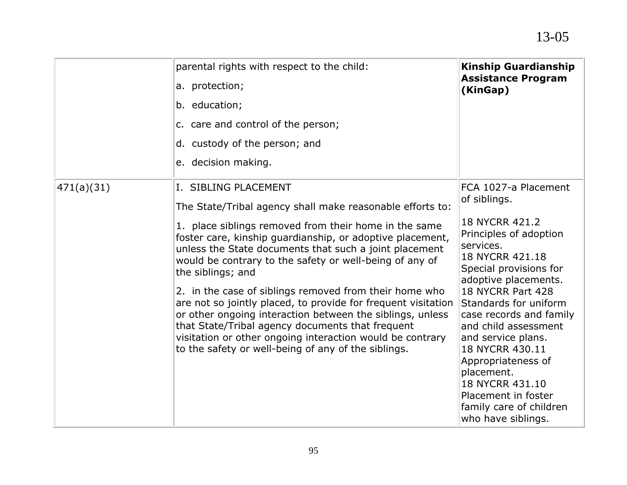|            | parental rights with respect to the child:<br>a. protection;<br>b. education;<br>c. care and control of the person;<br>d. custody of the person; and<br>e. decision making.                                                                                                                                                                                                                                                                                                                                                                                                                                                                                                                                       | <b>Kinship Guardianship</b><br><b>Assistance Program</b><br>(KinGap)                                                                                                                                                                                                                                                                                                                                                                        |
|------------|-------------------------------------------------------------------------------------------------------------------------------------------------------------------------------------------------------------------------------------------------------------------------------------------------------------------------------------------------------------------------------------------------------------------------------------------------------------------------------------------------------------------------------------------------------------------------------------------------------------------------------------------------------------------------------------------------------------------|---------------------------------------------------------------------------------------------------------------------------------------------------------------------------------------------------------------------------------------------------------------------------------------------------------------------------------------------------------------------------------------------------------------------------------------------|
| 471(a)(31) | I. SIBLING PLACEMENT<br>The State/Tribal agency shall make reasonable efforts to:<br>1. place siblings removed from their home in the same<br>foster care, kinship guardianship, or adoptive placement,<br>unless the State documents that such a joint placement<br>would be contrary to the safety or well-being of any of<br>the siblings; and<br>2. in the case of siblings removed from their home who<br>are not so jointly placed, to provide for frequent visitation<br>or other ongoing interaction between the siblings, unless<br>that State/Tribal agency documents that frequent<br>visitation or other ongoing interaction would be contrary<br>to the safety or well-being of any of the siblings. | FCA 1027-a Placement<br>of siblings.<br>18 NYCRR 421.2<br>Principles of adoption<br>services.<br>18 NYCRR 421.18<br>Special provisions for<br>adoptive placements.<br>18 NYCRR Part 428<br>Standards for uniform<br>case records and family<br>and child assessment<br>and service plans.<br>18 NYCRR 430.11<br>Appropriateness of<br>placement.<br>18 NYCRR 431.10<br>Placement in foster<br>family care of children<br>who have siblings. |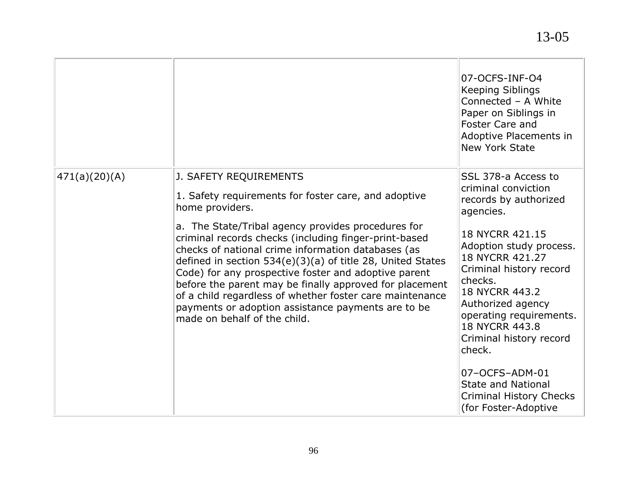|               |                                                                                                                                                                                                                                                                                                                                                                                                                                                                                                                                                                                                             | 07-OCFS-INF-O4<br><b>Keeping Siblings</b><br>Connected - A White<br>Paper on Siblings in<br><b>Foster Care and</b><br>Adoptive Placements in<br><b>New York State</b>                                                                                                                                                                                                                                                     |
|---------------|-------------------------------------------------------------------------------------------------------------------------------------------------------------------------------------------------------------------------------------------------------------------------------------------------------------------------------------------------------------------------------------------------------------------------------------------------------------------------------------------------------------------------------------------------------------------------------------------------------------|---------------------------------------------------------------------------------------------------------------------------------------------------------------------------------------------------------------------------------------------------------------------------------------------------------------------------------------------------------------------------------------------------------------------------|
| 471(a)(20)(A) | J. SAFETY REQUIREMENTS<br>1. Safety requirements for foster care, and adoptive<br>home providers.<br>a. The State/Tribal agency provides procedures for<br>criminal records checks (including finger-print-based<br>checks of national crime information databases (as<br>defined in section $534(e)(3)(a)$ of title 28, United States<br>Code) for any prospective foster and adoptive parent<br>before the parent may be finally approved for placement<br>of a child regardless of whether foster care maintenance<br>payments or adoption assistance payments are to be<br>made on behalf of the child. | SSL 378-a Access to<br>criminal conviction<br>records by authorized<br>agencies.<br>18 NYCRR 421.15<br>Adoption study process.<br>18 NYCRR 421.27<br>Criminal history record<br>checks.<br>18 NYCRR 443.2<br>Authorized agency<br>operating requirements.<br>18 NYCRR 443.8<br>Criminal history record<br>check.<br>07-OCFS-ADM-01<br><b>State and National</b><br><b>Criminal History Checks</b><br>(for Foster-Adoptive |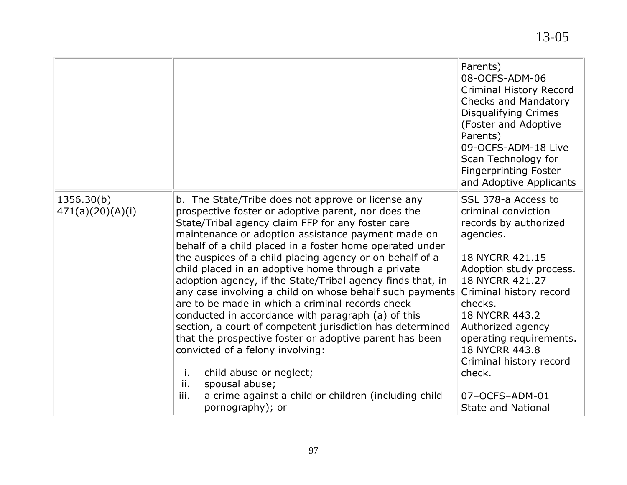|                                |                                                                                                                                                                                                                                                                                                                                                                                                                                                                                                                                                                                                                                                                                                                                                                                                                                                                                                                                                  | Parents)<br>08-OCFS-ADM-06<br><b>Criminal History Record</b><br><b>Checks and Mandatory</b><br><b>Disqualifying Crimes</b><br>(Foster and Adoptive<br>Parents)<br>09-OCFS-ADM-18 Live<br>Scan Technology for<br><b>Fingerprinting Foster</b><br>and Adoptive Applicants                                                                                         |
|--------------------------------|--------------------------------------------------------------------------------------------------------------------------------------------------------------------------------------------------------------------------------------------------------------------------------------------------------------------------------------------------------------------------------------------------------------------------------------------------------------------------------------------------------------------------------------------------------------------------------------------------------------------------------------------------------------------------------------------------------------------------------------------------------------------------------------------------------------------------------------------------------------------------------------------------------------------------------------------------|-----------------------------------------------------------------------------------------------------------------------------------------------------------------------------------------------------------------------------------------------------------------------------------------------------------------------------------------------------------------|
| 1356.30(b)<br>471(a)(20)(A)(i) | b. The State/Tribe does not approve or license any<br>prospective foster or adoptive parent, nor does the<br>State/Tribal agency claim FFP for any foster care<br>maintenance or adoption assistance payment made on<br>behalf of a child placed in a foster home operated under<br>the auspices of a child placing agency or on behalf of a<br>child placed in an adoptive home through a private<br>adoption agency, if the State/Tribal agency finds that, in<br>any case involving a child on whose behalf such payments<br>are to be made in which a criminal records check<br>conducted in accordance with paragraph (a) of this<br>section, a court of competent jurisdiction has determined<br>that the prospective foster or adoptive parent has been<br>convicted of a felony involving:<br>child abuse or neglect;<br>j.<br>ii.<br>spousal abuse;<br>iii.<br>a crime against a child or children (including child<br>pornography); or | SSL 378-a Access to<br>criminal conviction<br>records by authorized<br>agencies.<br>18 NYCRR 421.15<br>Adoption study process.<br>18 NYCRR 421.27<br>Criminal history record<br>checks.<br>18 NYCRR 443.2<br>Authorized agency<br>operating requirements.<br>18 NYCRR 443.8<br>Criminal history record<br>check.<br>07-OCFS-ADM-01<br><b>State and National</b> |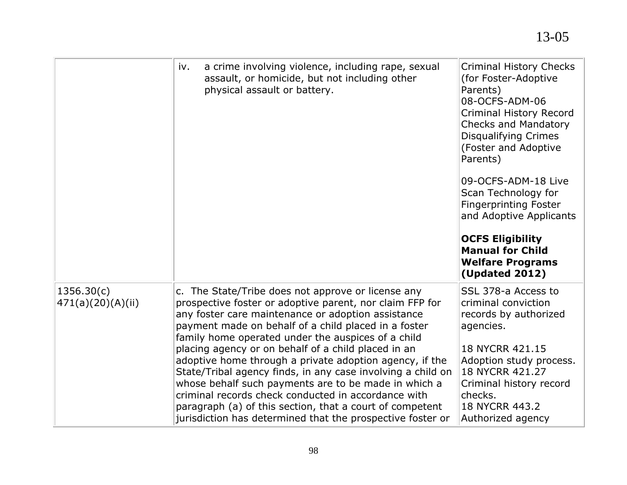|                                 | a crime involving violence, including rape, sexual<br>iv.<br>assault, or homicide, but not including other<br>physical assault or battery.                                                                                                                                                                                                                                                                                                                                                                                                                                                                                                                                                                   | <b>Criminal History Checks</b><br>(for Foster-Adoptive<br>Parents)<br>08-OCFS-ADM-06<br><b>Criminal History Record</b><br>Checks and Mandatory<br><b>Disqualifying Crimes</b><br>(Foster and Adoptive<br>Parents)<br>09-OCFS-ADM-18 Live<br>Scan Technology for<br><b>Fingerprinting Foster</b><br>and Adoptive Applicants<br><b>OCFS Eligibility</b><br><b>Manual for Child</b><br><b>Welfare Programs</b><br><b>(Updated 2012)</b> |
|---------------------------------|--------------------------------------------------------------------------------------------------------------------------------------------------------------------------------------------------------------------------------------------------------------------------------------------------------------------------------------------------------------------------------------------------------------------------------------------------------------------------------------------------------------------------------------------------------------------------------------------------------------------------------------------------------------------------------------------------------------|--------------------------------------------------------------------------------------------------------------------------------------------------------------------------------------------------------------------------------------------------------------------------------------------------------------------------------------------------------------------------------------------------------------------------------------|
| 1356.30(c)<br>471(a)(20)(A)(ii) | c. The State/Tribe does not approve or license any<br>prospective foster or adoptive parent, nor claim FFP for<br>any foster care maintenance or adoption assistance<br>payment made on behalf of a child placed in a foster<br>family home operated under the auspices of a child<br>placing agency or on behalf of a child placed in an<br>adoptive home through a private adoption agency, if the<br>State/Tribal agency finds, in any case involving a child on<br>whose behalf such payments are to be made in which a<br>criminal records check conducted in accordance with<br>paragraph (a) of this section, that a court of competent<br>jurisdiction has determined that the prospective foster or | SSL 378-a Access to<br>criminal conviction<br>records by authorized<br>agencies.<br>18 NYCRR 421.15<br>Adoption study process.<br>18 NYCRR 421.27<br>Criminal history record<br>checks.<br>18 NYCRR 443.2<br>Authorized agency                                                                                                                                                                                                       |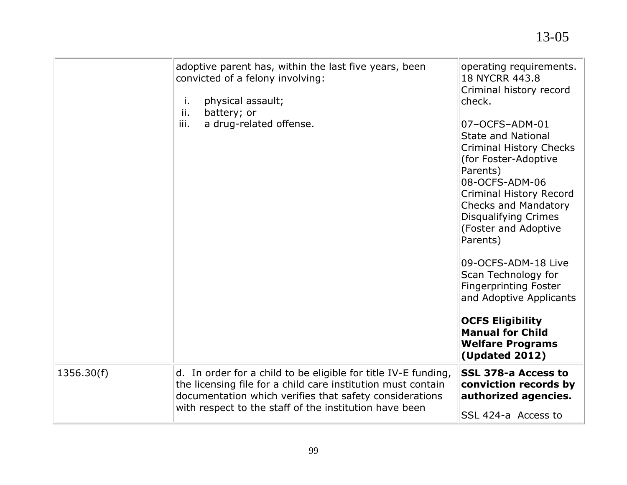| adoptive parent has, within the last five years, been<br>convicted of a felony involving:<br>physical assault;<br>j.                                                                                                                                              | operating requirements.<br>18 NYCRR 443.8<br>Criminal history record<br>check.                                                                                                                                           |
|-------------------------------------------------------------------------------------------------------------------------------------------------------------------------------------------------------------------------------------------------------------------|--------------------------------------------------------------------------------------------------------------------------------------------------------------------------------------------------------------------------|
| battery; or<br>ii.<br>iii.<br>a drug-related offense.                                                                                                                                                                                                             | 07-OCFS-ADM-01<br><b>State and National</b>                                                                                                                                                                              |
|                                                                                                                                                                                                                                                                   | <b>Criminal History Checks</b><br>(for Foster-Adoptive<br>Parents)<br>08-OCFS-ADM-06<br><b>Criminal History Record</b><br><b>Checks and Mandatory</b><br><b>Disqualifying Crimes</b><br>(Foster and Adoptive<br>Parents) |
|                                                                                                                                                                                                                                                                   | 09-OCFS-ADM-18 Live<br>Scan Technology for<br><b>Fingerprinting Foster</b><br>and Adoptive Applicants                                                                                                                    |
|                                                                                                                                                                                                                                                                   | <b>OCFS Eligibility</b><br><b>Manual for Child</b><br><b>Welfare Programs</b><br><b>(Updated 2012)</b>                                                                                                                   |
| 1356.30(f)<br>d. In order for a child to be eligible for title IV-E funding,<br>the licensing file for a child care institution must contain<br>documentation which verifies that safety considerations<br>with respect to the staff of the institution have been | <b>SSL 378-a Access to</b><br>conviction records by<br>authorized agencies.<br>SSL 424-a Access to                                                                                                                       |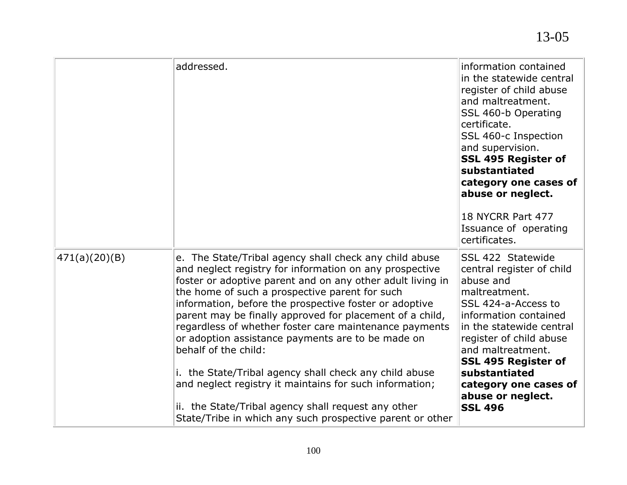|               | addressed.                                                                                                                                                                                                                                                                                                                                                                                                                                                                                                                                                                                                                                                                                                                              | information contained<br>in the statewide central<br>register of child abuse<br>and maltreatment.<br>SSL 460-b Operating<br>certificate.<br>SSL 460-c Inspection<br>and supervision.<br>SSL 495 Register of<br>substantiated<br>category one cases of<br>abuse or neglect.<br>18 NYCRR Part 477<br>Issuance of operating<br>certificates. |
|---------------|-----------------------------------------------------------------------------------------------------------------------------------------------------------------------------------------------------------------------------------------------------------------------------------------------------------------------------------------------------------------------------------------------------------------------------------------------------------------------------------------------------------------------------------------------------------------------------------------------------------------------------------------------------------------------------------------------------------------------------------------|-------------------------------------------------------------------------------------------------------------------------------------------------------------------------------------------------------------------------------------------------------------------------------------------------------------------------------------------|
| 471(a)(20)(B) | e. The State/Tribal agency shall check any child abuse<br>and neglect registry for information on any prospective<br>foster or adoptive parent and on any other adult living in<br>the home of such a prospective parent for such<br>information, before the prospective foster or adoptive<br>parent may be finally approved for placement of a child,<br>regardless of whether foster care maintenance payments<br>or adoption assistance payments are to be made on<br>behalf of the child:<br>i. the State/Tribal agency shall check any child abuse<br>and neglect registry it maintains for such information;<br>ii. the State/Tribal agency shall request any other<br>State/Tribe in which any such prospective parent or other | SSL 422 Statewide<br>central register of child<br>abuse and<br>maltreatment.<br>SSL 424-a-Access to<br>information contained<br>in the statewide central<br>register of child abuse<br>and maltreatment.<br><b>SSL 495 Register of</b><br>substantiated<br>category one cases of<br>abuse or neglect.<br><b>SSL 496</b>                   |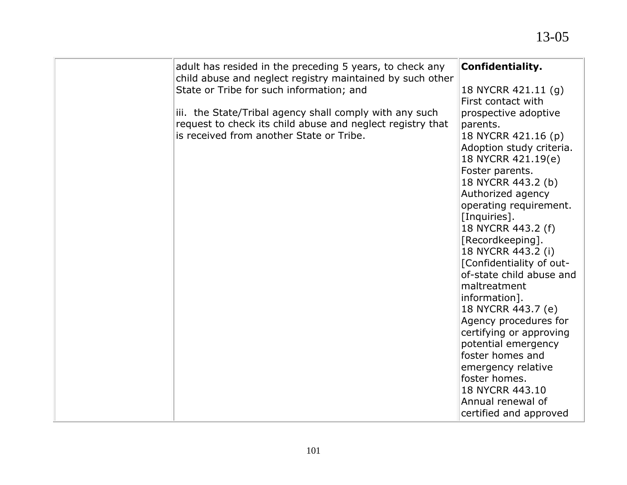| adult has resided in the preceding 5 years, to check any<br>child abuse and neglect registry maintained by such other | <b>Confidentiality.</b>  |
|-----------------------------------------------------------------------------------------------------------------------|--------------------------|
| State or Tribe for such information; and                                                                              | 18 NYCRR 421.11 (g)      |
|                                                                                                                       | First contact with       |
| iii. the State/Tribal agency shall comply with any such                                                               | prospective adoptive     |
| request to check its child abuse and neglect registry that                                                            | parents.                 |
| is received from another State or Tribe.                                                                              | 18 NYCRR 421.16 (p)      |
|                                                                                                                       | Adoption study criteria. |
|                                                                                                                       | 18 NYCRR 421.19(e)       |
|                                                                                                                       | Foster parents.          |
|                                                                                                                       | 18 NYCRR 443.2 (b)       |
|                                                                                                                       | Authorized agency        |
|                                                                                                                       | operating requirement.   |
|                                                                                                                       | [Inquiries].             |
|                                                                                                                       | 18 NYCRR 443.2 (f)       |
|                                                                                                                       | [Recordkeeping].         |
|                                                                                                                       | 18 NYCRR 443.2 (i)       |
|                                                                                                                       | [Confidentiality of out- |
|                                                                                                                       | of-state child abuse and |
|                                                                                                                       | maltreatment             |
|                                                                                                                       | information].            |
|                                                                                                                       | 18 NYCRR 443.7 (e)       |
|                                                                                                                       | Agency procedures for    |
|                                                                                                                       | certifying or approving  |
|                                                                                                                       | potential emergency      |
|                                                                                                                       | foster homes and         |
|                                                                                                                       | emergency relative       |
|                                                                                                                       | foster homes.            |
|                                                                                                                       | 18 NYCRR 443.10          |
|                                                                                                                       | Annual renewal of        |
|                                                                                                                       | certified and approved   |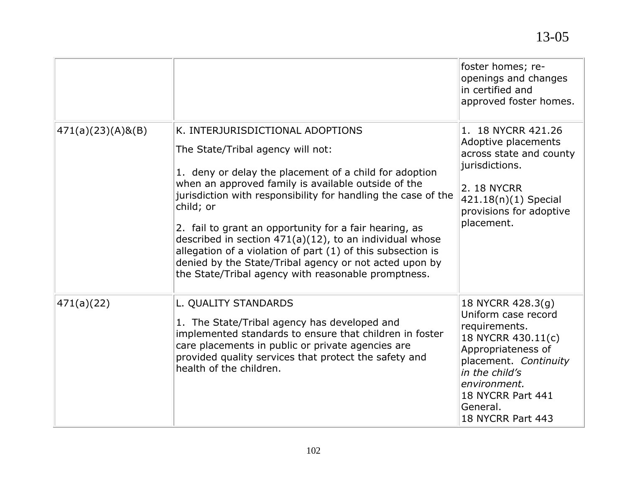|                      |                                                                                                                                                                                                                                                                                                                                                                                                                                                                                                                                                                              | foster homes; re-<br>openings and changes<br>in certified and<br>approved foster homes.                                                                                                                                |
|----------------------|------------------------------------------------------------------------------------------------------------------------------------------------------------------------------------------------------------------------------------------------------------------------------------------------------------------------------------------------------------------------------------------------------------------------------------------------------------------------------------------------------------------------------------------------------------------------------|------------------------------------------------------------------------------------------------------------------------------------------------------------------------------------------------------------------------|
| $471(a)(23)(A)$ &(B) | K. INTERJURISDICTIONAL ADOPTIONS<br>The State/Tribal agency will not:<br>1. deny or delay the placement of a child for adoption<br>when an approved family is available outside of the<br>jurisdiction with responsibility for handling the case of the<br>child; or<br>2. fail to grant an opportunity for a fair hearing, as<br>described in section $471(a)(12)$ , to an individual whose<br>allegation of a violation of part (1) of this subsection is<br>denied by the State/Tribal agency or not acted upon by<br>the State/Tribal agency with reasonable promptness. | 1. 18 NYCRR 421.26<br>Adoptive placements<br>across state and county<br>jurisdictions.<br>2. 18 NYCRR<br>421.18(n)(1) Special<br>provisions for adoptive<br>placement.                                                 |
| 471(a)(22)           | L. QUALITY STANDARDS<br>1. The State/Tribal agency has developed and<br>implemented standards to ensure that children in foster<br>care placements in public or private agencies are<br>provided quality services that protect the safety and<br>health of the children.                                                                                                                                                                                                                                                                                                     | 18 NYCRR 428.3(g)<br>Uniform case record<br>requirements.<br>18 NYCRR 430.11(c)<br>Appropriateness of<br>placement. Continuity<br>in the child's<br>environment.<br>18 NYCRR Part 441<br>General.<br>18 NYCRR Part 443 |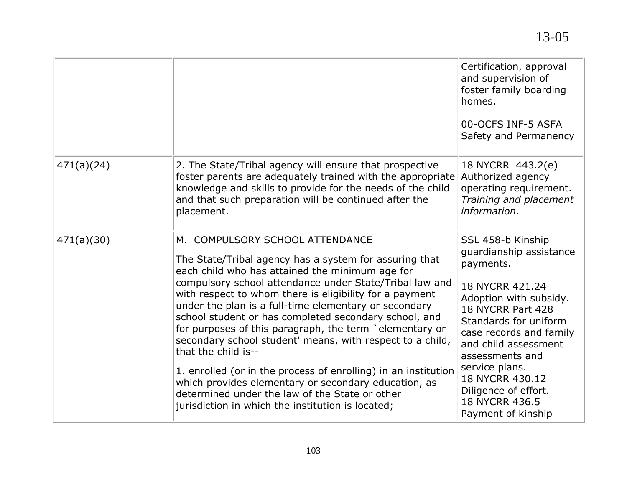|            |                                                                                                                                                                                                                                                                                                                                                                                                                                                                                                                                                                                                                                                                                                                                                                      | Certification, approval<br>and supervision of<br>foster family boarding<br>homes.<br>00-OCFS INF-5 ASFA<br>Safety and Permanency                                                                                                                                                                                                |
|------------|----------------------------------------------------------------------------------------------------------------------------------------------------------------------------------------------------------------------------------------------------------------------------------------------------------------------------------------------------------------------------------------------------------------------------------------------------------------------------------------------------------------------------------------------------------------------------------------------------------------------------------------------------------------------------------------------------------------------------------------------------------------------|---------------------------------------------------------------------------------------------------------------------------------------------------------------------------------------------------------------------------------------------------------------------------------------------------------------------------------|
| 471(a)(24) | 2. The State/Tribal agency will ensure that prospective<br>foster parents are adequately trained with the appropriate<br>knowledge and skills to provide for the needs of the child<br>and that such preparation will be continued after the<br>placement.                                                                                                                                                                                                                                                                                                                                                                                                                                                                                                           | 18 NYCRR 443.2(e)<br>Authorized agency<br>operating requirement.<br>Training and placement<br>information.                                                                                                                                                                                                                      |
| 471(a)(30) | M. COMPULSORY SCHOOL ATTENDANCE<br>The State/Tribal agency has a system for assuring that<br>each child who has attained the minimum age for<br>compulsory school attendance under State/Tribal law and<br>with respect to whom there is eligibility for a payment<br>under the plan is a full-time elementary or secondary<br>school student or has completed secondary school, and<br>for purposes of this paragraph, the term `elementary or<br>secondary school student' means, with respect to a child,<br>that the child is--<br>1. enrolled (or in the process of enrolling) in an institution<br>which provides elementary or secondary education, as<br>determined under the law of the State or other<br>jurisdiction in which the institution is located; | SSL 458-b Kinship<br>guardianship assistance<br>payments.<br>18 NYCRR 421.24<br>Adoption with subsidy.<br>18 NYCRR Part 428<br>Standards for uniform<br>case records and family<br>and child assessment<br>assessments and<br>service plans.<br>18 NYCRR 430.12<br>Diligence of effort.<br>18 NYCRR 436.5<br>Payment of kinship |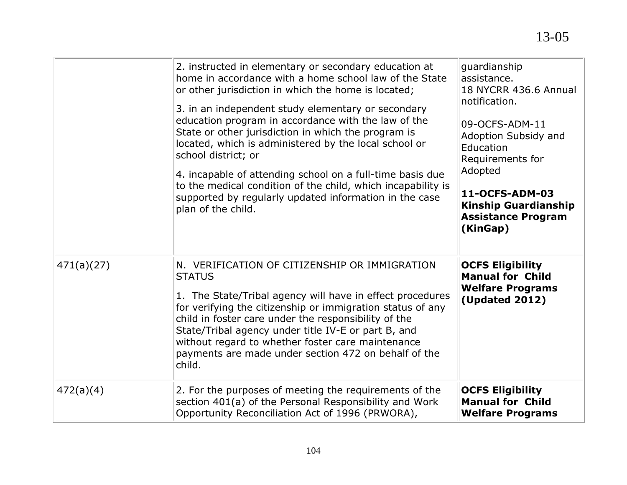|            | 2. instructed in elementary or secondary education at<br>home in accordance with a home school law of the State<br>or other jurisdiction in which the home is located;<br>3. in an independent study elementary or secondary<br>education program in accordance with the law of the<br>State or other jurisdiction in which the program is<br>located, which is administered by the local school or<br>school district; or<br>4. incapable of attending school on a full-time basis due<br>to the medical condition of the child, which incapability is<br>supported by regularly updated information in the case<br>plan of the child. | guardianship<br>assistance.<br>18 NYCRR 436.6 Annual<br>notification.<br>09-OCFS-ADM-11<br>Adoption Subsidy and<br>Education<br>Requirements for<br>Adopted<br>11-OCFS-ADM-03<br><b>Kinship Guardianship</b><br><b>Assistance Program</b><br>(KinGap) |
|------------|-----------------------------------------------------------------------------------------------------------------------------------------------------------------------------------------------------------------------------------------------------------------------------------------------------------------------------------------------------------------------------------------------------------------------------------------------------------------------------------------------------------------------------------------------------------------------------------------------------------------------------------------|-------------------------------------------------------------------------------------------------------------------------------------------------------------------------------------------------------------------------------------------------------|
| 471(a)(27) | N. VERIFICATION OF CITIZENSHIP OR IMMIGRATION<br><b>STATUS</b><br>1. The State/Tribal agency will have in effect procedures<br>for verifying the citizenship or immigration status of any<br>child in foster care under the responsibility of the<br>State/Tribal agency under title IV-E or part B, and<br>without regard to whether foster care maintenance<br>payments are made under section 472 on behalf of the<br>child.                                                                                                                                                                                                         | <b>OCFS Eligibility</b><br><b>Manual for Child</b><br><b>Welfare Programs</b><br><b>(Updated 2012)</b>                                                                                                                                                |
| 472(a)(4)  | 2. For the purposes of meeting the requirements of the<br>section 401(a) of the Personal Responsibility and Work<br>Opportunity Reconciliation Act of 1996 (PRWORA),                                                                                                                                                                                                                                                                                                                                                                                                                                                                    | <b>OCFS Eligibility</b><br><b>Manual for Child</b><br><b>Welfare Programs</b>                                                                                                                                                                         |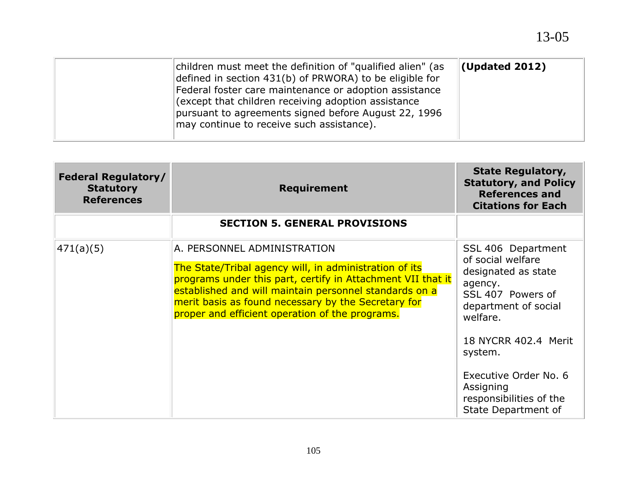| children must meet the definition of "qualified alien" (as<br>defined in section 431(b) of PRWORA) to be eligible for<br>Federal foster care maintenance or adoption assistance<br>(except that children receiving adoption assistance<br>pursuant to agreements signed before August 22, 1996<br>may continue to receive such assistance). | $($ Updated 2012) |
|---------------------------------------------------------------------------------------------------------------------------------------------------------------------------------------------------------------------------------------------------------------------------------------------------------------------------------------------|-------------------|
|---------------------------------------------------------------------------------------------------------------------------------------------------------------------------------------------------------------------------------------------------------------------------------------------------------------------------------------------|-------------------|

| <b>Federal Regulatory/</b><br><b>Statutory</b><br><b>References</b> | <b>Requirement</b>                                                                                                                                                                                                                                                                        | <b>State Regulatory,</b><br><b>Statutory, and Policy</b><br><b>References and</b><br><b>Citations for Each</b> |
|---------------------------------------------------------------------|-------------------------------------------------------------------------------------------------------------------------------------------------------------------------------------------------------------------------------------------------------------------------------------------|----------------------------------------------------------------------------------------------------------------|
|                                                                     | <b>SECTION 5. GENERAL PROVISIONS</b>                                                                                                                                                                                                                                                      |                                                                                                                |
| 471(a)(5)                                                           | A. PERSONNEL ADMINISTRATION                                                                                                                                                                                                                                                               | SSL 406 Department<br>of social welfare                                                                        |
|                                                                     | The State/Tribal agency will, in administration of its<br>programs under this part, certify in Attachment VII that it<br>established and will maintain personnel standards on a<br>merit basis as found necessary by the Secretary for<br>proper and efficient operation of the programs. | designated as state<br>agency.<br>SSL 407 Powers of<br>department of social<br>welfare.                        |
|                                                                     |                                                                                                                                                                                                                                                                                           | 18 NYCRR 402.4 Merit<br>system.                                                                                |
|                                                                     |                                                                                                                                                                                                                                                                                           | Executive Order No. 6<br>Assigning<br>responsibilities of the<br>State Department of                           |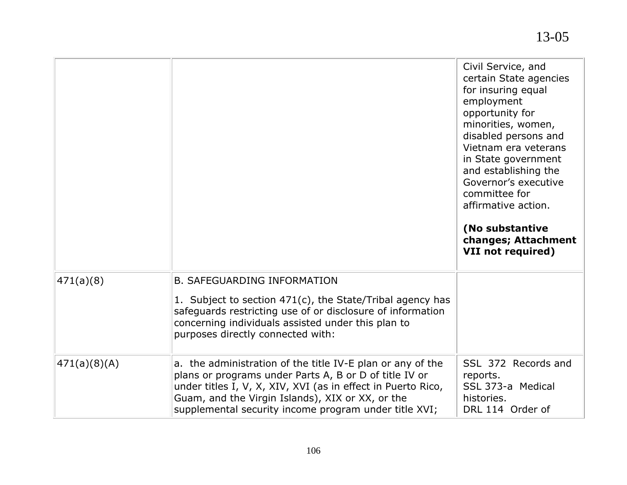|              |                                                                                                                                                                                                                                                                                                   | Civil Service, and<br>certain State agencies<br>for insuring equal<br>employment<br>opportunity for<br>minorities, women,<br>disabled persons and<br>Vietnam era veterans<br>in State government<br>and establishing the<br>Governor's executive<br>committee for<br>affirmative action.<br>(No substantive<br>changes; Attachment<br>VII not required) |
|--------------|---------------------------------------------------------------------------------------------------------------------------------------------------------------------------------------------------------------------------------------------------------------------------------------------------|---------------------------------------------------------------------------------------------------------------------------------------------------------------------------------------------------------------------------------------------------------------------------------------------------------------------------------------------------------|
| 471(a)(8)    | <b>B. SAFEGUARDING INFORMATION</b><br>1. Subject to section 471(c), the State/Tribal agency has<br>safeguards restricting use of or disclosure of information<br>concerning individuals assisted under this plan to<br>purposes directly connected with:                                          |                                                                                                                                                                                                                                                                                                                                                         |
| 471(a)(8)(A) | a. the administration of the title IV-E plan or any of the<br>plans or programs under Parts A, B or D of title IV or<br>under titles I, V, X, XIV, XVI (as in effect in Puerto Rico,<br>Guam, and the Virgin Islands), XIX or XX, or the<br>supplemental security income program under title XVI; | SSL 372 Records and<br>reports.<br>SSL 373-a Medical<br>histories.<br>DRL 114 Order of                                                                                                                                                                                                                                                                  |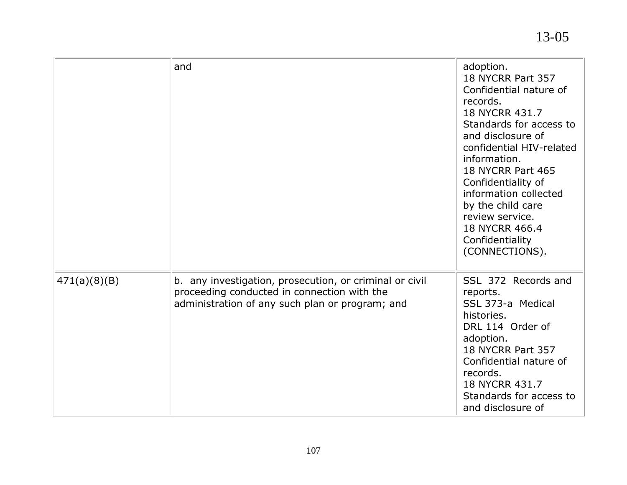|              | and                                                                                                                                                       | adoption.<br>18 NYCRR Part 357<br>Confidential nature of<br>records.<br>18 NYCRR 431.7<br>Standards for access to<br>and disclosure of<br>confidential HIV-related<br>information.<br>18 NYCRR Part 465<br>Confidentiality of<br>information collected<br>by the child care<br>review service.<br>18 NYCRR 466.4<br>Confidentiality<br>(CONNECTIONS). |
|--------------|-----------------------------------------------------------------------------------------------------------------------------------------------------------|-------------------------------------------------------------------------------------------------------------------------------------------------------------------------------------------------------------------------------------------------------------------------------------------------------------------------------------------------------|
| 471(a)(8)(B) | b. any investigation, prosecution, or criminal or civil<br>proceeding conducted in connection with the<br>administration of any such plan or program; and | SSL 372 Records and<br>reports.<br>SSL 373-a Medical<br>histories.<br>DRL 114 Order of<br>adoption.<br>18 NYCRR Part 357<br>Confidential nature of<br>records.<br>18 NYCRR 431.7<br>Standards for access to<br>and disclosure of                                                                                                                      |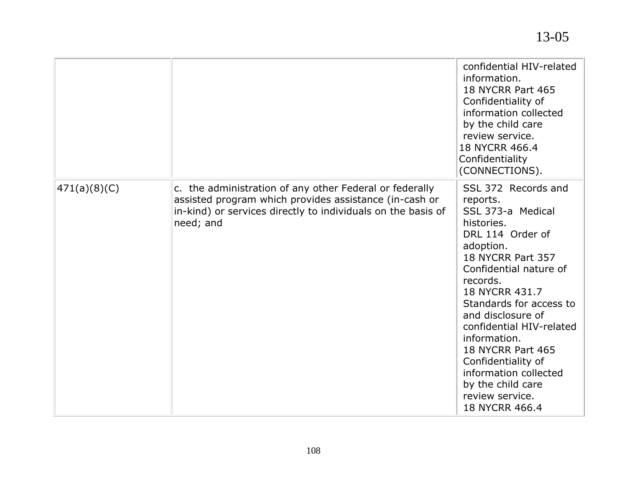|              |                                                                                                                                                                                                | confidential HIV-related<br>information.<br>18 NYCRR Part 465<br>Confidentiality of<br>information collected<br>by the child care<br>review service.<br>18 NYCRR 466.4<br>Confidentiality<br>(CONNECTIONS).                                                                                                                                                                                                |
|--------------|------------------------------------------------------------------------------------------------------------------------------------------------------------------------------------------------|------------------------------------------------------------------------------------------------------------------------------------------------------------------------------------------------------------------------------------------------------------------------------------------------------------------------------------------------------------------------------------------------------------|
| 471(a)(8)(C) | c. the administration of any other Federal or federally<br>assisted program which provides assistance (in-cash or<br>in-kind) or services directly to individuals on the basis of<br>need; and | SSL 372 Records and<br>reports.<br>SSL 373-a Medical<br>histories.<br>DRL 114 Order of<br>adoption.<br>18 NYCRR Part 357<br>Confidential nature of<br>records.<br>18 NYCRR 431.7<br>Standards for access to<br>and disclosure of<br>confidential HIV-related<br>information.<br>18 NYCRR Part 465<br>Confidentiality of<br>information collected<br>by the child care<br>review service.<br>18 NYCRR 466.4 |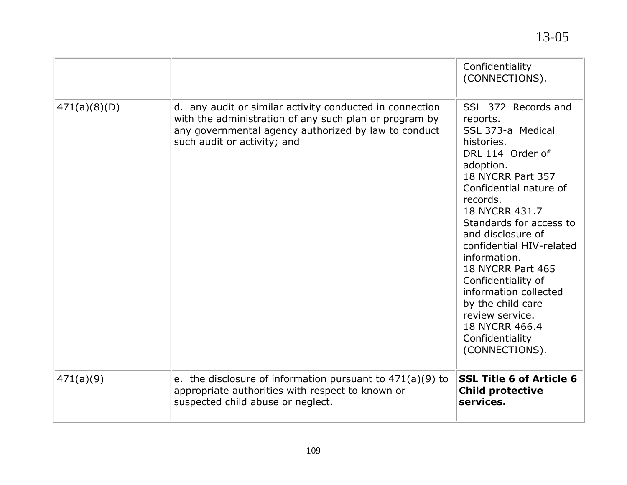|              |                                                                                                                                                                                                           | Confidentiality<br>(CONNECTIONS).                                                                                                                                                                                                                                                                                                                                                                                                               |
|--------------|-----------------------------------------------------------------------------------------------------------------------------------------------------------------------------------------------------------|-------------------------------------------------------------------------------------------------------------------------------------------------------------------------------------------------------------------------------------------------------------------------------------------------------------------------------------------------------------------------------------------------------------------------------------------------|
| 471(a)(8)(D) | d. any audit or similar activity conducted in connection<br>with the administration of any such plan or program by<br>any governmental agency authorized by law to conduct<br>such audit or activity; and | SSL 372 Records and<br>reports.<br>SSL 373-a Medical<br>histories.<br>DRL 114 Order of<br>adoption.<br>18 NYCRR Part 357<br>Confidential nature of<br>records.<br>18 NYCRR 431.7<br>Standards for access to<br>and disclosure of<br>confidential HIV-related<br>information.<br>18 NYCRR Part 465<br>Confidentiality of<br>information collected<br>by the child care<br>review service.<br>18 NYCRR 466.4<br>Confidentiality<br>(CONNECTIONS). |
| 471(a)(9)    | e. the disclosure of information pursuant to $471(a)(9)$ to<br>appropriate authorities with respect to known or<br>suspected child abuse or neglect.                                                      | <b>SSL Title 6 of Article 6</b><br><b>Child protective</b><br>services.                                                                                                                                                                                                                                                                                                                                                                         |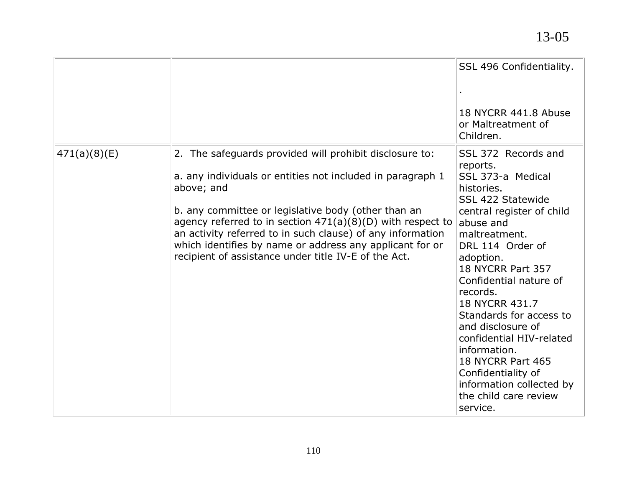|              |                                                                                                                                                                                                                                                                                                                                                                                                                                              | SSL 496 Confidentiality.<br>18 NYCRR 441.8 Abuse<br>or Maltreatment of<br>Children.                                                                                                                                                                                                                                                                                                                                                                                                    |
|--------------|----------------------------------------------------------------------------------------------------------------------------------------------------------------------------------------------------------------------------------------------------------------------------------------------------------------------------------------------------------------------------------------------------------------------------------------------|----------------------------------------------------------------------------------------------------------------------------------------------------------------------------------------------------------------------------------------------------------------------------------------------------------------------------------------------------------------------------------------------------------------------------------------------------------------------------------------|
| 471(a)(8)(E) | 2. The safeguards provided will prohibit disclosure to:<br>a. any individuals or entities not included in paragraph 1<br>above; and<br>b. any committee or legislative body (other than an<br>agency referred to in section $471(a)(8)(D)$ with respect to<br>an activity referred to in such clause) of any information<br>which identifies by name or address any applicant for or<br>recipient of assistance under title IV-E of the Act. | SSL 372 Records and<br>reports.<br>SSL 373-a Medical<br>histories.<br><b>SSL 422 Statewide</b><br>central register of child<br>abuse and<br>maltreatment.<br>DRL 114 Order of<br>adoption.<br>18 NYCRR Part 357<br>Confidential nature of<br>records.<br>18 NYCRR 431.7<br>Standards for access to<br>and disclosure of<br>confidential HIV-related<br>information.<br><b>18 NYCRR Part 465</b><br>Confidentiality of<br>information collected by<br>the child care review<br>service. |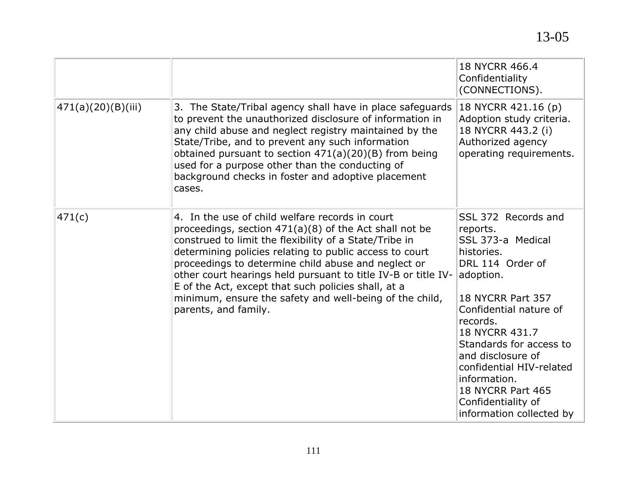|                    |                                                                                                                                                                                                                                                                                                                                                                                                                                                                                                    | 18 NYCRR 466.4<br>Confidentiality<br>(CONNECTIONS).                                                                                                                                                                                                                                                                                                        |
|--------------------|----------------------------------------------------------------------------------------------------------------------------------------------------------------------------------------------------------------------------------------------------------------------------------------------------------------------------------------------------------------------------------------------------------------------------------------------------------------------------------------------------|------------------------------------------------------------------------------------------------------------------------------------------------------------------------------------------------------------------------------------------------------------------------------------------------------------------------------------------------------------|
| 471(a)(20)(B)(iii) | 3. The State/Tribal agency shall have in place safeguards<br>to prevent the unauthorized disclosure of information in<br>any child abuse and neglect registry maintained by the<br>State/Tribe, and to prevent any such information<br>obtained pursuant to section 471(a)(20)(B) from being<br>used for a purpose other than the conducting of<br>background checks in foster and adoptive placement<br>cases.                                                                                    | 18 NYCRR 421.16 (p)<br>Adoption study criteria.<br>18 NYCRR 443.2 (i)<br>Authorized agency<br>operating requirements.                                                                                                                                                                                                                                      |
| 471(c)             | 4. In the use of child welfare records in court<br>proceedings, section $471(a)(8)$ of the Act shall not be<br>construed to limit the flexibility of a State/Tribe in<br>determining policies relating to public access to court<br>proceedings to determine child abuse and neglect or<br>other court hearings held pursuant to title IV-B or title IV-<br>E of the Act, except that such policies shall, at a<br>minimum, ensure the safety and well-being of the child,<br>parents, and family. | SSL 372 Records and<br>reports.<br>SSL 373-a Medical<br>histories.<br>DRL 114 Order of<br>adoption.<br>18 NYCRR Part 357<br>Confidential nature of<br>records.<br>18 NYCRR 431.7<br>Standards for access to<br>and disclosure of<br>confidential HIV-related<br>information.<br><b>18 NYCRR Part 465</b><br>Confidentiality of<br>information collected by |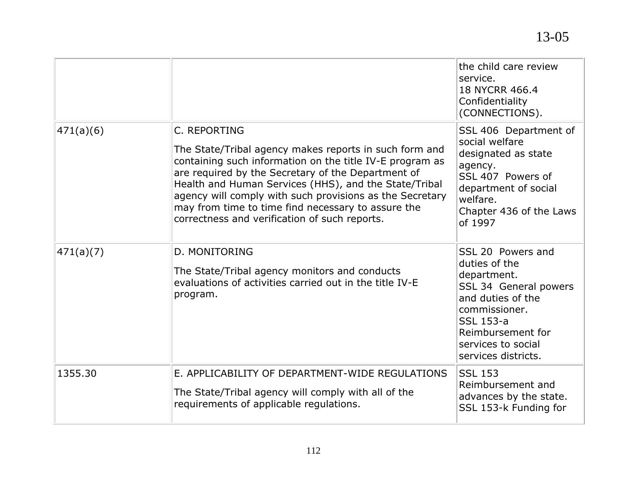|           |                                                                                                                                                                                                                                                                                                                                                                                                                      | the child care review<br>service.<br>18 NYCRR 466.4<br>Confidentiality<br>(CONNECTIONS).                                                                                                        |
|-----------|----------------------------------------------------------------------------------------------------------------------------------------------------------------------------------------------------------------------------------------------------------------------------------------------------------------------------------------------------------------------------------------------------------------------|-------------------------------------------------------------------------------------------------------------------------------------------------------------------------------------------------|
| 471(a)(6) | C. REPORTING<br>The State/Tribal agency makes reports in such form and<br>containing such information on the title IV-E program as<br>are required by the Secretary of the Department of<br>Health and Human Services (HHS), and the State/Tribal<br>agency will comply with such provisions as the Secretary<br>may from time to time find necessary to assure the<br>correctness and verification of such reports. | SSL 406 Department of<br>social welfare<br>designated as state<br>agency.<br>SSL 407 Powers of<br>department of social<br>welfare.<br>Chapter 436 of the Laws<br>of 1997                        |
| 471(a)(7) | D. MONITORING<br>The State/Tribal agency monitors and conducts<br>evaluations of activities carried out in the title IV-E<br>program.                                                                                                                                                                                                                                                                                | SSL 20 Powers and<br>duties of the<br>department.<br>SSL 34 General powers<br>and duties of the<br>commissioner.<br>SSL 153-a<br>Reimbursement for<br>services to social<br>services districts. |
| 1355.30   | E. APPLICABILITY OF DEPARTMENT-WIDE REGULATIONS<br>The State/Tribal agency will comply with all of the<br>requirements of applicable regulations.                                                                                                                                                                                                                                                                    | <b>SSL 153</b><br>Reimbursement and<br>advances by the state.<br>SSL 153-k Funding for                                                                                                          |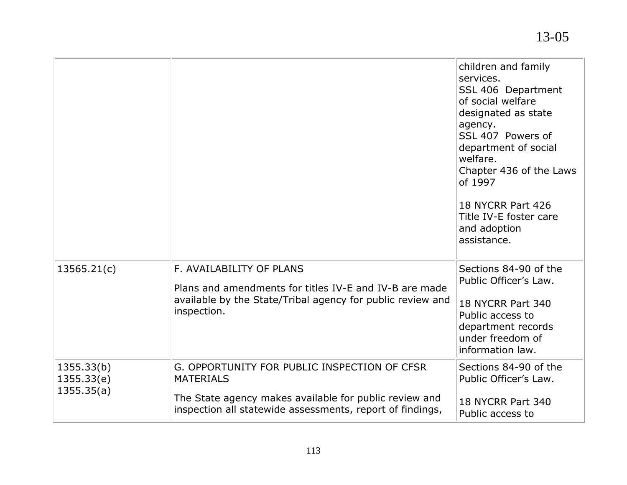|                                        |                                                                                                                                                                                         | children and family<br>services.<br>SSL 406 Department<br>of social welfare<br>designated as state<br>agency.<br>SSL 407 Powers of<br>department of social<br>welfare.<br>Chapter 436 of the Laws<br>of 1997<br>18 NYCRR Part 426<br>Title IV-E foster care<br>and adoption<br>assistance. |
|----------------------------------------|-----------------------------------------------------------------------------------------------------------------------------------------------------------------------------------------|--------------------------------------------------------------------------------------------------------------------------------------------------------------------------------------------------------------------------------------------------------------------------------------------|
| 13565.21(c)                            | F. AVAILABILITY OF PLANS<br>Plans and amendments for titles IV-E and IV-B are made<br>available by the State/Tribal agency for public review and<br>inspection.                         | Sections 84-90 of the<br>Public Officer's Law.<br>18 NYCRR Part 340<br>Public access to<br>department records<br>under freedom of<br>information law.                                                                                                                                      |
| 1355.33(b)<br>1355.33(e)<br>1355.35(a) | G. OPPORTUNITY FOR PUBLIC INSPECTION OF CFSR<br><b>MATERIALS</b><br>The State agency makes available for public review and<br>inspection all statewide assessments, report of findings, | Sections 84-90 of the<br>Public Officer's Law.<br>18 NYCRR Part 340<br>Public access to                                                                                                                                                                                                    |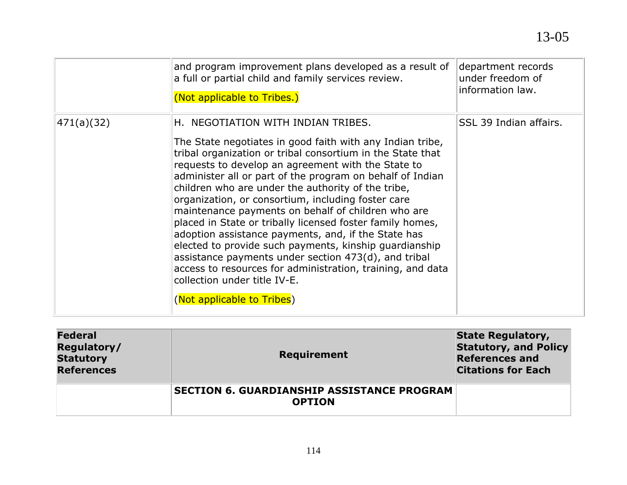|            | and program improvement plans developed as a result of<br>a full or partial child and family services review.<br>(Not applicable to Tribes.)                                                                                                                                                                                                                                                                                                                                                                                                                                                                                                                                                                                                                                                                         | department records<br>under freedom of<br>information law. |
|------------|----------------------------------------------------------------------------------------------------------------------------------------------------------------------------------------------------------------------------------------------------------------------------------------------------------------------------------------------------------------------------------------------------------------------------------------------------------------------------------------------------------------------------------------------------------------------------------------------------------------------------------------------------------------------------------------------------------------------------------------------------------------------------------------------------------------------|------------------------------------------------------------|
| 471(a)(32) | H. NEGOTIATION WITH INDIAN TRIBES.<br>The State negotiates in good faith with any Indian tribe,<br>tribal organization or tribal consortium in the State that<br>requests to develop an agreement with the State to<br>administer all or part of the program on behalf of Indian<br>children who are under the authority of the tribe,<br>organization, or consortium, including foster care<br>maintenance payments on behalf of children who are<br>placed in State or tribally licensed foster family homes,<br>adoption assistance payments, and, if the State has<br>elected to provide such payments, kinship guardianship<br>assistance payments under section 473(d), and tribal<br>access to resources for administration, training, and data<br>collection under title IV-E.<br>(Not applicable to Tribes) | SSL 39 Indian affairs.                                     |

| <b>Federal</b><br>Regulatory/<br><b>Statutory</b><br><b>References</b> | <b>Requirement</b>                                                 | <b>State Regulatory,</b><br><b>Statutory, and Policy</b><br><b>References and</b><br><b>Citations for Each</b> |
|------------------------------------------------------------------------|--------------------------------------------------------------------|----------------------------------------------------------------------------------------------------------------|
|                                                                        | <b>SECTION 6. GUARDIANSHIP ASSISTANCE PROGRAM</b><br><b>OPTION</b> |                                                                                                                |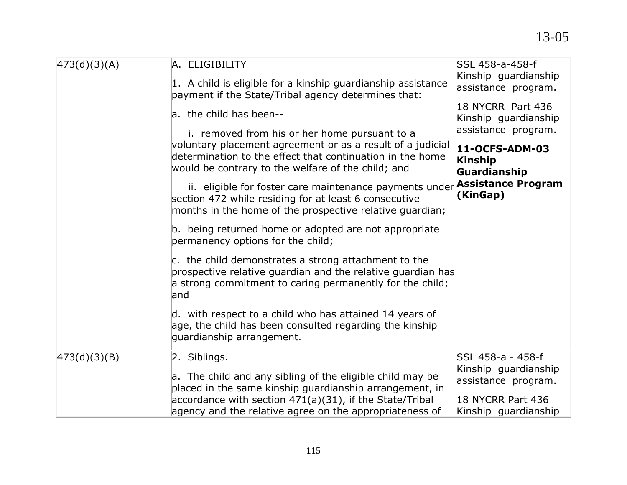| 473(d)(3)(A) | A. ELIGIBILITY<br>1. A child is eligible for a kinship guardianship assistance<br>payment if the State/Tribal agency determines that:                                                                                          | SSL 458-a-458-f<br>Kinship guardianship<br>assistance program.   |
|--------------|--------------------------------------------------------------------------------------------------------------------------------------------------------------------------------------------------------------------------------|------------------------------------------------------------------|
|              | a. the child has been--                                                                                                                                                                                                        | 18 NYCRR Part 436<br>Kinship guardianship<br>assistance program. |
|              | i. removed from his or her home pursuant to a<br>voluntary placement agreement or as a result of a judicial<br>determination to the effect that continuation in the home<br>would be contrary to the welfare of the child; and | 11-OCFS-ADM-03<br>Kinship<br>Guardianship                        |
|              | ii. eligible for foster care maintenance payments under<br>section 472 while residing for at least 6 consecutive<br>months in the home of the prospective relative quardian;                                                   | <b>Assistance Program</b><br>(KinGap)                            |
|              | b. being returned home or adopted are not appropriate<br>permanency options for the child;                                                                                                                                     |                                                                  |
|              | c. the child demonstrates a strong attachment to the<br>prospective relative quardian and the relative quardian has<br>a strong commitment to caring permanently for the child;<br>land                                        |                                                                  |
|              | d. with respect to a child who has attained 14 years of<br>age, the child has been consulted regarding the kinship<br>guardianship arrangement.                                                                                |                                                                  |
| 473(d)(3)(B) | 2. Siblings.<br>a. The child and any sibling of the eligible child may be<br>placed in the same kinship guardianship arrangement, in                                                                                           | SSL 458-a - 458-f<br>Kinship guardianship<br>assistance program. |
|              | accordance with section $471(a)(31)$ , if the State/Tribal<br>agency and the relative agree on the appropriateness of                                                                                                          | 18 NYCRR Part 436<br>Kinship guardianship                        |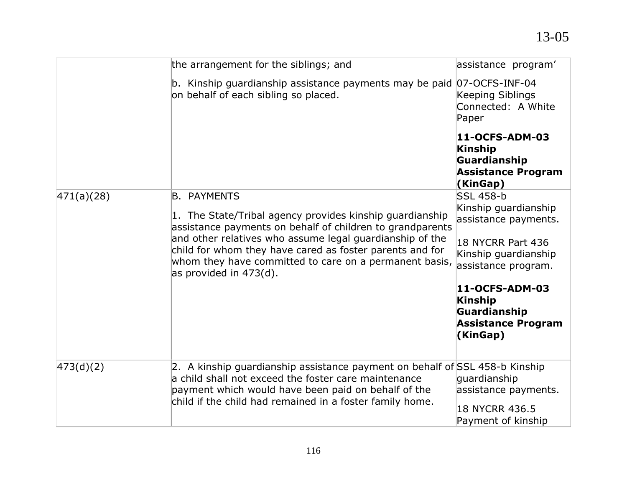|            | the arrangement for the siblings; and                                                                                                                                                                                                                  | assistance program'                                                                |
|------------|--------------------------------------------------------------------------------------------------------------------------------------------------------------------------------------------------------------------------------------------------------|------------------------------------------------------------------------------------|
|            | b. Kinship guardianship assistance payments may be paid 07-OCFS-INF-04<br>on behalf of each sibling so placed.                                                                                                                                         | Keeping Siblings<br>Connected: A White<br>Paper                                    |
|            |                                                                                                                                                                                                                                                        | 11-OCFS-ADM-03<br>Kinship<br>Guardianship<br><b>Assistance Program</b><br>(KinGap) |
| 471(a)(28) | <b>B. PAYMENTS</b><br>1. The State/Tribal agency provides kinship guardianship<br>assistance payments on behalf of children to grandparents                                                                                                            | <b>SSL 458-b</b><br>Kinship guardianship<br>assistance payments.                   |
|            | and other relatives who assume legal guardianship of the<br>child for whom they have cared as foster parents and for<br>whom they have committed to care on a permanent basis,<br>as provided in $473(d)$ .                                            | 18 NYCRR Part 436<br>Kinship guardianship<br>assistance program.                   |
|            |                                                                                                                                                                                                                                                        | 11-OCFS-ADM-03<br>Kinship<br>Guardianship<br><b>Assistance Program</b><br>(KinGap) |
| 473(d)(2)  | 2. A kinship guardianship assistance payment on behalf of SSL 458-b Kinship<br>a child shall not exceed the foster care maintenance<br>payment which would have been paid on behalf of the<br>child if the child had remained in a foster family home. | guardianship<br>assistance payments.<br>18 NYCRR 436.5                             |
|            |                                                                                                                                                                                                                                                        | Payment of kinship                                                                 |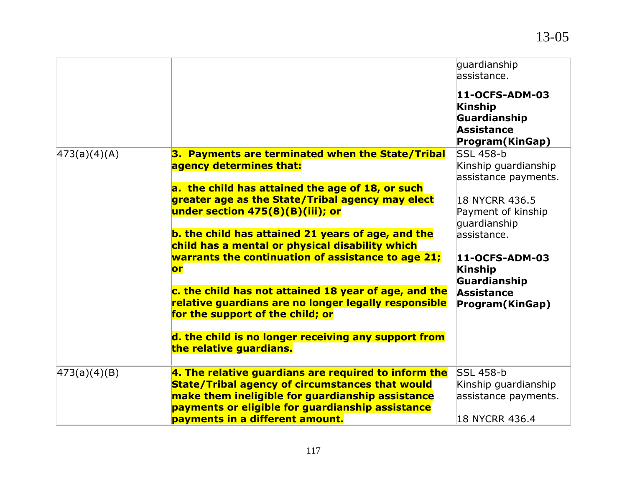|              |                                                                                                                                                                                                                        | guardianship<br>assistance.<br>11-OCFS-ADM-03<br>Kinship<br>Guardianship<br><b>Assistance</b><br>Program(KinGap) |
|--------------|------------------------------------------------------------------------------------------------------------------------------------------------------------------------------------------------------------------------|------------------------------------------------------------------------------------------------------------------|
| 473(a)(4)(A) | 3. Payments are terminated when the State/Tribal                                                                                                                                                                       | <b>SSL 458-b</b>                                                                                                 |
|              | agency determines that:                                                                                                                                                                                                | Kinship guardianship<br>assistance payments.                                                                     |
|              | a. the child has attained the age of 18, or such<br>greater age as the State/Tribal agency may elect<br>under section 475(8)(B)(iii); or                                                                               | 18 NYCRR 436.5<br>Payment of kinship<br>guardianship                                                             |
|              | b. the child has attained 21 years of age, and the<br>child has a mental or physical disability which<br>warrants the continuation of assistance to age 21;                                                            | assistance.<br>11-OCFS-ADM-03                                                                                    |
|              | or                                                                                                                                                                                                                     | <b>Kinship</b><br>Guardianship                                                                                   |
|              | c. the child has not attained 18 year of age, and the<br>relative guardians are no longer legally responsible<br>for the support of the child; or                                                                      | Assistance<br>Program(KinGap)                                                                                    |
|              | d. the child is no longer receiving any support from<br>the relative guardians.                                                                                                                                        |                                                                                                                  |
| 473(a)(4)(B) | 4. The relative guardians are required to inform the<br><b>State/Tribal agency of circumstances that would</b><br>make them ineligible for guardianship assistance<br>payments or eligible for guardianship assistance | <b>SSL 458-b</b><br>Kinship guardianship<br>assistance payments.                                                 |
|              | payments in a different amount.                                                                                                                                                                                        | 18 NYCRR 436.4                                                                                                   |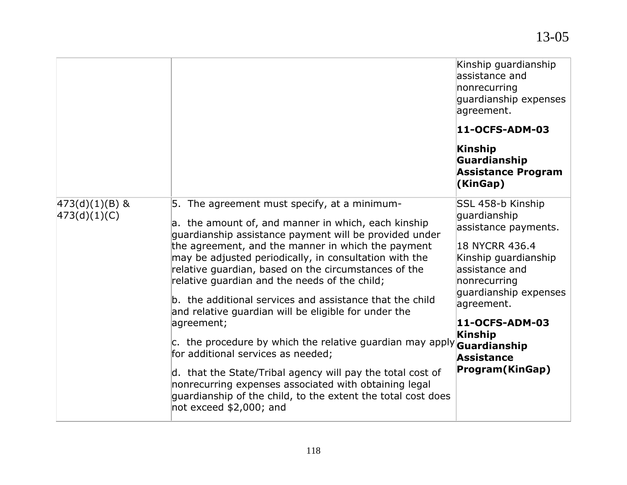|                                    |                                                                                                                                                                                                                                                                                                                                                                                                                                                                                                                                                                                                                                                                                                                                                                                                                                                                     | Kinship guardianship<br>assistance and<br>nonrecurring<br>guardianship expenses<br>agreement.<br>11-OCFS-ADM-03<br>Kinship<br>Guardianship<br><b>Assistance Program</b><br>(KinGap)                                                        |
|------------------------------------|---------------------------------------------------------------------------------------------------------------------------------------------------------------------------------------------------------------------------------------------------------------------------------------------------------------------------------------------------------------------------------------------------------------------------------------------------------------------------------------------------------------------------------------------------------------------------------------------------------------------------------------------------------------------------------------------------------------------------------------------------------------------------------------------------------------------------------------------------------------------|--------------------------------------------------------------------------------------------------------------------------------------------------------------------------------------------------------------------------------------------|
| $ 473(d)(1)(B)$ &<br> 473(d)(1)(C) | 5. The agreement must specify, at a minimum-<br>a. the amount of, and manner in which, each kinship<br>guardianship assistance payment will be provided under<br>the agreement, and the manner in which the payment<br>may be adjusted periodically, in consultation with the<br>relative guardian, based on the circumstances of the<br>relative quardian and the needs of the child;<br>b. the additional services and assistance that the child<br>and relative guardian will be eligible for under the<br>agreement;<br>c. the procedure by which the relative guardian may apply <b>Guardianship</b><br>for additional services as needed;<br>d. that the State/Tribal agency will pay the total cost of<br>nonrecurring expenses associated with obtaining legal<br>quardianship of the child, to the extent the total cost does<br>not exceed $$2,000$ ; and | SSL 458-b Kinship<br>guardianship<br>assistance payments.<br>18 NYCRR 436.4<br>Kinship guardianship<br>assistance and<br>nonrecurring<br>quardianship expenses<br>agreement.<br>11-OCFS-ADM-03<br>Kinship<br>Assistance<br>Program(KinGap) |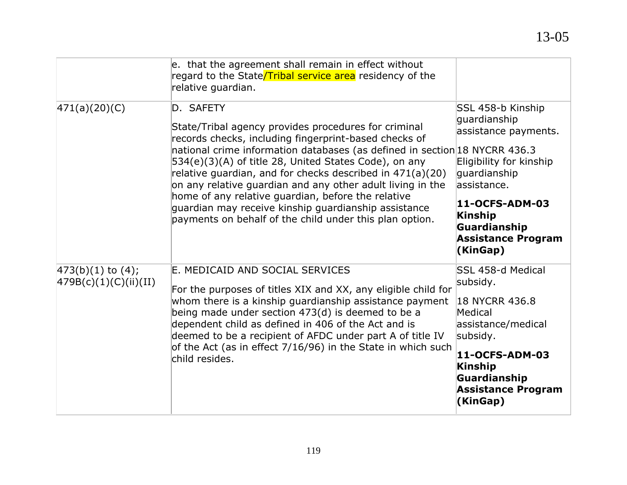|                                                   | e. that the agreement shall remain in effect without<br>regard to the State/Tribal service area residency of the<br>relative guardian.                                                                                                                                                                                                                                                                                                                                                                                                                                |                                                                                                                                                                                                                   |
|---------------------------------------------------|-----------------------------------------------------------------------------------------------------------------------------------------------------------------------------------------------------------------------------------------------------------------------------------------------------------------------------------------------------------------------------------------------------------------------------------------------------------------------------------------------------------------------------------------------------------------------|-------------------------------------------------------------------------------------------------------------------------------------------------------------------------------------------------------------------|
| 471(a)(20)(C)                                     | D. SAFETY<br>State/Tribal agency provides procedures for criminal<br>records checks, including fingerprint-based checks of<br>national crime information databases (as defined in section 18 NYCRR 436.3<br>534(e)(3)(A) of title 28, United States Code), on any<br>relative guardian, and for checks described in 471(a)(20)<br>on any relative guardian and any other adult living in the<br>home of any relative guardian, before the relative<br>guardian may receive kinship guardianship assistance<br>payments on behalf of the child under this plan option. | SSL 458-b Kinship<br>guardianship<br>assistance payments.<br>Eligibility for kinship<br>guardianship<br>lassistance.<br>11-OCFS-ADM-03<br><b>Kinship</b><br>Guardianship<br><b>Assistance Program</b><br>(KinGap) |
| $ 473(b)(1)$ to $(4)$ ;<br> 479B(c)(1)(C)(ii)(II) | E. MEDICAID AND SOCIAL SERVICES<br>For the purposes of titles XIX and XX, any eligible child for<br>whom there is a kinship guardianship assistance payment<br>being made under section 473(d) is deemed to be a<br>dependent child as defined in 406 of the Act and is<br>deemed to be a recipient of AFDC under part A of title IV<br>of the Act (as in effect 7/16/96) in the State in which such<br>child resides.                                                                                                                                                | SSL 458-d Medical<br>subsidy.<br>18 NYCRR 436.8<br>Medical<br>assistance/medical<br>subsidy.<br>11-OCFS-ADM-03<br><b>Kinship</b><br>Guardianship<br><b>Assistance Program</b><br>(KinGap)                         |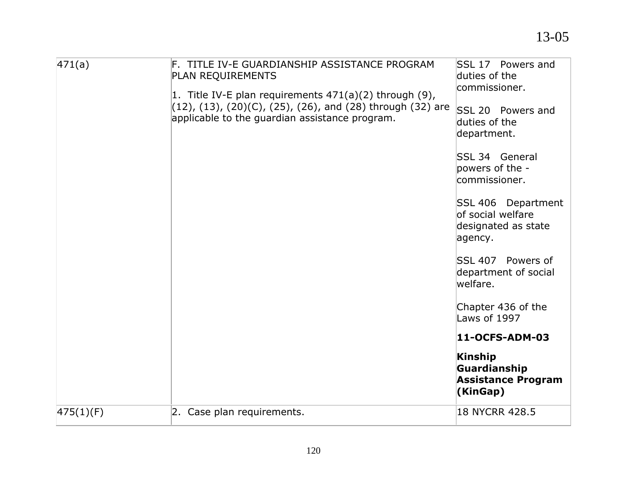| 471(a)    | F. TITLE IV-E GUARDIANSHIP ASSISTANCE PROGRAM<br>PLAN REQUIREMENTS                                                                                                     | SSL 17 Powers and<br>duties of the<br>commissioner.                       |
|-----------|------------------------------------------------------------------------------------------------------------------------------------------------------------------------|---------------------------------------------------------------------------|
|           | 1. Title IV-E plan requirements 471(a)(2) through (9),<br>(12), (13), (20)(C), (25), (26), and (28) through (32) are<br>applicable to the guardian assistance program. | SSL 20 Powers and<br>duties of the<br>department.                         |
|           |                                                                                                                                                                        | <b>SSL 34 General</b><br>powers of the -<br>commissioner.                 |
|           |                                                                                                                                                                        | SSL 406 Department<br>of social welfare<br>designated as state<br>agency. |
|           |                                                                                                                                                                        | SSL 407 Powers of<br>department of social<br>welfare.                     |
|           |                                                                                                                                                                        | Chapter 436 of the<br>Laws of 1997                                        |
|           |                                                                                                                                                                        | 11-OCFS-ADM-03                                                            |
|           |                                                                                                                                                                        | <b>Kinship</b><br>Guardianship<br><b>Assistance Program</b><br>(KinGap)   |
| 475(1)(F) | 2. Case plan requirements.                                                                                                                                             | 18 NYCRR 428.5                                                            |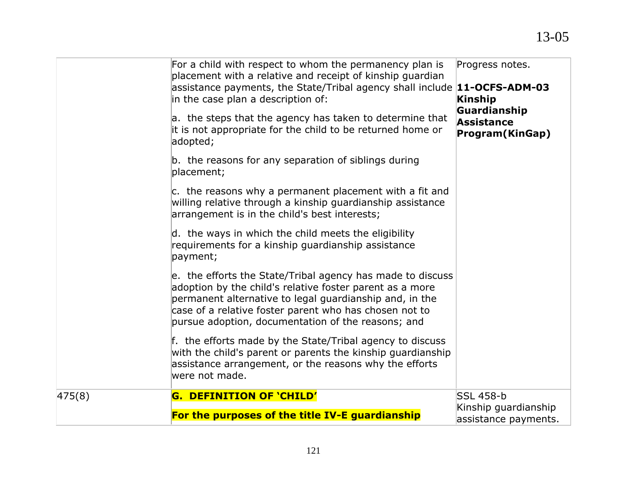|        | For a child with respect to whom the permanency plan is<br>placement with a relative and receipt of kinship guardian<br>assistance payments, the State/Tribal agency shall include $11$ -OCFS-ADM-03<br>in the case plan a description of:<br>a. the steps that the agency has taken to determine that<br>it is not appropriate for the child to be returned home or<br>adopted;<br>b. the reasons for any separation of siblings during<br>placement;<br>c. the reasons why a permanent placement with a fit and<br>willing relative through a kinship guardianship assistance<br>arrangement is in the child's best interests;<br>d. the ways in which the child meets the eligibility<br>requirements for a kinship guardianship assistance<br>payment;<br>e. the efforts the State/Tribal agency has made to discuss<br>adoption by the child's relative foster parent as a more<br>permanent alternative to legal guardianship and, in the<br>case of a relative foster parent who has chosen not to<br>pursue adoption, documentation of the reasons; and | Progress notes.<br>Kinship<br>Guardianship<br>Assistance<br>Program(KinGap) |
|--------|-----------------------------------------------------------------------------------------------------------------------------------------------------------------------------------------------------------------------------------------------------------------------------------------------------------------------------------------------------------------------------------------------------------------------------------------------------------------------------------------------------------------------------------------------------------------------------------------------------------------------------------------------------------------------------------------------------------------------------------------------------------------------------------------------------------------------------------------------------------------------------------------------------------------------------------------------------------------------------------------------------------------------------------------------------------------|-----------------------------------------------------------------------------|
|        | f. the efforts made by the State/Tribal agency to discuss<br>with the child's parent or parents the kinship guardianship<br>assistance arrangement, or the reasons why the efforts<br>were not made.                                                                                                                                                                                                                                                                                                                                                                                                                                                                                                                                                                                                                                                                                                                                                                                                                                                            |                                                                             |
| 475(8) | G. DEFINITION OF 'CHILD'<br>For the purposes of the title IV-E guardianship                                                                                                                                                                                                                                                                                                                                                                                                                                                                                                                                                                                                                                                                                                                                                                                                                                                                                                                                                                                     | <b>SSL 458-b</b><br>Kinship guardianship<br>assistance payments.            |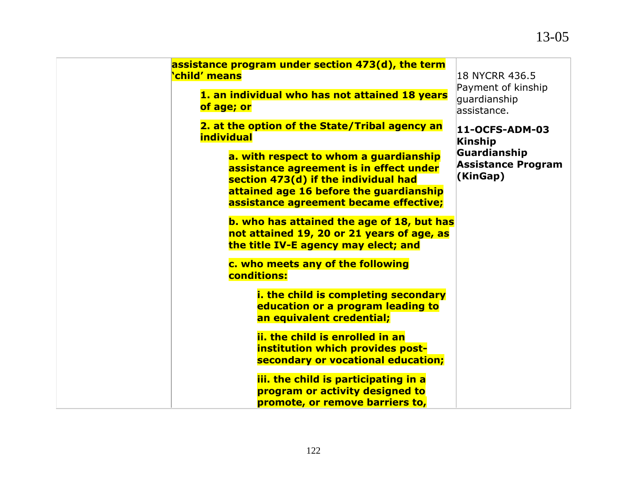## 13-05

| assistance program under section 473(d), the term<br><b>child'</b> means                                                                                                                                       | 18 NYCRR 436.5<br>Payment of kinship                  |
|----------------------------------------------------------------------------------------------------------------------------------------------------------------------------------------------------------------|-------------------------------------------------------|
| 1. an individual who has not attained 18 years<br>of age; or                                                                                                                                                   | quardianship<br>lassistance.                          |
| 2. at the option of the State/Tribal agency an<br><i><b>individual</b></i>                                                                                                                                     | 11-OCFS-ADM-03<br>Kinship                             |
| a. with respect to whom a guardianship<br>assistance agreement is in effect under<br>section 473(d) if the individual had<br>attained age 16 before the guardianship<br>assistance agreement became effective; | Guardianship<br><b>Assistance Program</b><br>(KinGap) |
| b. who has attained the age of 18, but has<br>not attained 19, 20 or 21 years of age, as<br>the title IV-E agency may elect; and                                                                               |                                                       |
| c. who meets any of the following<br>conditions:                                                                                                                                                               |                                                       |
| i. the child is completing secondary<br>education or a program leading to<br>an equivalent credential;                                                                                                         |                                                       |
| ii, the child is enrolled in an<br>institution which provides post-<br>secondary or vocational education;                                                                                                      |                                                       |
| iii. the child is participating in a<br>program or activity designed to<br>promote, or remove barriers to,                                                                                                     |                                                       |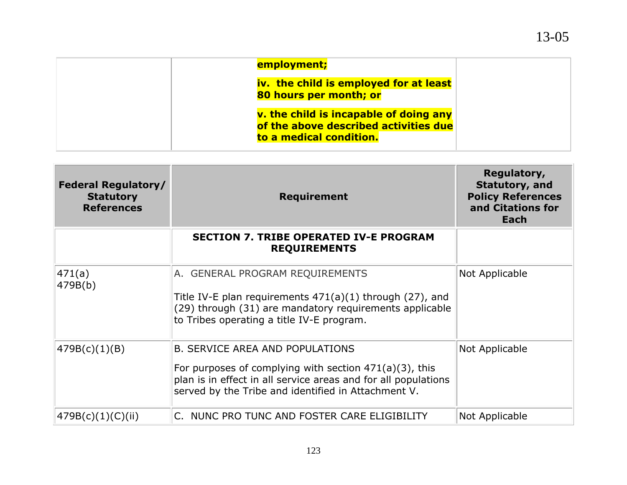| employment;                                                                                                |  |
|------------------------------------------------------------------------------------------------------------|--|
| iv. the child is employed for at least<br>80 hours per month; or                                           |  |
| v. the child is incapable of doing any<br>of the above described activities due<br>to a medical condition. |  |

| <b>Federal Regulatory/</b><br><b>Statutory</b><br><b>References</b> | <b>Requirement</b>                                                                                                                                                                                                           | Regulatory,<br>Statutory, and<br><b>Policy References</b><br>and Citations for<br>Each |
|---------------------------------------------------------------------|------------------------------------------------------------------------------------------------------------------------------------------------------------------------------------------------------------------------------|----------------------------------------------------------------------------------------|
|                                                                     | <b>SECTION 7. TRIBE OPERATED IV-E PROGRAM</b><br><b>REQUIREMENTS</b>                                                                                                                                                         |                                                                                        |
| 471(a)<br>479B(b)                                                   | A. GENERAL PROGRAM REQUIREMENTS<br>Title IV-E plan requirements $471(a)(1)$ through (27), and<br>(29) through (31) are mandatory requirements applicable<br>to Tribes operating a title IV-E program.                        | Not Applicable                                                                         |
| 479B(c)(1)(B)                                                       | <b>B. SERVICE AREA AND POPULATIONS</b><br>For purposes of complying with section $471(a)(3)$ , this<br>plan is in effect in all service areas and for all populations<br>served by the Tribe and identified in Attachment V. | Not Applicable                                                                         |
| 479B(c)(1)(C)(ii)                                                   | C. NUNC PRO TUNC AND FOSTER CARE ELIGIBILITY                                                                                                                                                                                 | Not Applicable                                                                         |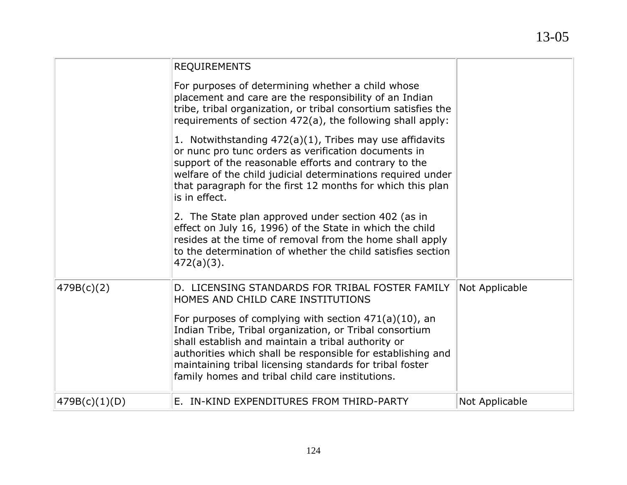|               | <b>REQUIREMENTS</b>                                                                                                                                                                                                                                                                                                                                                                                                                              |                |
|---------------|--------------------------------------------------------------------------------------------------------------------------------------------------------------------------------------------------------------------------------------------------------------------------------------------------------------------------------------------------------------------------------------------------------------------------------------------------|----------------|
|               | For purposes of determining whether a child whose<br>placement and care are the responsibility of an Indian<br>tribe, tribal organization, or tribal consortium satisfies the<br>requirements of section 472(a), the following shall apply:                                                                                                                                                                                                      |                |
|               | 1. Notwithstanding 472(a)(1), Tribes may use affidavits<br>or nunc pro tunc orders as verification documents in<br>support of the reasonable efforts and contrary to the<br>welfare of the child judicial determinations required under<br>that paragraph for the first 12 months for which this plan<br>is in effect.                                                                                                                           |                |
|               | 2. The State plan approved under section 402 (as in<br>effect on July 16, 1996) of the State in which the child<br>resides at the time of removal from the home shall apply<br>to the determination of whether the child satisfies section<br>$472(a)(3)$ .                                                                                                                                                                                      |                |
| 479B(c)(2)    | D. LICENSING STANDARDS FOR TRIBAL FOSTER FAMILY<br>HOMES AND CHILD CARE INSTITUTIONS<br>For purposes of complying with section $471(a)(10)$ , an<br>Indian Tribe, Tribal organization, or Tribal consortium<br>shall establish and maintain a tribal authority or<br>authorities which shall be responsible for establishing and<br>maintaining tribal licensing standards for tribal foster<br>family homes and tribal child care institutions. | Not Applicable |
| 479B(c)(1)(D) | E. IN-KIND EXPENDITURES FROM THIRD-PARTY                                                                                                                                                                                                                                                                                                                                                                                                         | Not Applicable |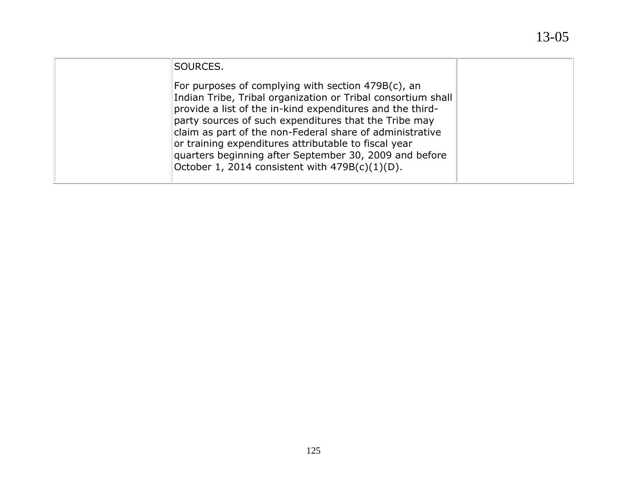| SOURCES.                                                                                                                                                                                                                                                                                                                                                                                                                                                                       |  |
|--------------------------------------------------------------------------------------------------------------------------------------------------------------------------------------------------------------------------------------------------------------------------------------------------------------------------------------------------------------------------------------------------------------------------------------------------------------------------------|--|
| For purposes of complying with section $479B(c)$ , an<br>Indian Tribe, Tribal organization or Tribal consortium shall<br>provide a list of the in-kind expenditures and the third-<br>party sources of such expenditures that the Tribe may<br>claim as part of the non-Federal share of administrative<br>or training expenditures attributable to fiscal year<br>quarters beginning after September 30, 2009 and before<br>October 1, 2014 consistent with $479B(c)(1)(D)$ . |  |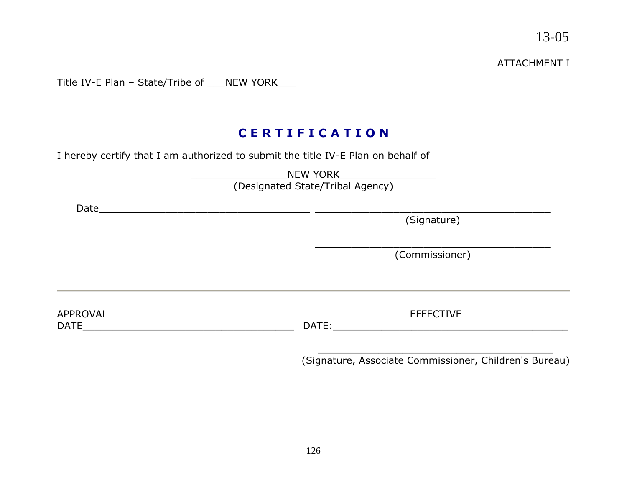ATTACHMENT I

Title IV-E Plan - State/Tribe of \_\_\_NEW YORK\_\_\_

## **C E R T I F I C A T I O N**

I hereby certify that I am authorized to submit the title IV-E Plan on behalf of

|                         | <b>NEW YORK</b><br>(Designated State/Tribal Agency)    |
|-------------------------|--------------------------------------------------------|
| Date                    | (Signature)                                            |
|                         | (Commissioner)                                         |
| APPROVAL<br><b>DATE</b> | <b>EFFECTIVE</b><br>DATE:                              |
|                         | (Signature, Associate Commissioner, Children's Bureau) |